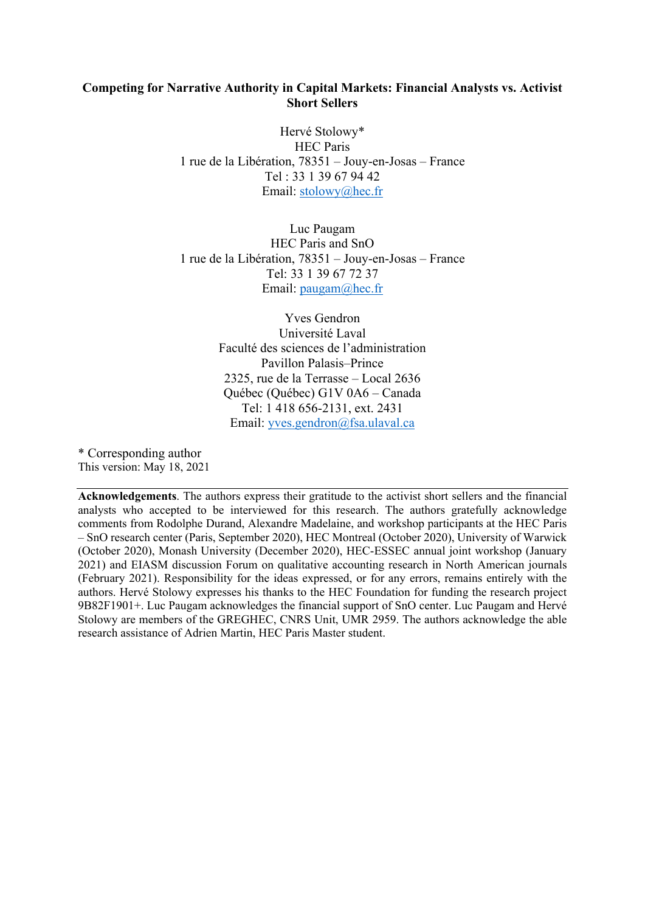### **Competing for Narrative Authority in Capital Markets: Financial Analysts vs. Activist Short Sellers**

Hervé Stolowy\* HEC Paris 1 rue de la Libération, 78351 – Jouy-en-Josas – France Tel : 33 1 39 67 94 42 Email: stolowy@hec.fr

Luc Paugam HEC Paris and SnO 1 rue de la Libération, 78351 – Jouy-en-Josas – France Tel: 33 1 39 67 72 37 Email: paugam@hec.fr

> Yves Gendron Université Laval Faculté des sciences de l'administration Pavillon Palasis–Prince 2325, rue de la Terrasse – Local 2636 Québec (Québec) G1V 0A6 – Canada Tel: 1 418 656-2131, ext. 2431 Email: yves.gendron@fsa.ulaval.ca

\* Corresponding author This version: May 18, 2021

**Acknowledgements**. The authors express their gratitude to the activist short sellers and the financial analysts who accepted to be interviewed for this research. The authors gratefully acknowledge comments from Rodolphe Durand, Alexandre Madelaine, and workshop participants at the HEC Paris – SnO research center (Paris, September 2020), HEC Montreal (October 2020), University of Warwick (October 2020), Monash University (December 2020), HEC-ESSEC annual joint workshop (January 2021) and EIASM discussion Forum on qualitative accounting research in North American journals (February 2021). Responsibility for the ideas expressed, or for any errors, remains entirely with the authors. Hervé Stolowy expresses his thanks to the HEC Foundation for funding the research project 9B82F1901+. Luc Paugam acknowledges the financial support of SnO center. Luc Paugam and Hervé Stolowy are members of the GREGHEC, CNRS Unit, UMR 2959. The authors acknowledge the able research assistance of Adrien Martin, HEC Paris Master student.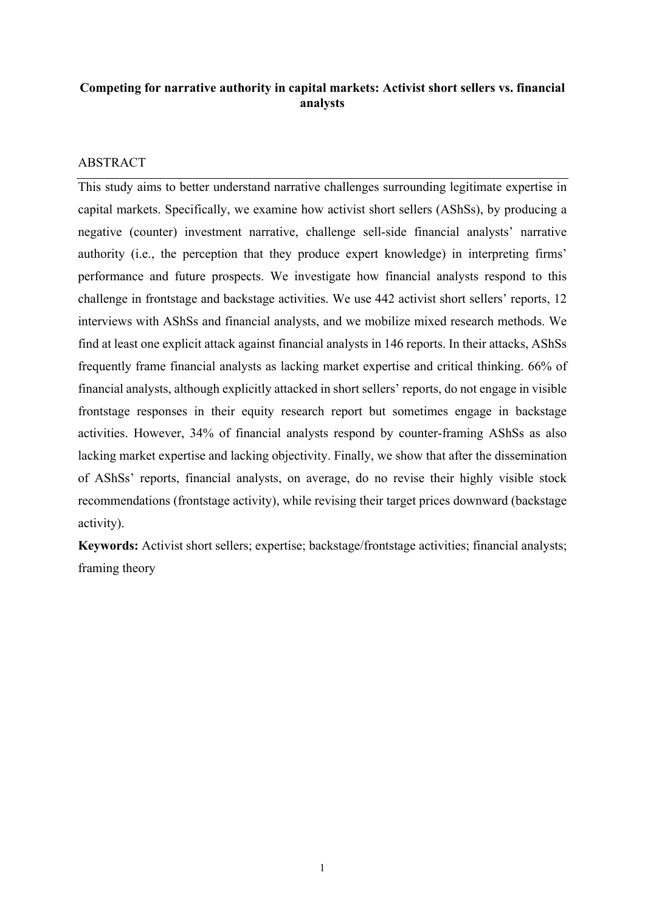# **Competing for narrative authority in capital markets: Activist short sellers vs. financial analysts**

# ABSTRACT

This study aims to better understand narrative challenges surrounding legitimate expertise in capital markets. Specifically, we examine how activist short sellers (AShSs), by producing a negative (counter) investment narrative, challenge sell-side financial analysts' narrative authority (i.e., the perception that they produce expert knowledge) in interpreting firms' performance and future prospects. We investigate how financial analysts respond to this challenge in frontstage and backstage activities. We use 442 activist short sellers' reports, 12 interviews with AShSs and financial analysts, and we mobilize mixed research methods. We find at least one explicit attack against financial analysts in 146 reports. In their attacks, AShSs frequently frame financial analysts as lacking market expertise and critical thinking. 66% of financial analysts, although explicitly attacked in short sellers' reports, do not engage in visible frontstage responses in their equity research report but sometimes engage in backstage activities. However, 34% of financial analysts respond by counter-framing AShSs as also lacking market expertise and lacking objectivity. Finally, we show that after the dissemination of AShSs' reports, financial analysts, on average, do no revise their highly visible stock recommendations (frontstage activity), while revising their target prices downward (backstage activity).

**Keywords:** Activist short sellers; expertise; backstage/frontstage activities; financial analysts; framing theory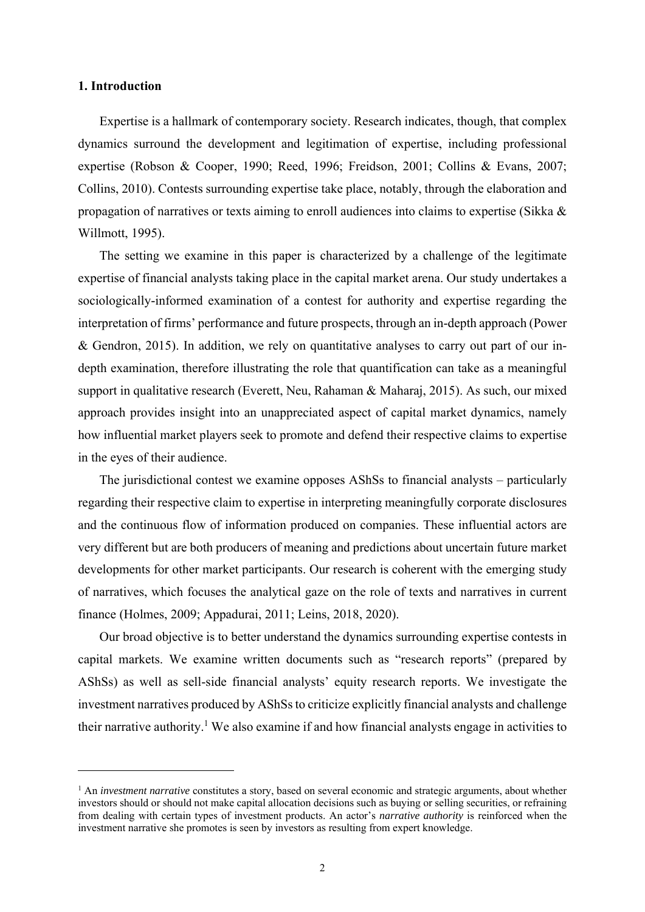### **1. Introduction**

Expertise is a hallmark of contemporary society. Research indicates, though, that complex dynamics surround the development and legitimation of expertise, including professional expertise (Robson & Cooper, 1990; Reed, 1996; Freidson, 2001; Collins & Evans, 2007; Collins, 2010). Contests surrounding expertise take place, notably, through the elaboration and propagation of narratives or texts aiming to enroll audiences into claims to expertise (Sikka & Willmott, 1995).

The setting we examine in this paper is characterized by a challenge of the legitimate expertise of financial analysts taking place in the capital market arena. Our study undertakes a sociologically-informed examination of a contest for authority and expertise regarding the interpretation of firms' performance and future prospects, through an in-depth approach (Power & Gendron, 2015). In addition, we rely on quantitative analyses to carry out part of our indepth examination, therefore illustrating the role that quantification can take as a meaningful support in qualitative research (Everett, Neu, Rahaman & Maharaj, 2015). As such, our mixed approach provides insight into an unappreciated aspect of capital market dynamics, namely how influential market players seek to promote and defend their respective claims to expertise in the eyes of their audience.

The jurisdictional contest we examine opposes AShSs to financial analysts – particularly regarding their respective claim to expertise in interpreting meaningfully corporate disclosures and the continuous flow of information produced on companies. These influential actors are very different but are both producers of meaning and predictions about uncertain future market developments for other market participants. Our research is coherent with the emerging study of narratives, which focuses the analytical gaze on the role of texts and narratives in current finance (Holmes, 2009; Appadurai, 2011; Leins, 2018, 2020).

Our broad objective is to better understand the dynamics surrounding expertise contests in capital markets. We examine written documents such as "research reports" (prepared by AShSs) as well as sell-side financial analysts' equity research reports. We investigate the investment narratives produced by AShSs to criticize explicitly financial analysts and challenge their narrative authority.<sup>1</sup> We also examine if and how financial analysts engage in activities to

<sup>&</sup>lt;sup>1</sup> An *investment narrative* constitutes a story, based on several economic and strategic arguments, about whether investors should or should not make capital allocation decisions such as buying or selling securities, or refraining from dealing with certain types of investment products. An actor's *narrative authority* is reinforced when the investment narrative she promotes is seen by investors as resulting from expert knowledge.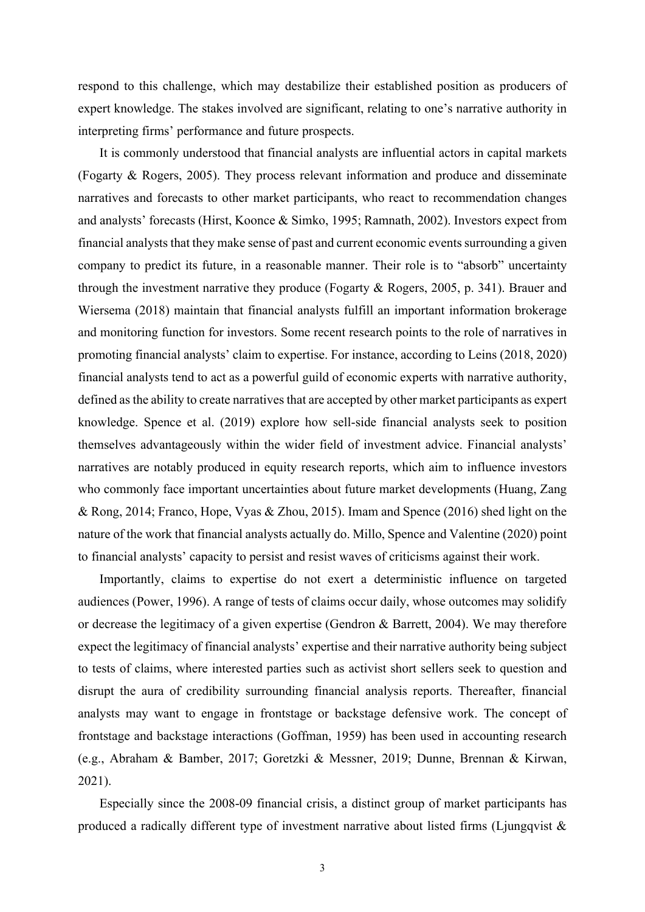respond to this challenge, which may destabilize their established position as producers of expert knowledge. The stakes involved are significant, relating to one's narrative authority in interpreting firms' performance and future prospects.

It is commonly understood that financial analysts are influential actors in capital markets (Fogarty & Rogers, 2005). They process relevant information and produce and disseminate narratives and forecasts to other market participants, who react to recommendation changes and analysts' forecasts (Hirst, Koonce & Simko, 1995; Ramnath, 2002). Investors expect from financial analysts that they make sense of past and current economic events surrounding a given company to predict its future, in a reasonable manner. Their role is to "absorb" uncertainty through the investment narrative they produce (Fogarty & Rogers, 2005, p. 341). Brauer and Wiersema (2018) maintain that financial analysts fulfill an important information brokerage and monitoring function for investors. Some recent research points to the role of narratives in promoting financial analysts' claim to expertise. For instance, according to Leins (2018, 2020) financial analysts tend to act as a powerful guild of economic experts with narrative authority, defined as the ability to create narratives that are accepted by other market participants as expert knowledge. Spence et al. (2019) explore how sell‐side financial analysts seek to position themselves advantageously within the wider field of investment advice. Financial analysts' narratives are notably produced in equity research reports, which aim to influence investors who commonly face important uncertainties about future market developments (Huang, Zang & Rong, 2014; Franco, Hope, Vyas & Zhou, 2015). Imam and Spence (2016) shed light on the nature of the work that financial analysts actually do. Millo, Spence and Valentine (2020) point to financial analysts' capacity to persist and resist waves of criticisms against their work.

Importantly, claims to expertise do not exert a deterministic influence on targeted audiences (Power, 1996). A range of tests of claims occur daily, whose outcomes may solidify or decrease the legitimacy of a given expertise (Gendron & Barrett, 2004). We may therefore expect the legitimacy of financial analysts' expertise and their narrative authority being subject to tests of claims, where interested parties such as activist short sellers seek to question and disrupt the aura of credibility surrounding financial analysis reports. Thereafter, financial analysts may want to engage in frontstage or backstage defensive work. The concept of frontstage and backstage interactions (Goffman, 1959) has been used in accounting research (e.g., Abraham & Bamber, 2017; Goretzki & Messner, 2019; Dunne, Brennan & Kirwan, 2021).

Especially since the 2008-09 financial crisis, a distinct group of market participants has produced a radically different type of investment narrative about listed firms (Ljungqvist  $\&$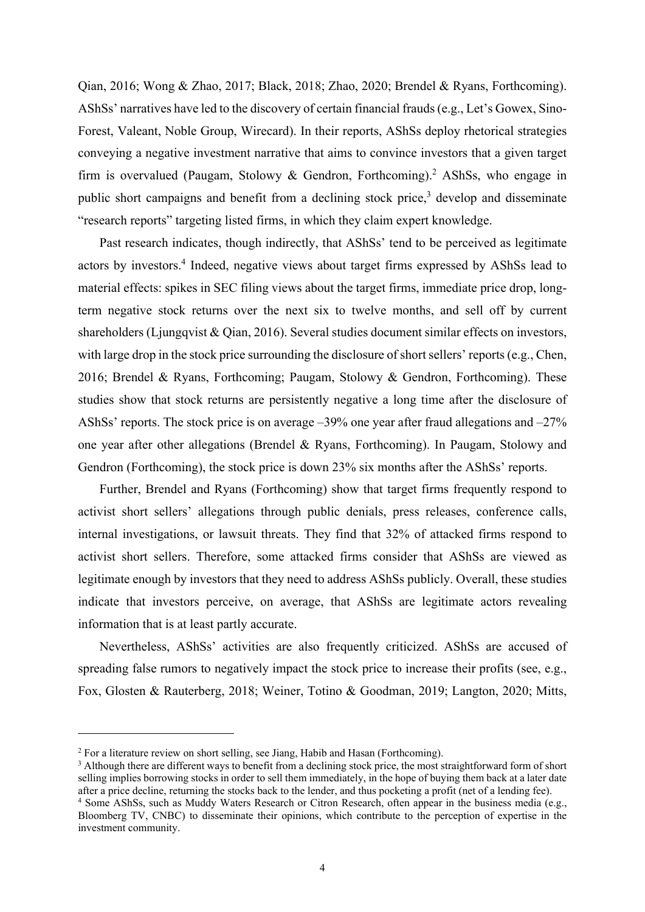Qian, 2016; Wong & Zhao, 2017; Black, 2018; Zhao, 2020; Brendel & Ryans, Forthcoming). AShSs' narratives have led to the discovery of certain financial frauds (e.g., Let's Gowex, Sino-Forest, Valeant, Noble Group, Wirecard). In their reports, AShSs deploy rhetorical strategies conveying a negative investment narrative that aims to convince investors that a given target firm is overvalued (Paugam, Stolowy & Gendron, Forthcoming).<sup>2</sup> AShSs, who engage in public short campaigns and benefit from a declining stock price,<sup>3</sup> develop and disseminate "research reports" targeting listed firms, in which they claim expert knowledge.

Past research indicates, though indirectly, that AShSs' tend to be perceived as legitimate actors by investors.<sup>4</sup> Indeed, negative views about target firms expressed by AShSs lead to material effects: spikes in SEC filing views about the target firms, immediate price drop, longterm negative stock returns over the next six to twelve months, and sell off by current shareholders (Ljungqvist & Qian, 2016). Several studies document similar effects on investors, with large drop in the stock price surrounding the disclosure of short sellers' reports (e.g., Chen, 2016; Brendel & Ryans, Forthcoming; Paugam, Stolowy & Gendron, Forthcoming). These studies show that stock returns are persistently negative a long time after the disclosure of AShSs' reports. The stock price is on average –39% one year after fraud allegations and –27% one year after other allegations (Brendel & Ryans, Forthcoming). In Paugam, Stolowy and Gendron (Forthcoming), the stock price is down 23% six months after the AShSs' reports.

Further, Brendel and Ryans (Forthcoming) show that target firms frequently respond to activist short sellers' allegations through public denials, press releases, conference calls, internal investigations, or lawsuit threats. They find that 32% of attacked firms respond to activist short sellers. Therefore, some attacked firms consider that AShSs are viewed as legitimate enough by investors that they need to address AShSs publicly. Overall, these studies indicate that investors perceive, on average, that AShSs are legitimate actors revealing information that is at least partly accurate.

Nevertheless, AShSs' activities are also frequently criticized. AShSs are accused of spreading false rumors to negatively impact the stock price to increase their profits (see, e.g., Fox, Glosten & Rauterberg, 2018; Weiner, Totino & Goodman, 2019; Langton, 2020; Mitts,

<sup>&</sup>lt;sup>2</sup> For a literature review on short selling, see Jiang, Habib and Hasan (Forthcoming).

<sup>&</sup>lt;sup>3</sup> Although there are different ways to benefit from a declining stock price, the most straightforward form of short selling implies borrowing stocks in order to sell them immediately, in the hope of buying them back at a later date after a price decline, returning the stocks back to the lender, and thus pocketing a profit (net of a lending fee). 4

<sup>&</sup>lt;sup>4</sup> Some AShSs, such as Muddy Waters Research or Citron Research, often appear in the business media (e.g., Bloomberg TV, CNBC) to disseminate their opinions, which contribute to the perception of expertise in the investment community.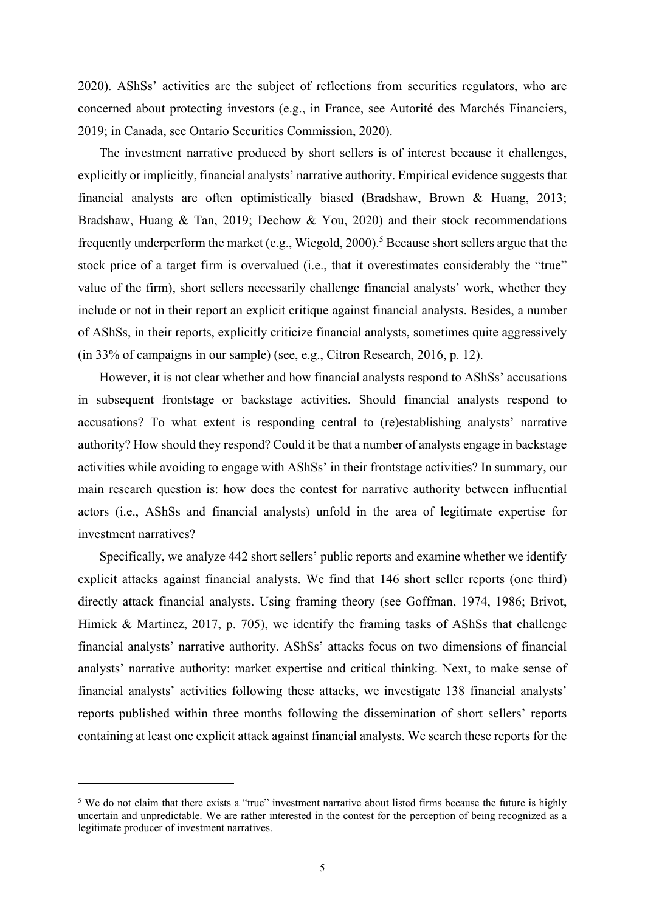2020). AShSs' activities are the subject of reflections from securities regulators, who are concerned about protecting investors (e.g., in France, see Autorité des Marchés Financiers, 2019; in Canada, see Ontario Securities Commission, 2020).

The investment narrative produced by short sellers is of interest because it challenges, explicitly or implicitly, financial analysts' narrative authority. Empirical evidence suggests that financial analysts are often optimistically biased (Bradshaw, Brown & Huang, 2013; Bradshaw, Huang & Tan, 2019; Dechow & You, 2020) and their stock recommendations frequently underperform the market (e.g., Wiegold, 2000).<sup>5</sup> Because short sellers argue that the stock price of a target firm is overvalued (i.e., that it overestimates considerably the "true" value of the firm), short sellers necessarily challenge financial analysts' work, whether they include or not in their report an explicit critique against financial analysts. Besides, a number of AShSs, in their reports, explicitly criticize financial analysts, sometimes quite aggressively (in 33% of campaigns in our sample) (see, e.g., Citron Research, 2016, p. 12).

However, it is not clear whether and how financial analysts respond to AShSs' accusations in subsequent frontstage or backstage activities. Should financial analysts respond to accusations? To what extent is responding central to (re)establishing analysts' narrative authority? How should they respond? Could it be that a number of analysts engage in backstage activities while avoiding to engage with AShSs' in their frontstage activities? In summary, our main research question is: how does the contest for narrative authority between influential actors (i.e., AShSs and financial analysts) unfold in the area of legitimate expertise for investment narratives?

Specifically, we analyze 442 short sellers' public reports and examine whether we identify explicit attacks against financial analysts. We find that 146 short seller reports (one third) directly attack financial analysts. Using framing theory (see Goffman, 1974, 1986; Brivot, Himick & Martinez, 2017, p. 705), we identify the framing tasks of AShSs that challenge financial analysts' narrative authority. AShSs' attacks focus on two dimensions of financial analysts' narrative authority: market expertise and critical thinking. Next, to make sense of financial analysts' activities following these attacks, we investigate 138 financial analysts' reports published within three months following the dissemination of short sellers' reports containing at least one explicit attack against financial analysts. We search these reports for the

<sup>&</sup>lt;sup>5</sup> We do not claim that there exists a "true" investment narrative about listed firms because the future is highly uncertain and unpredictable. We are rather interested in the contest for the perception of being recognized as a legitimate producer of investment narratives.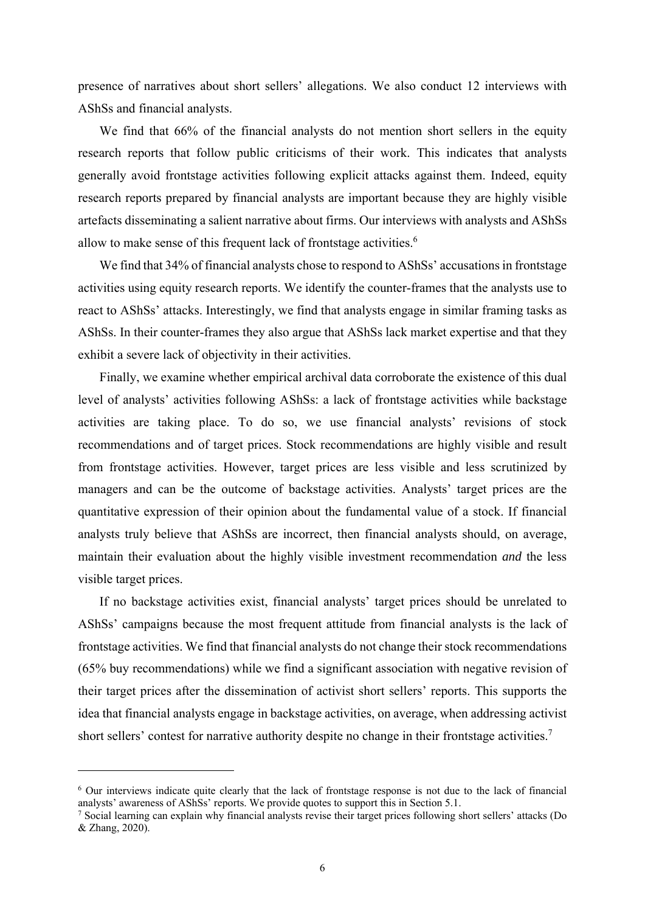presence of narratives about short sellers' allegations. We also conduct 12 interviews with AShSs and financial analysts.

We find that 66% of the financial analysts do not mention short sellers in the equity research reports that follow public criticisms of their work. This indicates that analysts generally avoid frontstage activities following explicit attacks against them. Indeed, equity research reports prepared by financial analysts are important because they are highly visible artefacts disseminating a salient narrative about firms. Our interviews with analysts and AShSs allow to make sense of this frequent lack of frontstage activities. $6$ 

We find that 34% of financial analysts chose to respond to AShSs' accusations in frontstage activities using equity research reports. We identify the counter-frames that the analysts use to react to AShSs' attacks. Interestingly, we find that analysts engage in similar framing tasks as AShSs. In their counter-frames they also argue that AShSs lack market expertise and that they exhibit a severe lack of objectivity in their activities.

Finally, we examine whether empirical archival data corroborate the existence of this dual level of analysts' activities following AShSs: a lack of frontstage activities while backstage activities are taking place. To do so, we use financial analysts' revisions of stock recommendations and of target prices. Stock recommendations are highly visible and result from frontstage activities. However, target prices are less visible and less scrutinized by managers and can be the outcome of backstage activities. Analysts' target prices are the quantitative expression of their opinion about the fundamental value of a stock. If financial analysts truly believe that AShSs are incorrect, then financial analysts should, on average, maintain their evaluation about the highly visible investment recommendation *and* the less visible target prices.

If no backstage activities exist, financial analysts' target prices should be unrelated to AShSs' campaigns because the most frequent attitude from financial analysts is the lack of frontstage activities. We find that financial analysts do not change their stock recommendations (65% buy recommendations) while we find a significant association with negative revision of their target prices after the dissemination of activist short sellers' reports. This supports the idea that financial analysts engage in backstage activities, on average, when addressing activist short sellers' contest for narrative authority despite no change in their frontstage activities.<sup>7</sup>

<sup>&</sup>lt;sup>6</sup> Our interviews indicate quite clearly that the lack of frontstage response is not due to the lack of financial analysts' awareness of AShSs' reports. We provide quotes to support this in Section 5.1.

<sup>&</sup>lt;sup>7</sup> Social learning can explain why financial analysts revise their target prices following short sellers' attacks (Do & Zhang, 2020).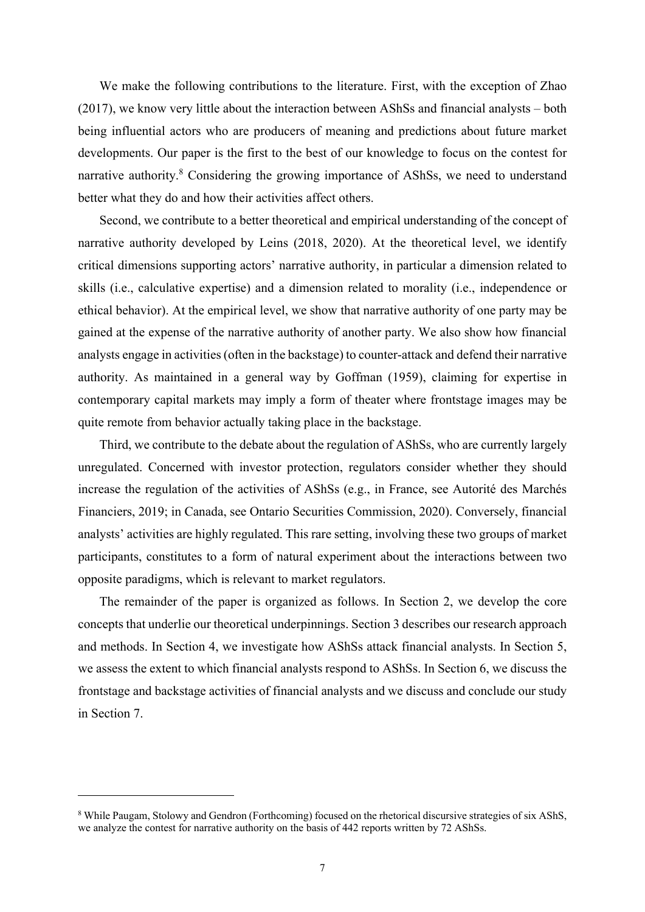We make the following contributions to the literature. First, with the exception of Zhao (2017), we know very little about the interaction between AShSs and financial analysts – both being influential actors who are producers of meaning and predictions about future market developments. Our paper is the first to the best of our knowledge to focus on the contest for narrative authority.<sup>8</sup> Considering the growing importance of AShSs, we need to understand better what they do and how their activities affect others.

Second, we contribute to a better theoretical and empirical understanding of the concept of narrative authority developed by Leins (2018, 2020). At the theoretical level, we identify critical dimensions supporting actors' narrative authority, in particular a dimension related to skills (i.e., calculative expertise) and a dimension related to morality (i.e., independence or ethical behavior). At the empirical level, we show that narrative authority of one party may be gained at the expense of the narrative authority of another party. We also show how financial analysts engage in activities (often in the backstage) to counter-attack and defend their narrative authority. As maintained in a general way by Goffman (1959), claiming for expertise in contemporary capital markets may imply a form of theater where frontstage images may be quite remote from behavior actually taking place in the backstage.

Third, we contribute to the debate about the regulation of AShSs, who are currently largely unregulated. Concerned with investor protection, regulators consider whether they should increase the regulation of the activities of AShSs (e.g., in France, see Autorité des Marchés Financiers, 2019; in Canada, see Ontario Securities Commission, 2020). Conversely, financial analysts' activities are highly regulated. This rare setting, involving these two groups of market participants, constitutes to a form of natural experiment about the interactions between two opposite paradigms, which is relevant to market regulators.

The remainder of the paper is organized as follows. In Section 2, we develop the core concepts that underlie our theoretical underpinnings. Section 3 describes our research approach and methods. In Section 4, we investigate how AShSs attack financial analysts. In Section 5, we assess the extent to which financial analysts respond to AShSs. In Section 6, we discuss the frontstage and backstage activities of financial analysts and we discuss and conclude our study in Section 7.

<sup>&</sup>lt;sup>8</sup> While Paugam, Stolowy and Gendron (Forthcoming) focused on the rhetorical discursive strategies of six AShS, we analyze the contest for narrative authority on the basis of 442 reports written by 72 AShSs.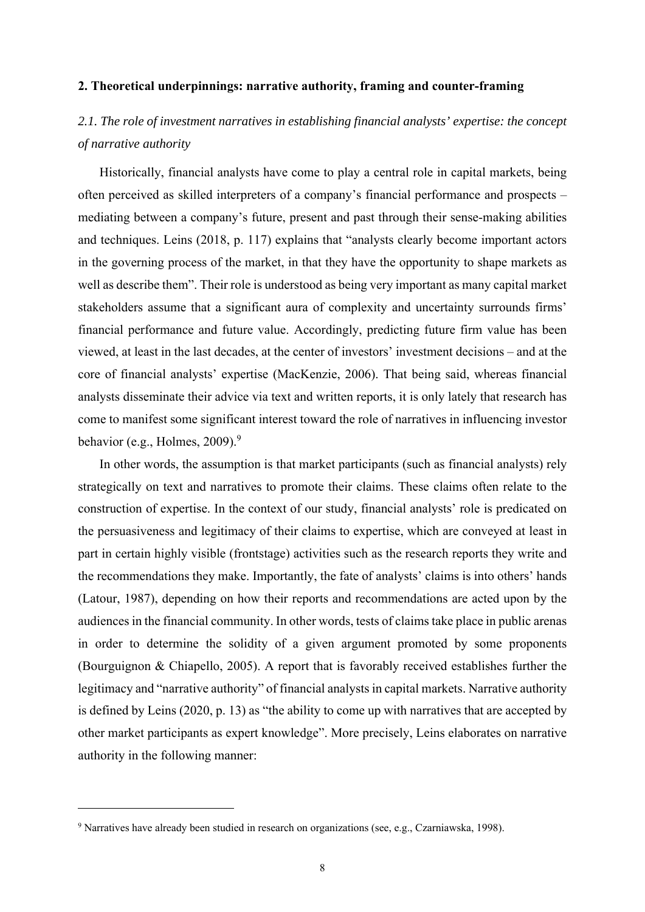### **2. Theoretical underpinnings: narrative authority, framing and counter-framing**

# *2.1. The role of investment narratives in establishing financial analysts' expertise: the concept of narrative authority*

Historically, financial analysts have come to play a central role in capital markets, being often perceived as skilled interpreters of a company's financial performance and prospects – mediating between a company's future, present and past through their sense-making abilities and techniques. Leins (2018, p. 117) explains that "analysts clearly become important actors in the governing process of the market, in that they have the opportunity to shape markets as well as describe them". Their role is understood as being very important as many capital market stakeholders assume that a significant aura of complexity and uncertainty surrounds firms' financial performance and future value. Accordingly, predicting future firm value has been viewed, at least in the last decades, at the center of investors' investment decisions – and at the core of financial analysts' expertise (MacKenzie, 2006). That being said, whereas financial analysts disseminate their advice via text and written reports, it is only lately that research has come to manifest some significant interest toward the role of narratives in influencing investor behavior (e.g., Holmes, 2009).<sup>9</sup>

In other words, the assumption is that market participants (such as financial analysts) rely strategically on text and narratives to promote their claims. These claims often relate to the construction of expertise. In the context of our study, financial analysts' role is predicated on the persuasiveness and legitimacy of their claims to expertise, which are conveyed at least in part in certain highly visible (frontstage) activities such as the research reports they write and the recommendations they make. Importantly, the fate of analysts' claims is into others' hands (Latour, 1987), depending on how their reports and recommendations are acted upon by the audiences in the financial community. In other words, tests of claims take place in public arenas in order to determine the solidity of a given argument promoted by some proponents (Bourguignon & Chiapello, 2005). A report that is favorably received establishes further the legitimacy and "narrative authority" of financial analysts in capital markets. Narrative authority is defined by Leins (2020, p. 13) as "the ability to come up with narratives that are accepted by other market participants as expert knowledge". More precisely, Leins elaborates on narrative authority in the following manner:

<sup>&</sup>lt;sup>9</sup> Narratives have already been studied in research on organizations (see, e.g., Czarniawska, 1998).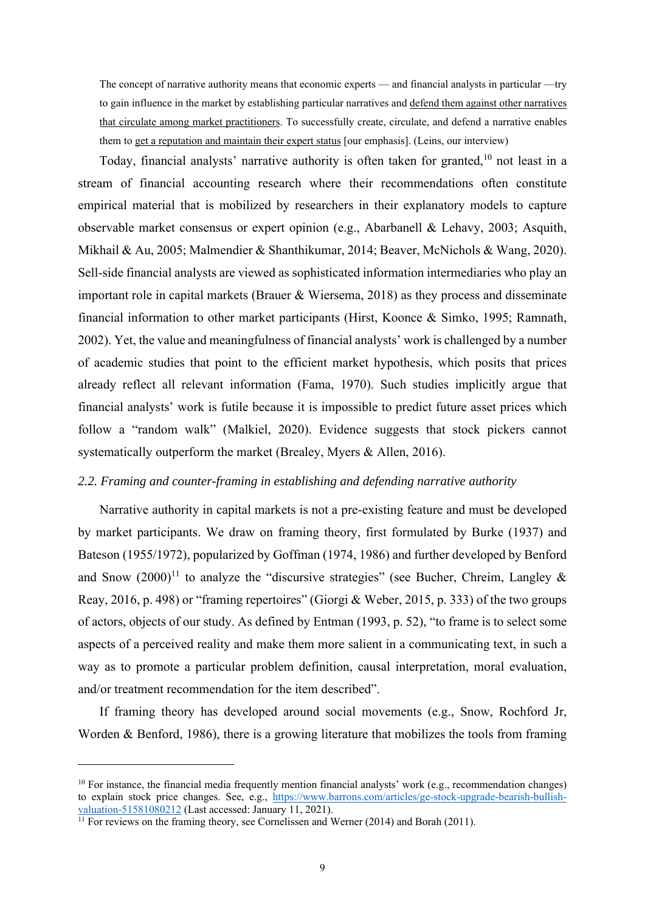The concept of narrative authority means that economic experts — and financial analysts in particular —try to gain influence in the market by establishing particular narratives and defend them against other narratives that circulate among market practitioners. To successfully create, circulate, and defend a narrative enables them to get a reputation and maintain their expert status [our emphasis]. (Leins, our interview)

Today, financial analysts' narrative authority is often taken for granted,<sup>10</sup> not least in a stream of financial accounting research where their recommendations often constitute empirical material that is mobilized by researchers in their explanatory models to capture observable market consensus or expert opinion (e.g., Abarbanell & Lehavy, 2003; Asquith, Mikhail & Au, 2005; Malmendier & Shanthikumar, 2014; Beaver, McNichols & Wang, 2020). Sell-side financial analysts are viewed as sophisticated information intermediaries who play an important role in capital markets (Brauer & Wiersema, 2018) as they process and disseminate financial information to other market participants (Hirst, Koonce & Simko, 1995; Ramnath, 2002). Yet, the value and meaningfulness of financial analysts' work is challenged by a number of academic studies that point to the efficient market hypothesis, which posits that prices already reflect all relevant information (Fama, 1970). Such studies implicitly argue that financial analysts' work is futile because it is impossible to predict future asset prices which follow a "random walk" (Malkiel, 2020). Evidence suggests that stock pickers cannot systematically outperform the market (Brealey, Myers & Allen, 2016).

### *2.2. Framing and counter-framing in establishing and defending narrative authority*

Narrative authority in capital markets is not a pre-existing feature and must be developed by market participants. We draw on framing theory, first formulated by Burke (1937) and Bateson (1955/1972), popularized by Goffman (1974, 1986) and further developed by Benford and Snow  $(2000)^{11}$  to analyze the "discursive strategies" (see Bucher, Chreim, Langley & Reay, 2016, p. 498) or "framing repertoires" (Giorgi & Weber, 2015, p. 333) of the two groups of actors, objects of our study. As defined by Entman (1993, p. 52), "to frame is to select some aspects of a perceived reality and make them more salient in a communicating text, in such a way as to promote a particular problem definition, causal interpretation, moral evaluation, and/or treatment recommendation for the item described".

If framing theory has developed around social movements (e.g., Snow, Rochford Jr, Worden & Benford, 1986), there is a growing literature that mobilizes the tools from framing

 $10$  For instance, the financial media frequently mention financial analysts' work (e.g., recommendation changes) to explain stock price changes. See, e.g., https://www.barrons.com/articles/ge-stock-upgrade-bearish-bullish-valuation-51581080212 (Last accessed: January 11, 2021).

<sup>&</sup>lt;sup>11</sup> For reviews on the framing theory, see Cornelissen and Werner (2014) and Borah (2011).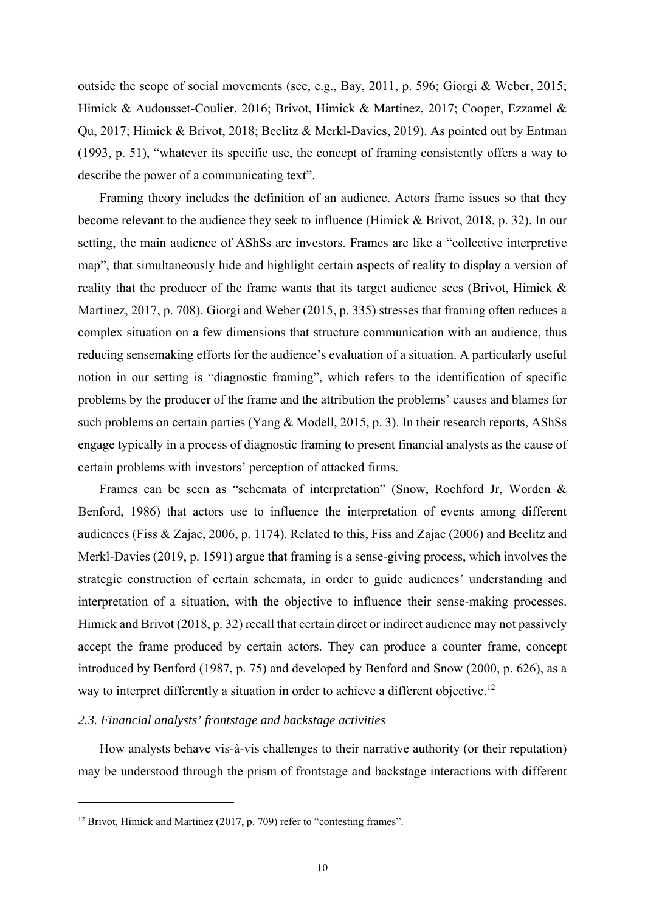outside the scope of social movements (see, e.g., Bay, 2011, p. 596; Giorgi & Weber, 2015; Himick & Audousset-Coulier, 2016; Brivot, Himick & Martinez, 2017; Cooper, Ezzamel & Qu, 2017; Himick & Brivot, 2018; Beelitz & Merkl-Davies, 2019). As pointed out by Entman (1993, p. 51), "whatever its specific use, the concept of framing consistently offers a way to describe the power of a communicating text".

Framing theory includes the definition of an audience. Actors frame issues so that they become relevant to the audience they seek to influence (Himick & Brivot, 2018, p. 32). In our setting, the main audience of AShSs are investors. Frames are like a "collective interpretive map", that simultaneously hide and highlight certain aspects of reality to display a version of reality that the producer of the frame wants that its target audience sees (Brivot, Himick & Martinez, 2017, p. 708). Giorgi and Weber (2015, p. 335) stresses that framing often reduces a complex situation on a few dimensions that structure communication with an audience, thus reducing sensemaking efforts for the audience's evaluation of a situation. A particularly useful notion in our setting is "diagnostic framing", which refers to the identification of specific problems by the producer of the frame and the attribution the problems' causes and blames for such problems on certain parties (Yang & Modell, 2015, p. 3). In their research reports, AShSs engage typically in a process of diagnostic framing to present financial analysts as the cause of certain problems with investors' perception of attacked firms.

Frames can be seen as "schemata of interpretation" (Snow, Rochford Jr, Worden & Benford, 1986) that actors use to influence the interpretation of events among different audiences (Fiss & Zajac, 2006, p. 1174). Related to this, Fiss and Zajac (2006) and Beelitz and Merkl-Davies (2019, p. 1591) argue that framing is a sense-giving process, which involves the strategic construction of certain schemata, in order to guide audiences' understanding and interpretation of a situation, with the objective to influence their sense-making processes. Himick and Brivot (2018, p. 32) recall that certain direct or indirect audience may not passively accept the frame produced by certain actors. They can produce a counter frame, concept introduced by Benford (1987, p. 75) and developed by Benford and Snow (2000, p. 626), as a way to interpret differently a situation in order to achieve a different objective.<sup>12</sup>

# *2.3. Financial analysts' frontstage and backstage activities*

How analysts behave vis-à-vis challenges to their narrative authority (or their reputation) may be understood through the prism of frontstage and backstage interactions with different

<sup>&</sup>lt;sup>12</sup> Brivot, Himick and Martinez (2017, p. 709) refer to "contesting frames".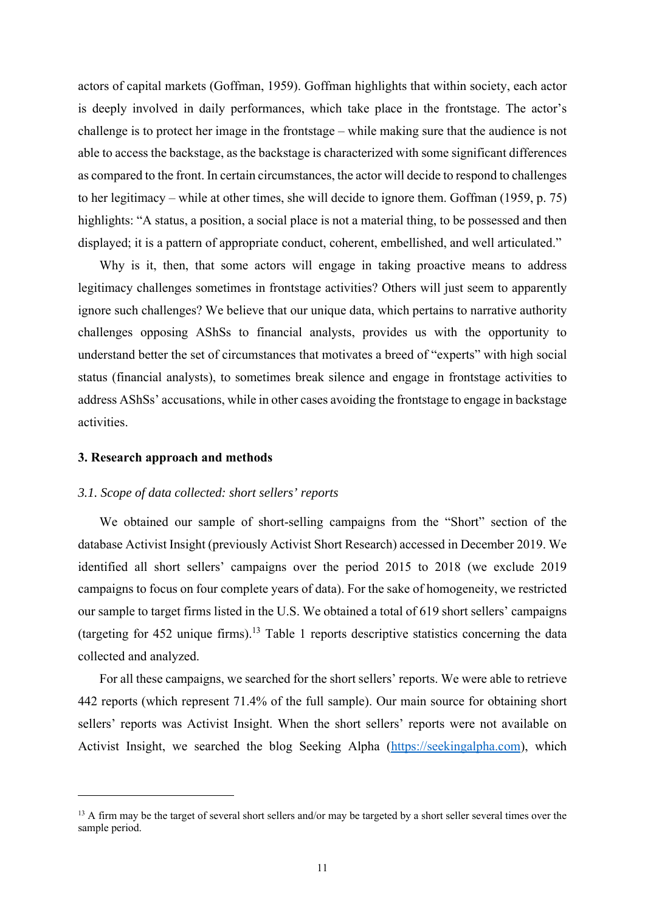actors of capital markets (Goffman, 1959). Goffman highlights that within society, each actor is deeply involved in daily performances, which take place in the frontstage. The actor's challenge is to protect her image in the frontstage – while making sure that the audience is not able to access the backstage, as the backstage is characterized with some significant differences as compared to the front. In certain circumstances, the actor will decide to respond to challenges to her legitimacy – while at other times, she will decide to ignore them. Goffman (1959, p. 75) highlights: "A status, a position, a social place is not a material thing, to be possessed and then displayed; it is a pattern of appropriate conduct, coherent, embellished, and well articulated."

Why is it, then, that some actors will engage in taking proactive means to address legitimacy challenges sometimes in frontstage activities? Others will just seem to apparently ignore such challenges? We believe that our unique data, which pertains to narrative authority challenges opposing AShSs to financial analysts, provides us with the opportunity to understand better the set of circumstances that motivates a breed of "experts" with high social status (financial analysts), to sometimes break silence and engage in frontstage activities to address AShSs' accusations, while in other cases avoiding the frontstage to engage in backstage activities.

### **3. Research approach and methods**

### *3.1. Scope of data collected: short sellers' reports*

We obtained our sample of short-selling campaigns from the "Short" section of the database Activist Insight (previously Activist Short Research) accessed in December 2019. We identified all short sellers' campaigns over the period 2015 to 2018 (we exclude 2019 campaigns to focus on four complete years of data). For the sake of homogeneity, we restricted our sample to target firms listed in the U.S. We obtained a total of 619 short sellers' campaigns (targeting for  $452$  unique firms).<sup>13</sup> Table 1 reports descriptive statistics concerning the data collected and analyzed.

For all these campaigns, we searched for the short sellers' reports. We were able to retrieve 442 reports (which represent 71.4% of the full sample). Our main source for obtaining short sellers' reports was Activist Insight. When the short sellers' reports were not available on Activist Insight, we searched the blog Seeking Alpha (https://seekingalpha.com), which

<sup>&</sup>lt;sup>13</sup> A firm may be the target of several short sellers and/or may be targeted by a short seller several times over the sample period.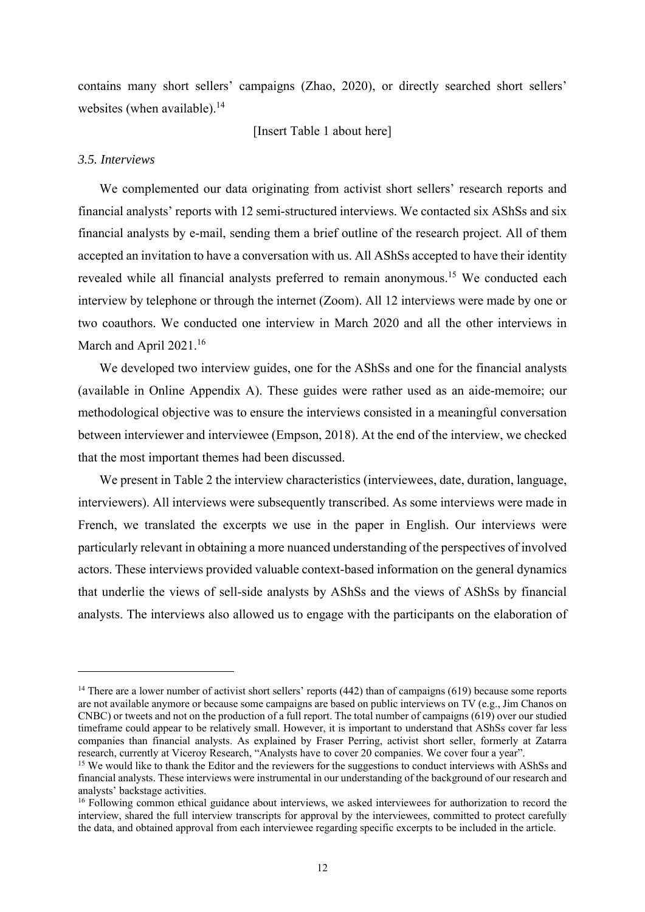contains many short sellers' campaigns (Zhao, 2020), or directly searched short sellers' websites (when available). $14$ 

[Insert Table 1 about here]

## *3.5. Interviews*

We complemented our data originating from activist short sellers' research reports and financial analysts' reports with 12 semi-structured interviews. We contacted six AShSs and six financial analysts by e-mail, sending them a brief outline of the research project. All of them accepted an invitation to have a conversation with us. All AShSs accepted to have their identity revealed while all financial analysts preferred to remain anonymous.<sup>15</sup> We conducted each interview by telephone or through the internet (Zoom). All 12 interviews were made by one or two coauthors. We conducted one interview in March 2020 and all the other interviews in March and April 2021.<sup>16</sup>

We developed two interview guides, one for the AShSs and one for the financial analysts (available in Online Appendix A). These guides were rather used as an aide-memoire; our methodological objective was to ensure the interviews consisted in a meaningful conversation between interviewer and interviewee (Empson, 2018). At the end of the interview, we checked that the most important themes had been discussed.

We present in Table 2 the interview characteristics (interviewees, date, duration, language, interviewers). All interviews were subsequently transcribed. As some interviews were made in French, we translated the excerpts we use in the paper in English. Our interviews were particularly relevant in obtaining a more nuanced understanding of the perspectives of involved actors. These interviews provided valuable context-based information on the general dynamics that underlie the views of sell-side analysts by AShSs and the views of AShSs by financial analysts. The interviews also allowed us to engage with the participants on the elaboration of

 $14$  There are a lower number of activist short sellers' reports (442) than of campaigns (619) because some reports are not available anymore or because some campaigns are based on public interviews on TV (e.g., Jim Chanos on CNBC) or tweets and not on the production of a full report. The total number of campaigns (619) over our studied timeframe could appear to be relatively small. However, it is important to understand that AShSs cover far less companies than financial analysts. As explained by Fraser Perring, activist short seller, formerly at Zatarra research, currently at Viceroy Research, "Analysts have to cover 20 companies. We cover four a year".

<sup>&</sup>lt;sup>15</sup> We would like to thank the Editor and the reviewers for the suggestions to conduct interviews with AShSs and financial analysts. These interviews were instrumental in our understanding of the background of our research and analysts' backstage activities.

<sup>&</sup>lt;sup>16</sup> Following common ethical guidance about interviews, we asked interviewees for authorization to record the interview, shared the full interview transcripts for approval by the interviewees, committed to protect carefully the data, and obtained approval from each interviewee regarding specific excerpts to be included in the article.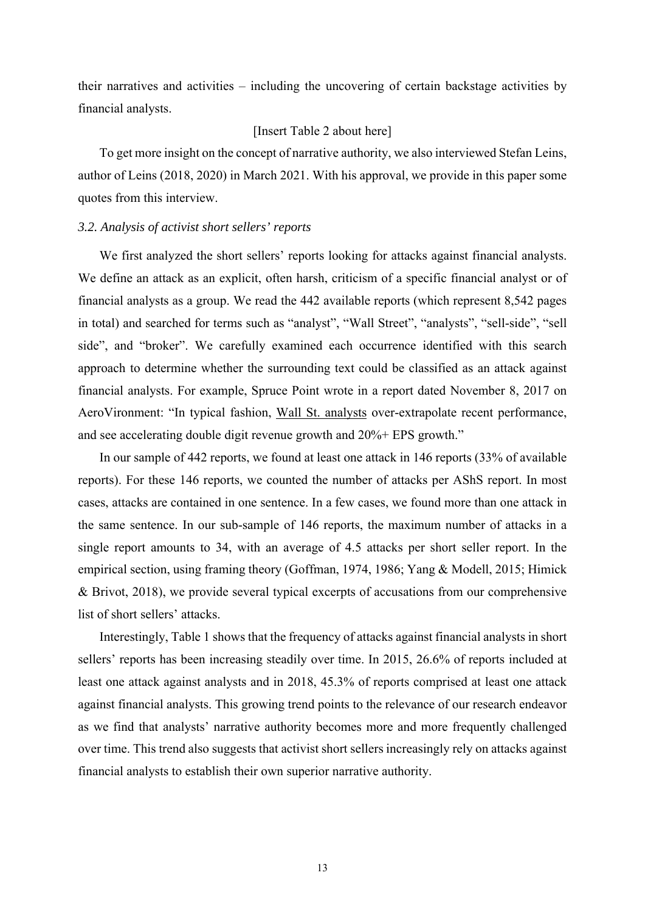their narratives and activities – including the uncovering of certain backstage activities by financial analysts.

### [Insert Table 2 about here]

To get more insight on the concept of narrative authority, we also interviewed Stefan Leins, author of Leins (2018, 2020) in March 2021. With his approval, we provide in this paper some quotes from this interview.

### *3.2. Analysis of activist short sellers' reports*

We first analyzed the short sellers' reports looking for attacks against financial analysts. We define an attack as an explicit, often harsh, criticism of a specific financial analyst or of financial analysts as a group. We read the 442 available reports (which represent 8,542 pages in total) and searched for terms such as "analyst", "Wall Street", "analysts", "sell-side", "sell side", and "broker". We carefully examined each occurrence identified with this search approach to determine whether the surrounding text could be classified as an attack against financial analysts. For example, Spruce Point wrote in a report dated November 8, 2017 on AeroVironment: "In typical fashion, Wall St. analysts over-extrapolate recent performance, and see accelerating double digit revenue growth and 20%+ EPS growth."

In our sample of 442 reports, we found at least one attack in 146 reports (33% of available reports). For these 146 reports, we counted the number of attacks per AShS report. In most cases, attacks are contained in one sentence. In a few cases, we found more than one attack in the same sentence. In our sub-sample of 146 reports, the maximum number of attacks in a single report amounts to 34, with an average of 4.5 attacks per short seller report. In the empirical section, using framing theory (Goffman, 1974, 1986; Yang & Modell, 2015; Himick & Brivot, 2018), we provide several typical excerpts of accusations from our comprehensive list of short sellers' attacks.

Interestingly, Table 1 shows that the frequency of attacks against financial analysts in short sellers' reports has been increasing steadily over time. In 2015, 26.6% of reports included at least one attack against analysts and in 2018, 45.3% of reports comprised at least one attack against financial analysts. This growing trend points to the relevance of our research endeavor as we find that analysts' narrative authority becomes more and more frequently challenged over time. This trend also suggests that activist short sellers increasingly rely on attacks against financial analysts to establish their own superior narrative authority.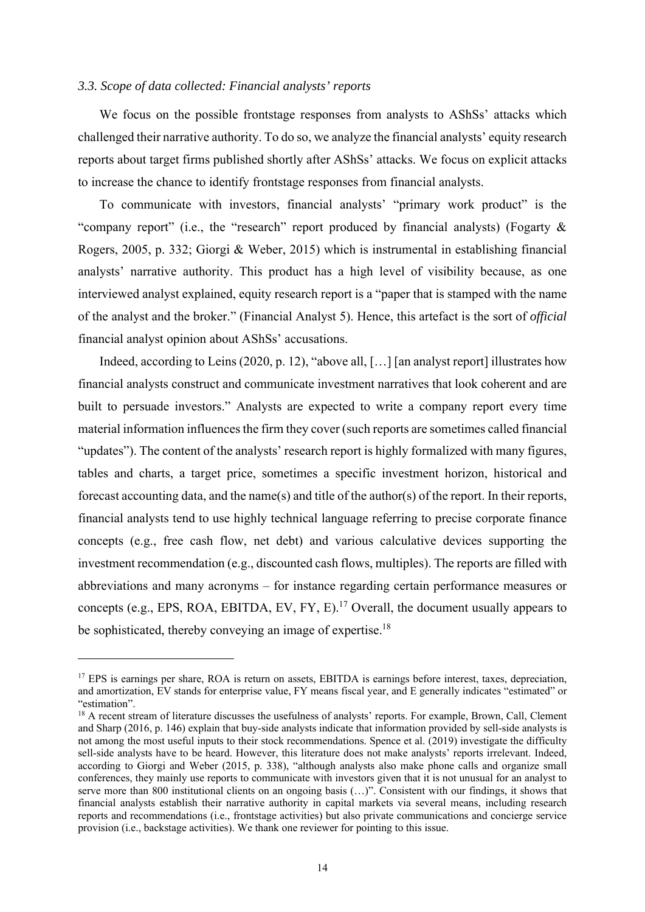### *3.3. Scope of data collected: Financial analysts' reports*

We focus on the possible frontstage responses from analysts to AShSs' attacks which challenged their narrative authority. To do so, we analyze the financial analysts' equity research reports about target firms published shortly after AShSs' attacks. We focus on explicit attacks to increase the chance to identify frontstage responses from financial analysts.

To communicate with investors, financial analysts' "primary work product" is the "company report" (i.e., the "research" report produced by financial analysts) (Fogarty & Rogers, 2005, p. 332; Giorgi & Weber, 2015) which is instrumental in establishing financial analysts' narrative authority. This product has a high level of visibility because, as one interviewed analyst explained, equity research report is a "paper that is stamped with the name of the analyst and the broker." (Financial Analyst 5). Hence, this artefact is the sort of *official* financial analyst opinion about AShSs' accusations.

Indeed, according to Leins (2020, p. 12), "above all, [...] [an analyst report] illustrates how financial analysts construct and communicate investment narratives that look coherent and are built to persuade investors." Analysts are expected to write a company report every time material information influences the firm they cover (such reports are sometimes called financial "updates"). The content of the analysts' research report is highly formalized with many figures, tables and charts, a target price, sometimes a specific investment horizon, historical and forecast accounting data, and the name(s) and title of the author(s) of the report. In their reports, financial analysts tend to use highly technical language referring to precise corporate finance concepts (e.g., free cash flow, net debt) and various calculative devices supporting the investment recommendation (e.g., discounted cash flows, multiples). The reports are filled with abbreviations and many acronyms – for instance regarding certain performance measures or concepts (e.g., EPS, ROA, EBITDA, EV, FY, E).<sup>17</sup> Overall, the document usually appears to be sophisticated, thereby conveying an image of expertise.<sup>18</sup>

<sup>&</sup>lt;sup>17</sup> EPS is earnings per share, ROA is return on assets, EBITDA is earnings before interest, taxes, depreciation, and amortization, EV stands for enterprise value, FY means fiscal year, and E generally indicates "estimated" or "estimation".

<sup>&</sup>lt;sup>18</sup> A recent stream of literature discusses the usefulness of analysts' reports. For example, Brown, Call, Clement and Sharp (2016, p. 146) explain that buy-side analysts indicate that information provided by sell-side analysts is not among the most useful inputs to their stock recommendations. Spence et al. (2019) investigate the difficulty sell-side analysts have to be heard. However, this literature does not make analysts' reports irrelevant. Indeed, according to Giorgi and Weber (2015, p. 338), "although analysts also make phone calls and organize small conferences, they mainly use reports to communicate with investors given that it is not unusual for an analyst to serve more than 800 institutional clients on an ongoing basis (...)". Consistent with our findings, it shows that financial analysts establish their narrative authority in capital markets via several means, including research reports and recommendations (i.e., frontstage activities) but also private communications and concierge service provision (i.e., backstage activities). We thank one reviewer for pointing to this issue.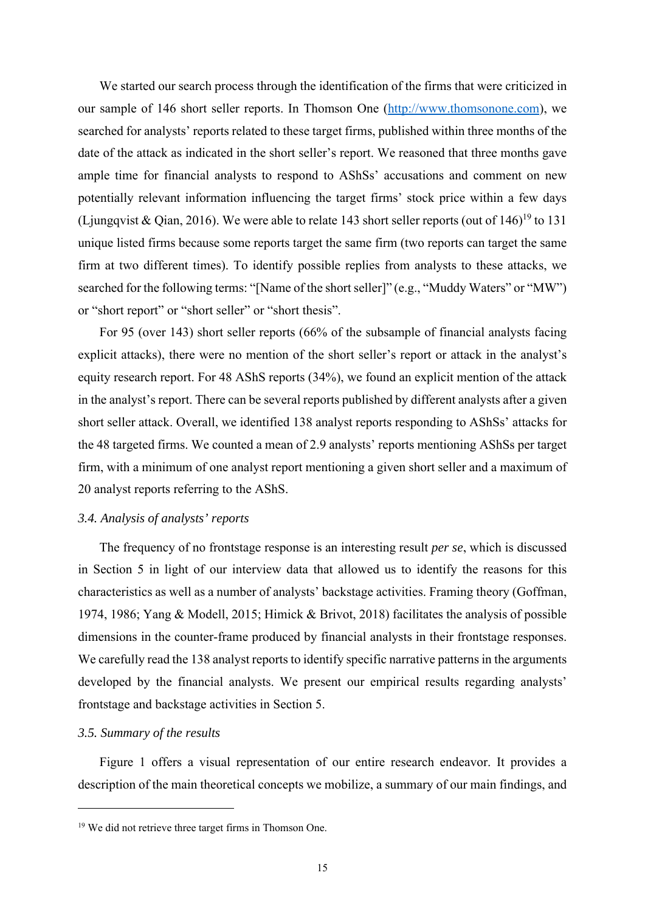We started our search process through the identification of the firms that were criticized in our sample of 146 short seller reports. In Thomson One (http://www.thomsonone.com), we searched for analysts' reports related to these target firms, published within three months of the date of the attack as indicated in the short seller's report. We reasoned that three months gave ample time for financial analysts to respond to AShSs' accusations and comment on new potentially relevant information influencing the target firms' stock price within a few days (Ljungqvist & Qian, 2016). We were able to relate 143 short seller reports (out of  $146$ )<sup>19</sup> to 131 unique listed firms because some reports target the same firm (two reports can target the same firm at two different times). To identify possible replies from analysts to these attacks, we searched for the following terms: "[Name of the short seller]" (e.g., "Muddy Waters" or "MW") or "short report" or "short seller" or "short thesis".

For 95 (over 143) short seller reports (66% of the subsample of financial analysts facing explicit attacks), there were no mention of the short seller's report or attack in the analyst's equity research report. For 48 AShS reports (34%), we found an explicit mention of the attack in the analyst's report. There can be several reports published by different analysts after a given short seller attack. Overall, we identified 138 analyst reports responding to AShSs' attacks for the 48 targeted firms. We counted a mean of 2.9 analysts' reports mentioning AShSs per target firm, with a minimum of one analyst report mentioning a given short seller and a maximum of 20 analyst reports referring to the AShS.

### *3.4. Analysis of analysts' reports*

The frequency of no frontstage response is an interesting result *per se*, which is discussed in Section 5 in light of our interview data that allowed us to identify the reasons for this characteristics as well as a number of analysts' backstage activities. Framing theory (Goffman, 1974, 1986; Yang & Modell, 2015; Himick & Brivot, 2018) facilitates the analysis of possible dimensions in the counter-frame produced by financial analysts in their frontstage responses. We carefully read the 138 analyst reports to identify specific narrative patterns in the arguments developed by the financial analysts. We present our empirical results regarding analysts' frontstage and backstage activities in Section 5.

### *3.5. Summary of the results*

Figure 1 offers a visual representation of our entire research endeavor. It provides a description of the main theoretical concepts we mobilize, a summary of our main findings, and

<sup>&</sup>lt;sup>19</sup> We did not retrieve three target firms in Thomson One.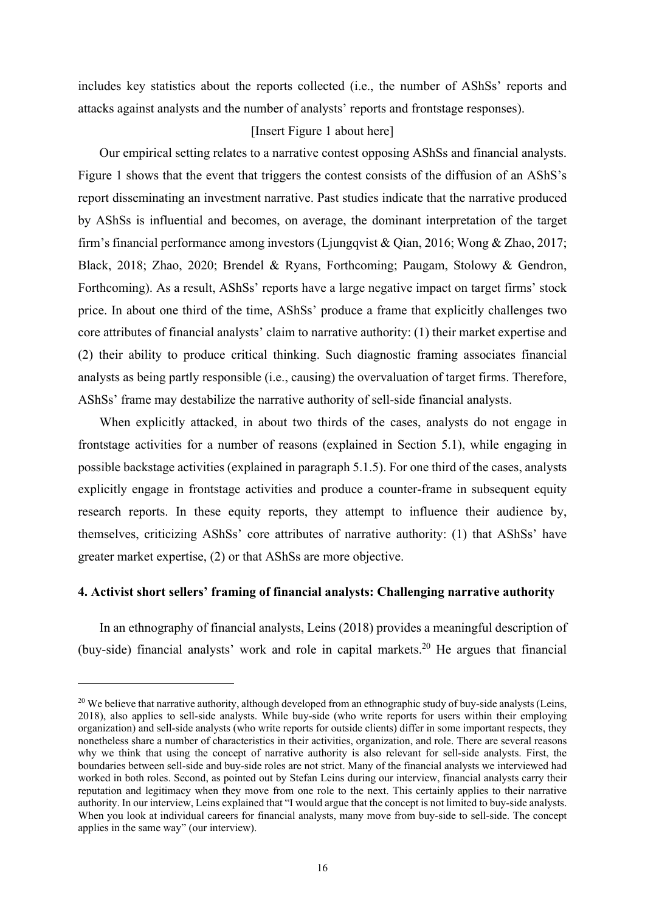includes key statistics about the reports collected (i.e., the number of AShSs' reports and attacks against analysts and the number of analysts' reports and frontstage responses).

## [Insert Figure 1 about here]

Our empirical setting relates to a narrative contest opposing AShSs and financial analysts. Figure 1 shows that the event that triggers the contest consists of the diffusion of an AShS's report disseminating an investment narrative. Past studies indicate that the narrative produced by AShSs is influential and becomes, on average, the dominant interpretation of the target firm's financial performance among investors (Ljungqvist & Qian, 2016; Wong & Zhao, 2017; Black, 2018; Zhao, 2020; Brendel & Ryans, Forthcoming; Paugam, Stolowy & Gendron, Forthcoming). As a result, AShSs' reports have a large negative impact on target firms' stock price. In about one third of the time, AShSs' produce a frame that explicitly challenges two core attributes of financial analysts' claim to narrative authority: (1) their market expertise and (2) their ability to produce critical thinking. Such diagnostic framing associates financial analysts as being partly responsible (i.e., causing) the overvaluation of target firms. Therefore, AShSs' frame may destabilize the narrative authority of sell-side financial analysts.

When explicitly attacked, in about two thirds of the cases, analysts do not engage in frontstage activities for a number of reasons (explained in Section 5.1), while engaging in possible backstage activities (explained in paragraph 5.1.5). For one third of the cases, analysts explicitly engage in frontstage activities and produce a counter-frame in subsequent equity research reports. In these equity reports, they attempt to influence their audience by, themselves, criticizing AShSs' core attributes of narrative authority: (1) that AShSs' have greater market expertise, (2) or that AShSs are more objective.

## **4. Activist short sellers' framing of financial analysts: Challenging narrative authority**

In an ethnography of financial analysts, Leins (2018) provides a meaningful description of (buy-side) financial analysts' work and role in capital markets. 20 He argues that financial

<sup>&</sup>lt;sup>20</sup> We believe that narrative authority, although developed from an ethnographic study of buy-side analysts (Leins, 2018), also applies to sell-side analysts. While buy-side (who write reports for users within their employing organization) and sell-side analysts (who write reports for outside clients) differ in some important respects, they nonetheless share a number of characteristics in their activities, organization, and role. There are several reasons why we think that using the concept of narrative authority is also relevant for sell-side analysts. First, the boundaries between sell-side and buy-side roles are not strict. Many of the financial analysts we interviewed had worked in both roles. Second, as pointed out by Stefan Leins during our interview, financial analysts carry their reputation and legitimacy when they move from one role to the next. This certainly applies to their narrative authority. In our interview, Leins explained that "I would argue that the concept is not limited to buy-side analysts. When you look at individual careers for financial analysts, many move from buy-side to sell-side. The concept applies in the same way" (our interview).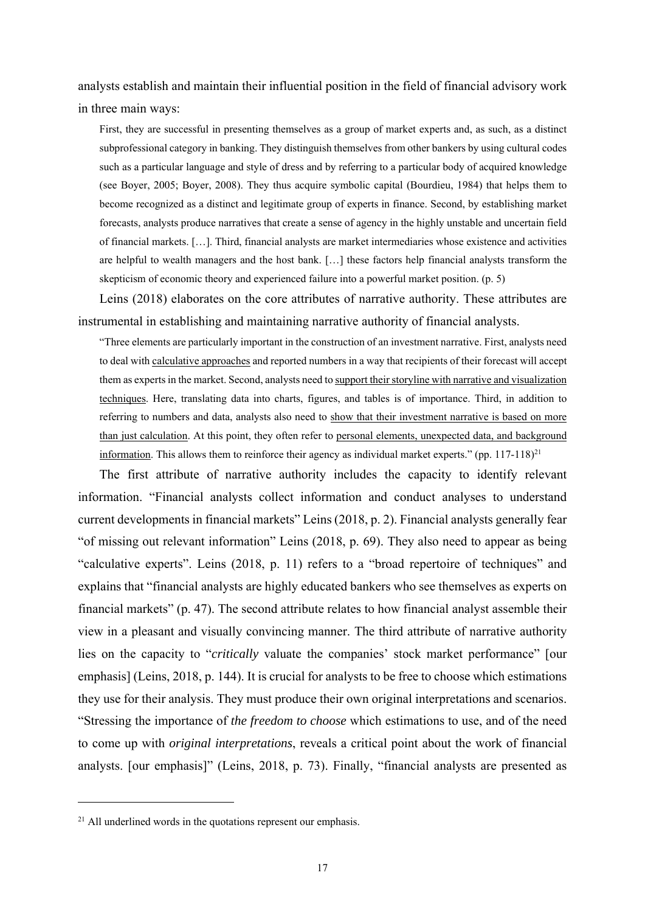analysts establish and maintain their influential position in the field of financial advisory work in three main ways:

First, they are successful in presenting themselves as a group of market experts and, as such, as a distinct subprofessional category in banking. They distinguish themselves from other bankers by using cultural codes such as a particular language and style of dress and by referring to a particular body of acquired knowledge (see Boyer, 2005; Boyer, 2008). They thus acquire symbolic capital (Bourdieu, 1984) that helps them to become recognized as a distinct and legitimate group of experts in finance. Second, by establishing market forecasts, analysts produce narratives that create a sense of agency in the highly unstable and uncertain field of financial markets. […]. Third, financial analysts are market intermediaries whose existence and activities are helpful to wealth managers and the host bank. […] these factors help financial analysts transform the skepticism of economic theory and experienced failure into a powerful market position. (p. 5)

Leins (2018) elaborates on the core attributes of narrative authority. These attributes are instrumental in establishing and maintaining narrative authority of financial analysts.

"Three elements are particularly important in the construction of an investment narrative. First, analysts need to deal with calculative approaches and reported numbers in a way that recipients of their forecast will accept them as experts in the market. Second, analysts need to support their storyline with narrative and visualization techniques. Here, translating data into charts, figures, and tables is of importance. Third, in addition to referring to numbers and data, analysts also need to show that their investment narrative is based on more than just calculation. At this point, they often refer to personal elements, unexpected data, and background information. This allows them to reinforce their agency as individual market experts." (pp. 117-118)<sup>21</sup>

The first attribute of narrative authority includes the capacity to identify relevant information. "Financial analysts collect information and conduct analyses to understand current developments in financial markets" Leins (2018, p. 2). Financial analysts generally fear "of missing out relevant information" Leins (2018, p. 69). They also need to appear as being "calculative experts". Leins (2018, p. 11) refers to a "broad repertoire of techniques" and explains that "financial analysts are highly educated bankers who see themselves as experts on financial markets" (p. 47). The second attribute relates to how financial analyst assemble their view in a pleasant and visually convincing manner. The third attribute of narrative authority lies on the capacity to "*critically* valuate the companies' stock market performance" [our emphasis] (Leins, 2018, p. 144). It is crucial for analysts to be free to choose which estimations they use for their analysis. They must produce their own original interpretations and scenarios. "Stressing the importance of *the freedom to choose* which estimations to use, and of the need to come up with *original interpretations*, reveals a critical point about the work of financial analysts. [our emphasis]" (Leins, 2018, p. 73). Finally, "financial analysts are presented as

 $21$  All underlined words in the quotations represent our emphasis.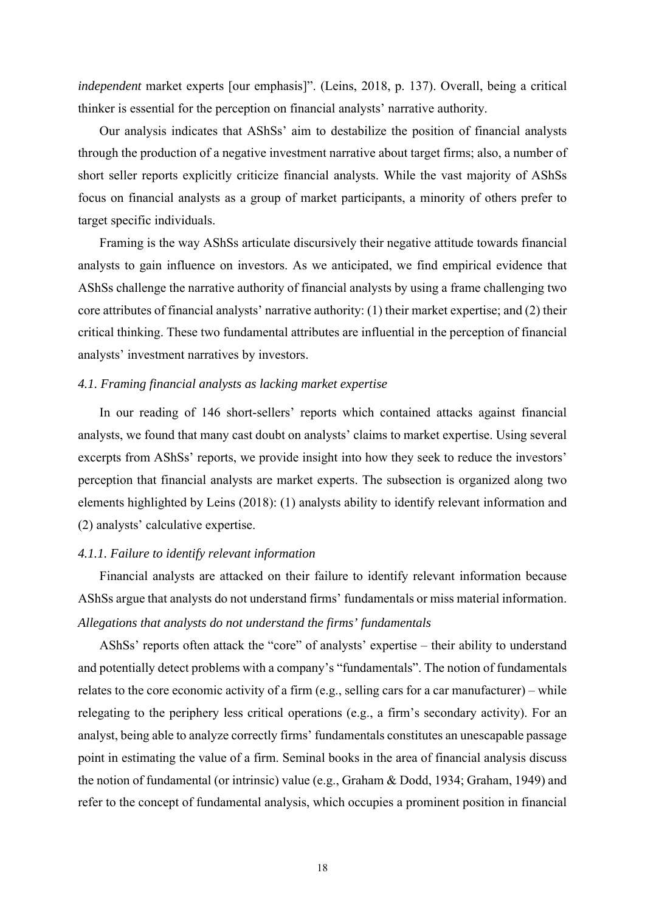*independent* market experts [our emphasis]". (Leins, 2018, p. 137). Overall, being a critical thinker is essential for the perception on financial analysts' narrative authority.

Our analysis indicates that AShSs' aim to destabilize the position of financial analysts through the production of a negative investment narrative about target firms; also, a number of short seller reports explicitly criticize financial analysts. While the vast majority of AShSs focus on financial analysts as a group of market participants, a minority of others prefer to target specific individuals.

Framing is the way AShSs articulate discursively their negative attitude towards financial analysts to gain influence on investors. As we anticipated, we find empirical evidence that AShSs challenge the narrative authority of financial analysts by using a frame challenging two core attributes of financial analysts' narrative authority: (1) their market expertise; and (2) their critical thinking. These two fundamental attributes are influential in the perception of financial analysts' investment narratives by investors.

### *4.1. Framing financial analysts as lacking market expertise*

In our reading of 146 short-sellers' reports which contained attacks against financial analysts, we found that many cast doubt on analysts' claims to market expertise. Using several excerpts from AShSs' reports, we provide insight into how they seek to reduce the investors' perception that financial analysts are market experts. The subsection is organized along two elements highlighted by Leins (2018): (1) analysts ability to identify relevant information and (2) analysts' calculative expertise.

### *4.1.1. Failure to identify relevant information*

Financial analysts are attacked on their failure to identify relevant information because AShSs argue that analysts do not understand firms' fundamentals or miss material information. *Allegations that analysts do not understand the firms' fundamentals* 

AShSs' reports often attack the "core" of analysts' expertise – their ability to understand and potentially detect problems with a company's "fundamentals". The notion of fundamentals relates to the core economic activity of a firm (e.g., selling cars for a car manufacturer) – while relegating to the periphery less critical operations (e.g., a firm's secondary activity). For an analyst, being able to analyze correctly firms' fundamentals constitutes an unescapable passage point in estimating the value of a firm. Seminal books in the area of financial analysis discuss the notion of fundamental (or intrinsic) value (e.g., Graham & Dodd, 1934; Graham, 1949) and refer to the concept of fundamental analysis, which occupies a prominent position in financial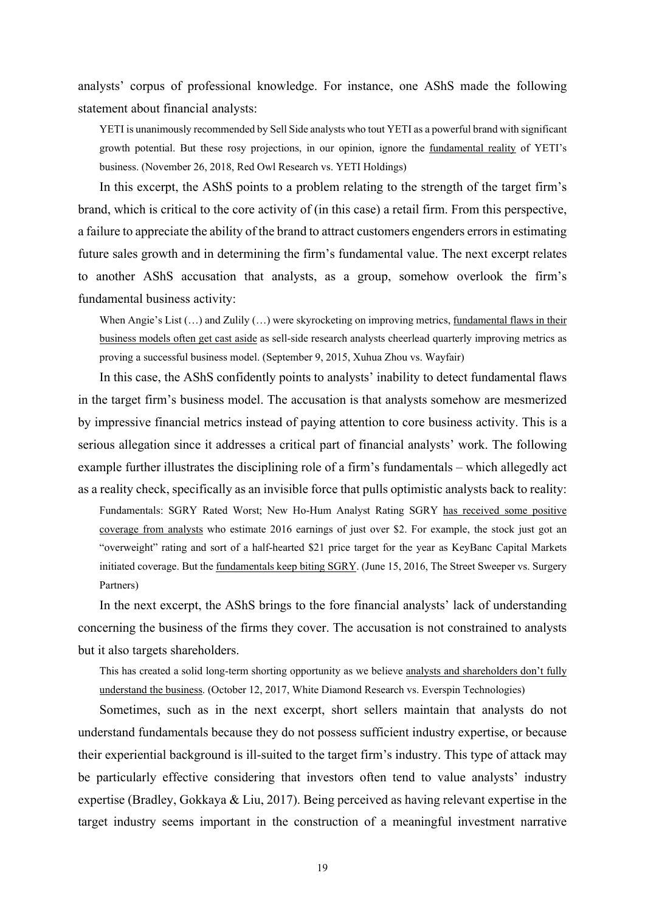analysts' corpus of professional knowledge. For instance, one AShS made the following statement about financial analysts:

YETI is unanimously recommended by Sell Side analysts who tout YETI as a powerful brand with significant growth potential. But these rosy projections, in our opinion, ignore the fundamental reality of YETI's business. (November 26, 2018, Red Owl Research vs. YETI Holdings)

In this excerpt, the AShS points to a problem relating to the strength of the target firm's brand, which is critical to the core activity of (in this case) a retail firm. From this perspective, a failure to appreciate the ability of the brand to attract customers engenders errors in estimating future sales growth and in determining the firm's fundamental value. The next excerpt relates to another AShS accusation that analysts, as a group, somehow overlook the firm's fundamental business activity:

When Angie's List  $(...)$  and Zulily  $(...)$  were skyrocketing on improving metrics, fundamental flaws in their business models often get cast aside as sell-side research analysts cheerlead quarterly improving metrics as proving a successful business model. (September 9, 2015, Xuhua Zhou vs. Wayfair)

In this case, the AShS confidently points to analysts' inability to detect fundamental flaws in the target firm's business model. The accusation is that analysts somehow are mesmerized by impressive financial metrics instead of paying attention to core business activity. This is a serious allegation since it addresses a critical part of financial analysts' work. The following example further illustrates the disciplining role of a firm's fundamentals – which allegedly act as a reality check, specifically as an invisible force that pulls optimistic analysts back to reality:

Fundamentals: SGRY Rated Worst; New Ho-Hum Analyst Rating SGRY has received some positive coverage from analysts who estimate 2016 earnings of just over \$2. For example, the stock just got an "overweight" rating and sort of a half-hearted \$21 price target for the year as KeyBanc Capital Markets initiated coverage. But the fundamentals keep biting SGRY. (June 15, 2016, The Street Sweeper vs. Surgery Partners)

In the next excerpt, the AShS brings to the fore financial analysts' lack of understanding concerning the business of the firms they cover. The accusation is not constrained to analysts but it also targets shareholders.

This has created a solid long-term shorting opportunity as we believe analysts and shareholders don't fully understand the business. (October 12, 2017, White Diamond Research vs. Everspin Technologies)

Sometimes, such as in the next excerpt, short sellers maintain that analysts do not understand fundamentals because they do not possess sufficient industry expertise, or because their experiential background is ill-suited to the target firm's industry. This type of attack may be particularly effective considering that investors often tend to value analysts' industry expertise (Bradley, Gokkaya & Liu, 2017). Being perceived as having relevant expertise in the target industry seems important in the construction of a meaningful investment narrative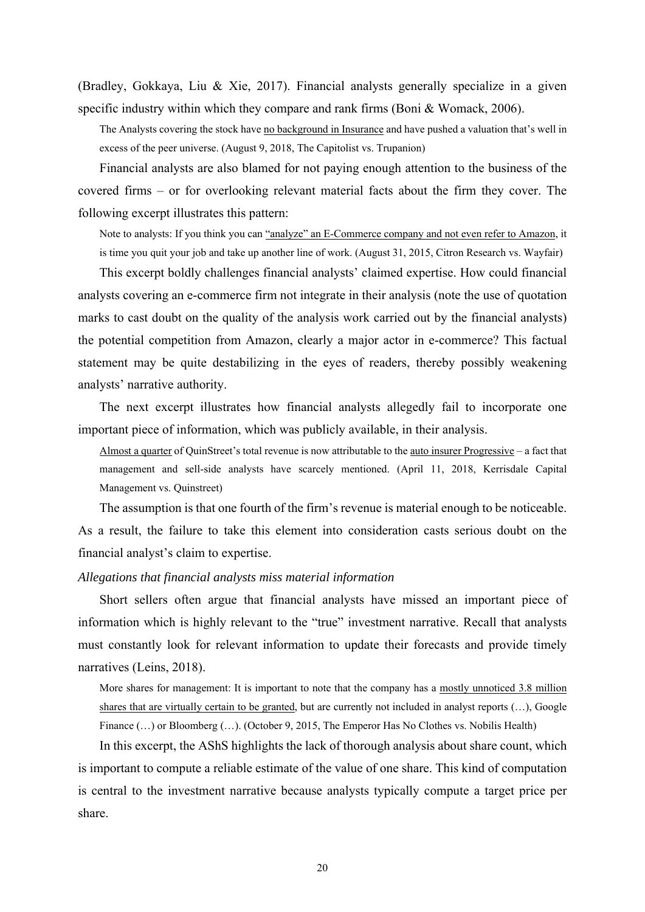(Bradley, Gokkaya, Liu & Xie, 2017). Financial analysts generally specialize in a given specific industry within which they compare and rank firms (Boni & Womack, 2006).

The Analysts covering the stock have no background in Insurance and have pushed a valuation that's well in excess of the peer universe. (August 9, 2018, The Capitolist vs. Trupanion)

Financial analysts are also blamed for not paying enough attention to the business of the covered firms – or for overlooking relevant material facts about the firm they cover. The following excerpt illustrates this pattern:

Note to analysts: If you think you can "analyze" an E-Commerce company and not even refer to Amazon, it is time you quit your job and take up another line of work. (August 31, 2015, Citron Research vs. Wayfair)

This excerpt boldly challenges financial analysts' claimed expertise. How could financial analysts covering an e-commerce firm not integrate in their analysis (note the use of quotation marks to cast doubt on the quality of the analysis work carried out by the financial analysts) the potential competition from Amazon, clearly a major actor in e-commerce? This factual statement may be quite destabilizing in the eyes of readers, thereby possibly weakening analysts' narrative authority.

The next excerpt illustrates how financial analysts allegedly fail to incorporate one important piece of information, which was publicly available, in their analysis.

Almost a quarter of QuinStreet's total revenue is now attributable to the auto insurer Progressive – a fact that management and sell-side analysts have scarcely mentioned. (April 11, 2018, Kerrisdale Capital Management vs. Quinstreet)

The assumption is that one fourth of the firm's revenue is material enough to be noticeable. As a result, the failure to take this element into consideration casts serious doubt on the financial analyst's claim to expertise.

### *Allegations that financial analysts miss material information*

Short sellers often argue that financial analysts have missed an important piece of information which is highly relevant to the "true" investment narrative. Recall that analysts must constantly look for relevant information to update their forecasts and provide timely narratives (Leins, 2018).

More shares for management: It is important to note that the company has a mostly unnoticed 3.8 million shares that are virtually certain to be granted, but are currently not included in analyst reports (...), Google Finance  $(\ldots)$  or Bloomberg  $(\ldots)$ . (October 9, 2015, The Emperor Has No Clothes vs. Nobilis Health)

In this excerpt, the AShS highlights the lack of thorough analysis about share count, which is important to compute a reliable estimate of the value of one share. This kind of computation is central to the investment narrative because analysts typically compute a target price per share.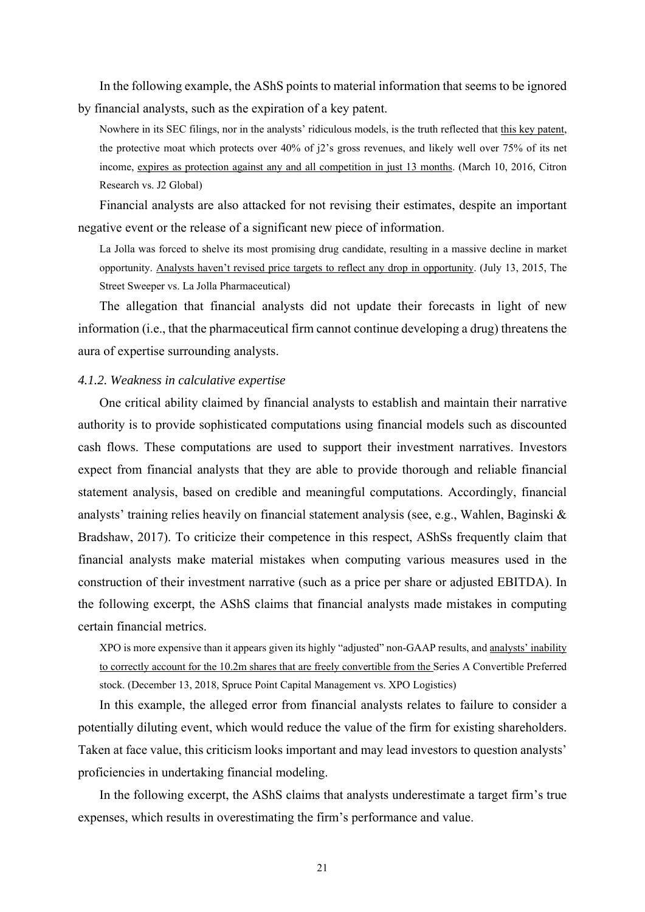In the following example, the AShS points to material information that seems to be ignored by financial analysts, such as the expiration of a key patent.

Nowhere in its SEC filings, nor in the analysts' ridiculous models, is the truth reflected that this key patent, the protective moat which protects over 40% of j2's gross revenues, and likely well over 75% of its net income, expires as protection against any and all competition in just 13 months. (March 10, 2016, Citron Research vs. J2 Global)

Financial analysts are also attacked for not revising their estimates, despite an important negative event or the release of a significant new piece of information.

La Jolla was forced to shelve its most promising drug candidate, resulting in a massive decline in market opportunity. Analysts haven't revised price targets to reflect any drop in opportunity. (July 13, 2015, The Street Sweeper vs. La Jolla Pharmaceutical)

The allegation that financial analysts did not update their forecasts in light of new information (i.e., that the pharmaceutical firm cannot continue developing a drug) threatens the aura of expertise surrounding analysts.

#### *4.1.2. Weakness in calculative expertise*

One critical ability claimed by financial analysts to establish and maintain their narrative authority is to provide sophisticated computations using financial models such as discounted cash flows. These computations are used to support their investment narratives. Investors expect from financial analysts that they are able to provide thorough and reliable financial statement analysis, based on credible and meaningful computations. Accordingly, financial analysts' training relies heavily on financial statement analysis (see, e.g., Wahlen, Baginski & Bradshaw, 2017). To criticize their competence in this respect, AShSs frequently claim that financial analysts make material mistakes when computing various measures used in the construction of their investment narrative (such as a price per share or adjusted EBITDA). In the following excerpt, the AShS claims that financial analysts made mistakes in computing certain financial metrics.

XPO is more expensive than it appears given its highly "adjusted" non-GAAP results, and analysts' inability to correctly account for the 10.2m shares that are freely convertible from the Series A Convertible Preferred stock. (December 13, 2018, Spruce Point Capital Management vs. XPO Logistics)

In this example, the alleged error from financial analysts relates to failure to consider a potentially diluting event, which would reduce the value of the firm for existing shareholders. Taken at face value, this criticism looks important and may lead investors to question analysts' proficiencies in undertaking financial modeling.

In the following excerpt, the AShS claims that analysts underestimate a target firm's true expenses, which results in overestimating the firm's performance and value.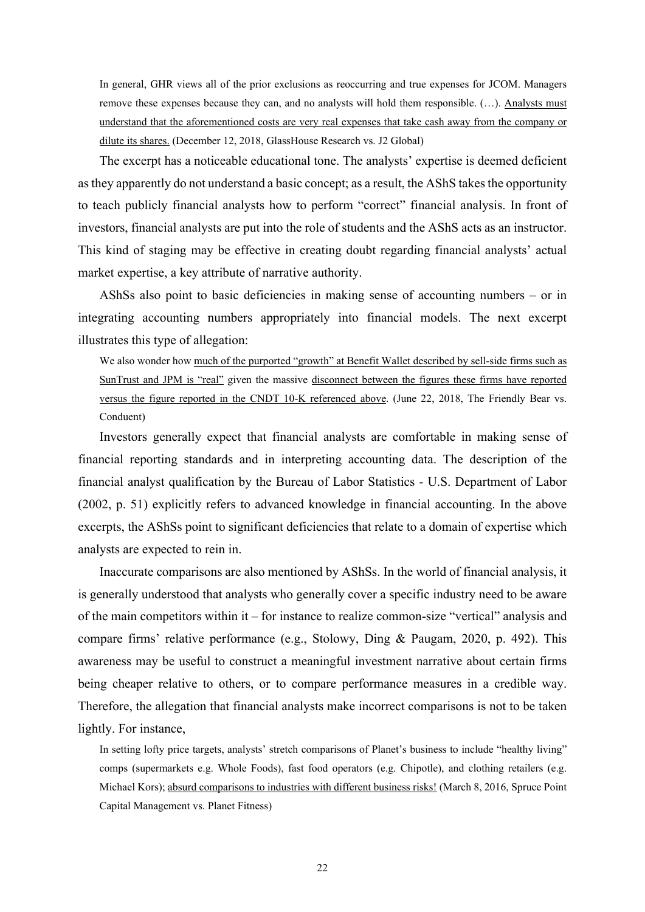In general, GHR views all of the prior exclusions as reoccurring and true expenses for JCOM. Managers remove these expenses because they can, and no analysts will hold them responsible. (…). Analysts must understand that the aforementioned costs are very real expenses that take cash away from the company or dilute its shares. (December 12, 2018, GlassHouse Research vs. J2 Global)

The excerpt has a noticeable educational tone. The analysts' expertise is deemed deficient as they apparently do not understand a basic concept; as a result, the AShS takes the opportunity to teach publicly financial analysts how to perform "correct" financial analysis. In front of investors, financial analysts are put into the role of students and the AShS acts as an instructor. This kind of staging may be effective in creating doubt regarding financial analysts' actual market expertise, a key attribute of narrative authority.

AShSs also point to basic deficiencies in making sense of accounting numbers – or in integrating accounting numbers appropriately into financial models. The next excerpt illustrates this type of allegation:

We also wonder how much of the purported "growth" at Benefit Wallet described by sell-side firms such as SunTrust and JPM is "real" given the massive disconnect between the figures these firms have reported versus the figure reported in the CNDT 10-K referenced above. (June 22, 2018, The Friendly Bear vs. Conduent)

Investors generally expect that financial analysts are comfortable in making sense of financial reporting standards and in interpreting accounting data. The description of the financial analyst qualification by the Bureau of Labor Statistics - U.S. Department of Labor (2002, p. 51) explicitly refers to advanced knowledge in financial accounting. In the above excerpts, the AShSs point to significant deficiencies that relate to a domain of expertise which analysts are expected to rein in.

Inaccurate comparisons are also mentioned by AShSs. In the world of financial analysis, it is generally understood that analysts who generally cover a specific industry need to be aware of the main competitors within it – for instance to realize common-size "vertical" analysis and compare firms' relative performance (e.g., Stolowy, Ding & Paugam, 2020, p. 492). This awareness may be useful to construct a meaningful investment narrative about certain firms being cheaper relative to others, or to compare performance measures in a credible way. Therefore, the allegation that financial analysts make incorrect comparisons is not to be taken lightly. For instance,

In setting lofty price targets, analysts' stretch comparisons of Planet's business to include "healthy living" comps (supermarkets e.g. Whole Foods), fast food operators (e.g. Chipotle), and clothing retailers (e.g. Michael Kors); absurd comparisons to industries with different business risks! (March 8, 2016, Spruce Point Capital Management vs. Planet Fitness)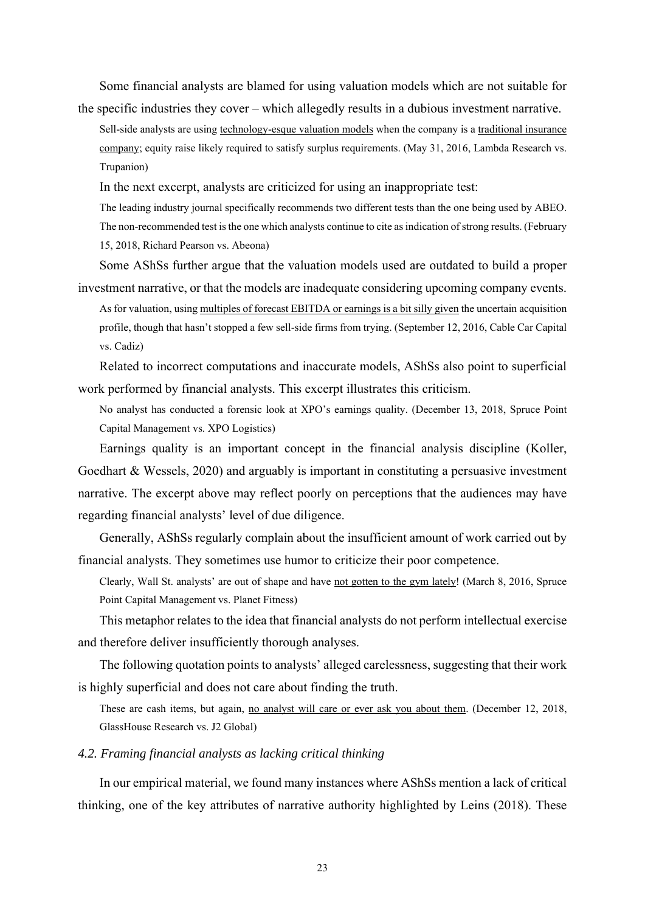Some financial analysts are blamed for using valuation models which are not suitable for the specific industries they cover – which allegedly results in a dubious investment narrative.

Sell-side analysts are using technology-esque valuation models when the company is a traditional insurance company; equity raise likely required to satisfy surplus requirements. (May 31, 2016, Lambda Research vs. Trupanion)

In the next excerpt, analysts are criticized for using an inappropriate test:

The leading industry journal specifically recommends two different tests than the one being used by ABEO. The non-recommended test is the one which analysts continue to cite as indication of strong results. (February 15, 2018, Richard Pearson vs. Abeona)

Some AShSs further argue that the valuation models used are outdated to build a proper investment narrative, or that the models are inadequate considering upcoming company events. As for valuation, using multiples of forecast EBITDA or earnings is a bit silly given the uncertain acquisition

profile, though that hasn't stopped a few sell-side firms from trying. (September 12, 2016, Cable Car Capital vs. Cadiz)

Related to incorrect computations and inaccurate models, AShSs also point to superficial work performed by financial analysts. This excerpt illustrates this criticism.

No analyst has conducted a forensic look at XPO's earnings quality. (December 13, 2018, Spruce Point Capital Management vs. XPO Logistics)

Earnings quality is an important concept in the financial analysis discipline (Koller, Goedhart & Wessels, 2020) and arguably is important in constituting a persuasive investment narrative. The excerpt above may reflect poorly on perceptions that the audiences may have regarding financial analysts' level of due diligence.

Generally, AShSs regularly complain about the insufficient amount of work carried out by financial analysts. They sometimes use humor to criticize their poor competence.

Clearly, Wall St. analysts' are out of shape and have not gotten to the gym lately! (March 8, 2016, Spruce Point Capital Management vs. Planet Fitness)

This metaphor relates to the idea that financial analysts do not perform intellectual exercise and therefore deliver insufficiently thorough analyses.

The following quotation points to analysts' alleged carelessness, suggesting that their work is highly superficial and does not care about finding the truth.

These are cash items, but again, <u>no analyst will care or ever ask you about them</u>. (December 12, 2018, GlassHouse Research vs. J2 Global)

## *4.2. Framing financial analysts as lacking critical thinking*

In our empirical material, we found many instances where AShSs mention a lack of critical thinking, one of the key attributes of narrative authority highlighted by Leins (2018). These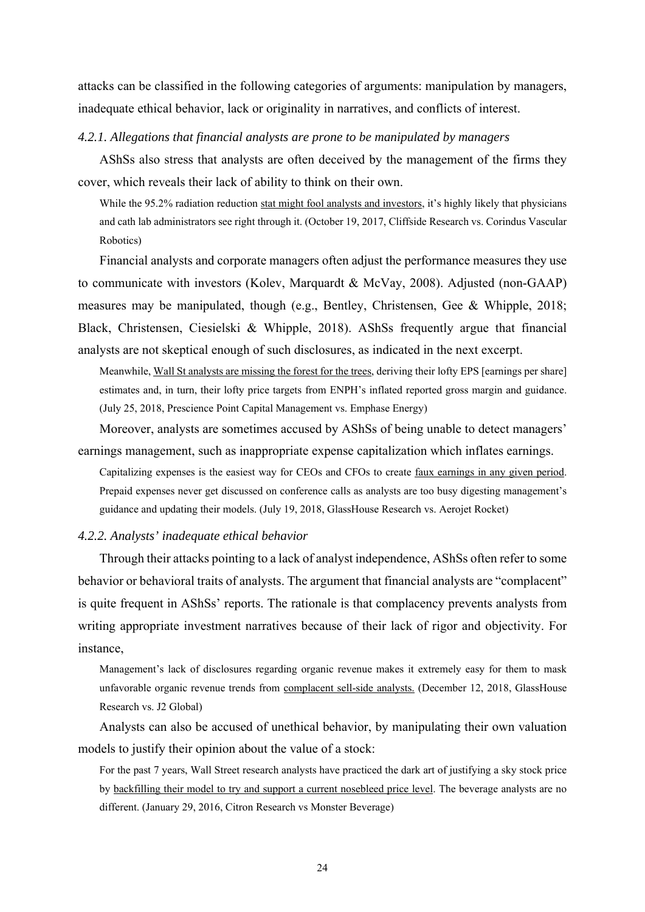attacks can be classified in the following categories of arguments: manipulation by managers, inadequate ethical behavior, lack or originality in narratives, and conflicts of interest.

### *4.2.1. Allegations that financial analysts are prone to be manipulated by managers*

AShSs also stress that analysts are often deceived by the management of the firms they cover, which reveals their lack of ability to think on their own.

While the 95.2% radiation reduction stat might fool analysts and investors, it's highly likely that physicians and cath lab administrators see right through it. (October 19, 2017, Cliffside Research vs. Corindus Vascular Robotics)

Financial analysts and corporate managers often adjust the performance measures they use to communicate with investors (Kolev, Marquardt & McVay, 2008). Adjusted (non-GAAP) measures may be manipulated, though (e.g., Bentley, Christensen, Gee & Whipple, 2018; Black, Christensen, Ciesielski & Whipple, 2018). AShSs frequently argue that financial analysts are not skeptical enough of such disclosures, as indicated in the next excerpt.

Meanwhile, Wall St analysts are missing the forest for the trees, deriving their lofty EPS [earnings per share] estimates and, in turn, their lofty price targets from ENPH's inflated reported gross margin and guidance. (July 25, 2018, Prescience Point Capital Management vs. Emphase Energy)

Moreover, analysts are sometimes accused by AShSs of being unable to detect managers' earnings management, such as inappropriate expense capitalization which inflates earnings.

Capitalizing expenses is the easiest way for CEOs and CFOs to create faux earnings in any given period. Prepaid expenses never get discussed on conference calls as analysts are too busy digesting management's guidance and updating their models. (July 19, 2018, GlassHouse Research vs. Aerojet Rocket)

### *4.2.2. Analysts' inadequate ethical behavior*

Through their attacks pointing to a lack of analyst independence, AShSs often refer to some behavior or behavioral traits of analysts. The argument that financial analysts are "complacent" is quite frequent in AShSs' reports. The rationale is that complacency prevents analysts from writing appropriate investment narratives because of their lack of rigor and objectivity. For instance,

Management's lack of disclosures regarding organic revenue makes it extremely easy for them to mask unfavorable organic revenue trends from complacent sell-side analysts. (December 12, 2018, GlassHouse Research vs. J2 Global)

Analysts can also be accused of unethical behavior, by manipulating their own valuation models to justify their opinion about the value of a stock:

For the past 7 years, Wall Street research analysts have practiced the dark art of justifying a sky stock price by backfilling their model to try and support a current nosebleed price level. The beverage analysts are no different. (January 29, 2016, Citron Research vs Monster Beverage)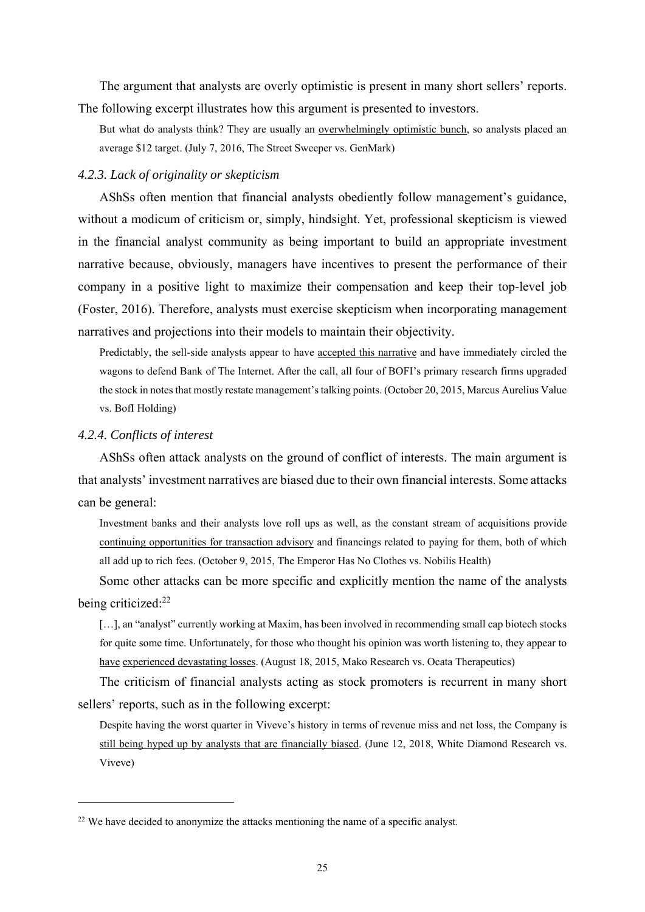The argument that analysts are overly optimistic is present in many short sellers' reports. The following excerpt illustrates how this argument is presented to investors.

But what do analysts think? They are usually an overwhelmingly optimistic bunch, so analysts placed an average \$12 target. (July 7, 2016, The Street Sweeper vs. GenMark)

### *4.2.3. Lack of originality or skepticism*

AShSs often mention that financial analysts obediently follow management's guidance, without a modicum of criticism or, simply, hindsight. Yet, professional skepticism is viewed in the financial analyst community as being important to build an appropriate investment narrative because, obviously, managers have incentives to present the performance of their company in a positive light to maximize their compensation and keep their top-level job (Foster, 2016). Therefore, analysts must exercise skepticism when incorporating management narratives and projections into their models to maintain their objectivity.

Predictably, the sell-side analysts appear to have accepted this narrative and have immediately circled the wagons to defend Bank of The Internet. After the call, all four of BOFI's primary research firms upgraded the stock in notes that mostly restate management's talking points. (October 20, 2015, Marcus Aurelius Value vs. BofI Holding)

### *4.2.4. Conflicts of interest*

AShSs often attack analysts on the ground of conflict of interests. The main argument is that analysts' investment narratives are biased due to their own financial interests. Some attacks can be general:

Investment banks and their analysts love roll ups as well, as the constant stream of acquisitions provide continuing opportunities for transaction advisory and financings related to paying for them, both of which all add up to rich fees. (October 9, 2015, The Emperor Has No Clothes vs. Nobilis Health)

Some other attacks can be more specific and explicitly mention the name of the analysts being criticized:<sup>22</sup>

[...], an "analyst" currently working at Maxim, has been involved in recommending small cap biotech stocks for quite some time. Unfortunately, for those who thought his opinion was worth listening to, they appear to have experienced devastating losses. (August 18, 2015, Mako Research vs. Ocata Therapeutics)

The criticism of financial analysts acting as stock promoters is recurrent in many short sellers' reports, such as in the following excerpt:

Despite having the worst quarter in Viveve's history in terms of revenue miss and net loss, the Company is still being hyped up by analysts that are financially biased. (June 12, 2018, White Diamond Research vs. Viveve)

 $22$  We have decided to anonymize the attacks mentioning the name of a specific analyst.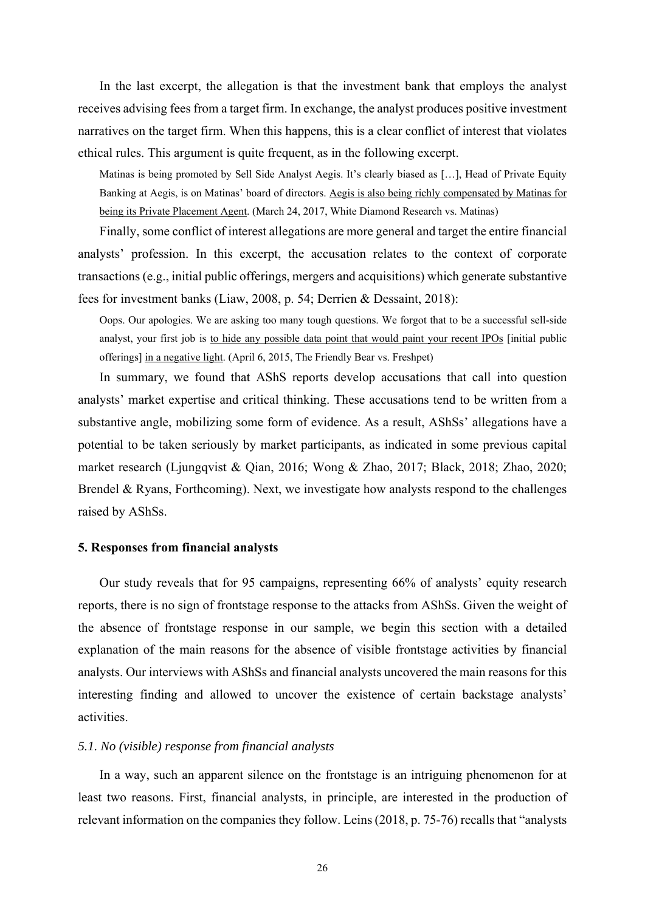In the last excerpt, the allegation is that the investment bank that employs the analyst receives advising fees from a target firm. In exchange, the analyst produces positive investment narratives on the target firm. When this happens, this is a clear conflict of interest that violates ethical rules. This argument is quite frequent, as in the following excerpt.

Matinas is being promoted by Sell Side Analyst Aegis. It's clearly biased as […], Head of Private Equity Banking at Aegis, is on Matinas' board of directors. Aegis is also being richly compensated by Matinas for being its Private Placement Agent. (March 24, 2017, White Diamond Research vs. Matinas)

Finally, some conflict of interest allegations are more general and target the entire financial analysts' profession. In this excerpt, the accusation relates to the context of corporate transactions (e.g., initial public offerings, mergers and acquisitions) which generate substantive fees for investment banks (Liaw, 2008, p. 54; Derrien & Dessaint, 2018):

Oops. Our apologies. We are asking too many tough questions. We forgot that to be a successful sell-side analyst, your first job is to hide any possible data point that would paint your recent IPOs [initial public offerings] in a negative light. (April 6, 2015, The Friendly Bear vs. Freshpet)

In summary, we found that AShS reports develop accusations that call into question analysts' market expertise and critical thinking. These accusations tend to be written from a substantive angle, mobilizing some form of evidence. As a result, AShSs' allegations have a potential to be taken seriously by market participants, as indicated in some previous capital market research (Ljungqvist & Qian, 2016; Wong & Zhao, 2017; Black, 2018; Zhao, 2020; Brendel & Ryans, Forthcoming). Next, we investigate how analysts respond to the challenges raised by AShSs.

#### **5. Responses from financial analysts**

Our study reveals that for 95 campaigns, representing 66% of analysts' equity research reports, there is no sign of frontstage response to the attacks from AShSs. Given the weight of the absence of frontstage response in our sample, we begin this section with a detailed explanation of the main reasons for the absence of visible frontstage activities by financial analysts. Our interviews with AShSs and financial analysts uncovered the main reasons for this interesting finding and allowed to uncover the existence of certain backstage analysts' activities.

### *5.1. No (visible) response from financial analysts*

In a way, such an apparent silence on the frontstage is an intriguing phenomenon for at least two reasons. First, financial analysts, in principle, are interested in the production of relevant information on the companies they follow. Leins (2018, p. 75-76) recalls that "analysts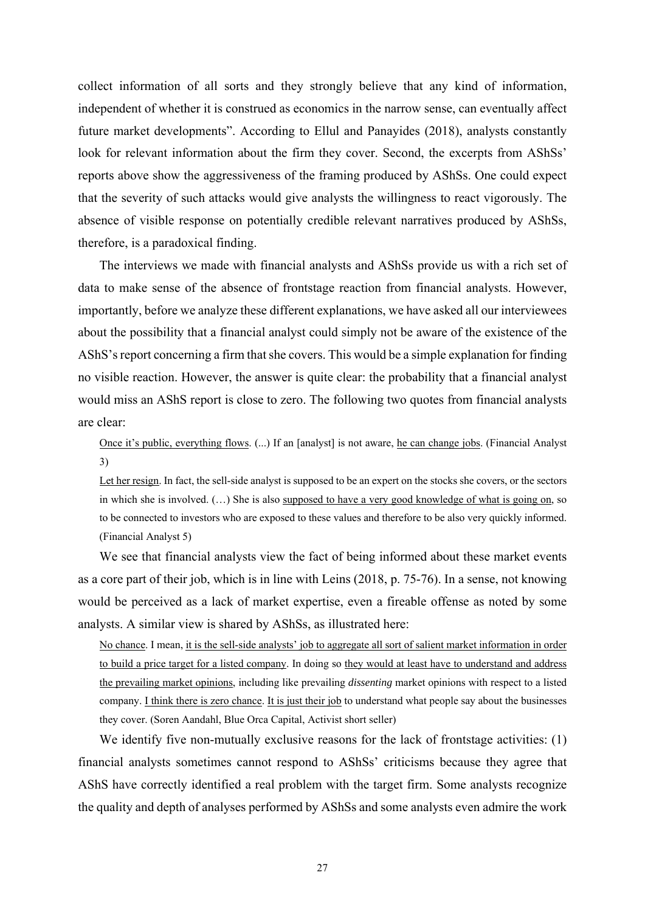collect information of all sorts and they strongly believe that any kind of information, independent of whether it is construed as economics in the narrow sense, can eventually affect future market developments". According to Ellul and Panayides (2018), analysts constantly look for relevant information about the firm they cover. Second, the excerpts from AShSs' reports above show the aggressiveness of the framing produced by AShSs. One could expect that the severity of such attacks would give analysts the willingness to react vigorously. The absence of visible response on potentially credible relevant narratives produced by AShSs, therefore, is a paradoxical finding.

The interviews we made with financial analysts and AShSs provide us with a rich set of data to make sense of the absence of frontstage reaction from financial analysts. However, importantly, before we analyze these different explanations, we have asked all our interviewees about the possibility that a financial analyst could simply not be aware of the existence of the AShS's report concerning a firm that she covers. This would be a simple explanation for finding no visible reaction. However, the answer is quite clear: the probability that a financial analyst would miss an AShS report is close to zero. The following two quotes from financial analysts are clear:

Once it's public, everything flows. (...) If an [analyst] is not aware, he can change jobs. (Financial Analyst 3)

Let her resign. In fact, the sell-side analyst is supposed to be an expert on the stocks she covers, or the sectors in which she is involved. (…) She is also supposed to have a very good knowledge of what is going on, so to be connected to investors who are exposed to these values and therefore to be also very quickly informed. (Financial Analyst 5)

We see that financial analysts view the fact of being informed about these market events as a core part of their job, which is in line with Leins (2018, p. 75-76). In a sense, not knowing would be perceived as a lack of market expertise, even a fireable offense as noted by some analysts. A similar view is shared by AShSs, as illustrated here:

No chance. I mean, it is the sell-side analysts' job to aggregate all sort of salient market information in order to build a price target for a listed company. In doing so they would at least have to understand and address the prevailing market opinions, including like prevailing *dissenting* market opinions with respect to a listed company. I think there is zero chance. It is just their job to understand what people say about the businesses they cover. (Soren Aandahl, Blue Orca Capital, Activist short seller)

We identify five non-mutually exclusive reasons for the lack of frontstage activities: (1) financial analysts sometimes cannot respond to AShSs' criticisms because they agree that AShS have correctly identified a real problem with the target firm. Some analysts recognize the quality and depth of analyses performed by AShSs and some analysts even admire the work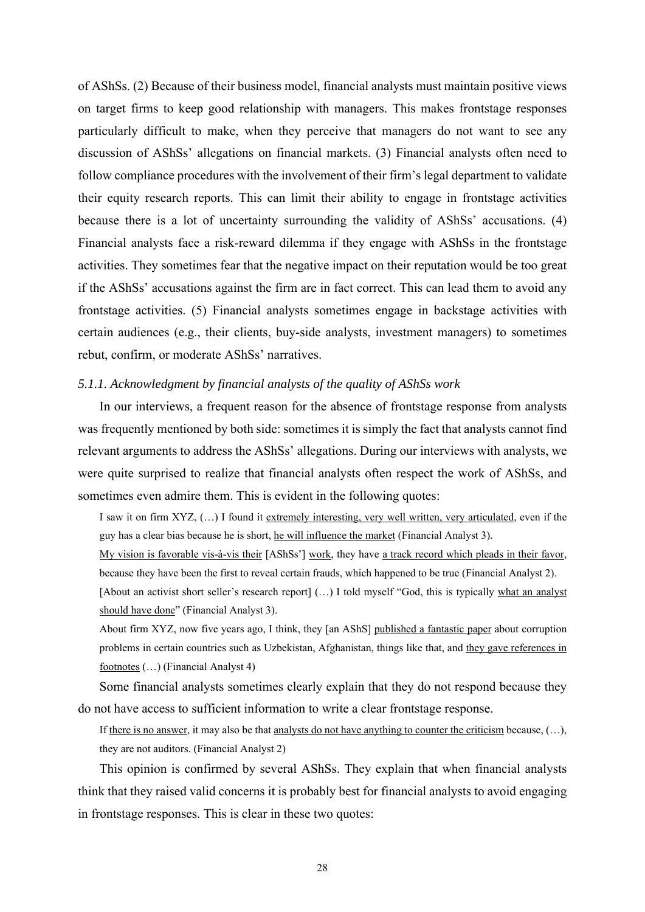of AShSs. (2) Because of their business model, financial analysts must maintain positive views on target firms to keep good relationship with managers. This makes frontstage responses particularly difficult to make, when they perceive that managers do not want to see any discussion of AShSs' allegations on financial markets. (3) Financial analysts often need to follow compliance procedures with the involvement of their firm's legal department to validate their equity research reports. This can limit their ability to engage in frontstage activities because there is a lot of uncertainty surrounding the validity of AShSs' accusations. (4) Financial analysts face a risk-reward dilemma if they engage with AShSs in the frontstage activities. They sometimes fear that the negative impact on their reputation would be too great if the AShSs' accusations against the firm are in fact correct. This can lead them to avoid any frontstage activities. (5) Financial analysts sometimes engage in backstage activities with certain audiences (e.g., their clients, buy-side analysts, investment managers) to sometimes rebut, confirm, or moderate AShSs' narratives.

### *5.1.1. Acknowledgment by financial analysts of the quality of AShSs work*

In our interviews, a frequent reason for the absence of frontstage response from analysts was frequently mentioned by both side: sometimes it is simply the fact that analysts cannot find relevant arguments to address the AShSs' allegations. During our interviews with analysts, we were quite surprised to realize that financial analysts often respect the work of AShSs, and sometimes even admire them. This is evident in the following quotes:

I saw it on firm XYZ, (…) I found it extremely interesting, very well written, very articulated, even if the guy has a clear bias because he is short, he will influence the market (Financial Analyst 3).

My vision is favorable vis-à-vis their [AShSs'] work, they have a track record which pleads in their favor, because they have been the first to reveal certain frauds, which happened to be true (Financial Analyst 2).

[About an activist short seller's research report] (…) I told myself "God, this is typically what an analyst should have done" (Financial Analyst 3).

About firm XYZ, now five years ago, I think, they [an AShS] published a fantastic paper about corruption problems in certain countries such as Uzbekistan, Afghanistan, things like that, and they gave references in footnotes (…) (Financial Analyst 4)

Some financial analysts sometimes clearly explain that they do not respond because they do not have access to sufficient information to write a clear frontstage response.

If there is no answer, it may also be that analysts do not have anything to counter the criticism because,  $(...),$ they are not auditors. (Financial Analyst 2)

This opinion is confirmed by several AShSs. They explain that when financial analysts think that they raised valid concerns it is probably best for financial analysts to avoid engaging in frontstage responses. This is clear in these two quotes: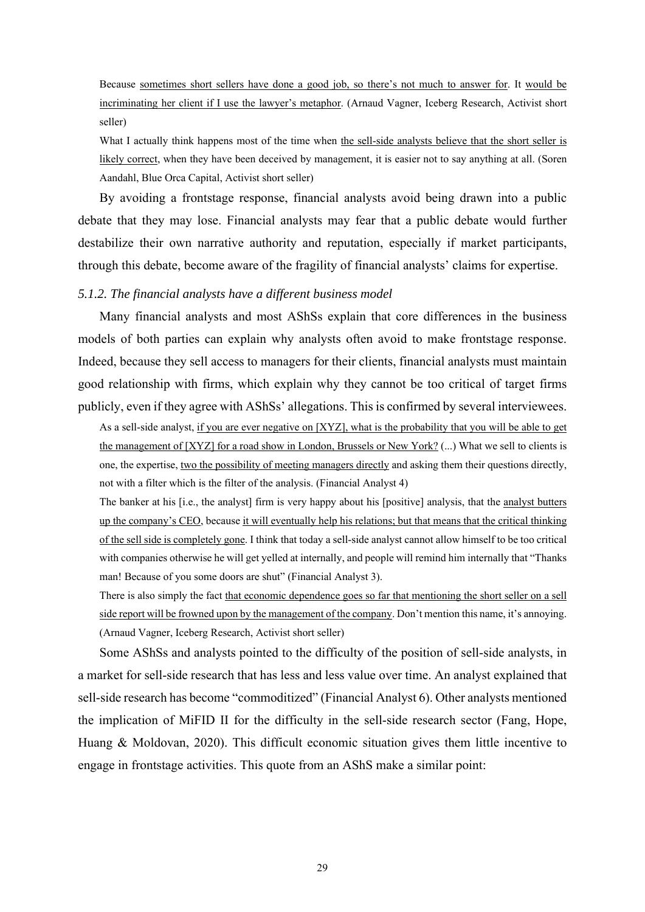Because sometimes short sellers have done a good job, so there's not much to answer for. It would be incriminating her client if I use the lawyer's metaphor. (Arnaud Vagner, Iceberg Research, Activist short seller)

What I actually think happens most of the time when the sell-side analysts believe that the short seller is likely correct, when they have been deceived by management, it is easier not to say anything at all. (Soren Aandahl, Blue Orca Capital, Activist short seller)

By avoiding a frontstage response, financial analysts avoid being drawn into a public debate that they may lose. Financial analysts may fear that a public debate would further destabilize their own narrative authority and reputation, especially if market participants, through this debate, become aware of the fragility of financial analysts' claims for expertise.

### *5.1.2. The financial analysts have a different business model*

Many financial analysts and most AShSs explain that core differences in the business models of both parties can explain why analysts often avoid to make frontstage response. Indeed, because they sell access to managers for their clients, financial analysts must maintain good relationship with firms, which explain why they cannot be too critical of target firms publicly, even if they agree with AShSs' allegations. This is confirmed by several interviewees.

As a sell-side analyst, if you are ever negative on [XYZ], what is the probability that you will be able to get the management of [XYZ] for a road show in London, Brussels or New York? (...) What we sell to clients is one, the expertise, two the possibility of meeting managers directly and asking them their questions directly, not with a filter which is the filter of the analysis. (Financial Analyst 4)

The banker at his [i.e., the analyst] firm is very happy about his [positive] analysis, that the analyst butters up the company's CEO, because it will eventually help his relations; but that means that the critical thinking of the sell side is completely gone. I think that today a sell-side analyst cannot allow himself to be too critical with companies otherwise he will get yelled at internally, and people will remind him internally that "Thanks man! Because of you some doors are shut" (Financial Analyst 3).

There is also simply the fact that economic dependence goes so far that mentioning the short seller on a sell side report will be frowned upon by the management of the company. Don't mention this name, it's annoying. (Arnaud Vagner, Iceberg Research, Activist short seller)

Some AShSs and analysts pointed to the difficulty of the position of sell-side analysts, in a market for sell-side research that has less and less value over time. An analyst explained that sell-side research has become "commoditized" (Financial Analyst 6). Other analysts mentioned the implication of MiFID II for the difficulty in the sell-side research sector (Fang, Hope, Huang & Moldovan, 2020). This difficult economic situation gives them little incentive to engage in frontstage activities. This quote from an AShS make a similar point: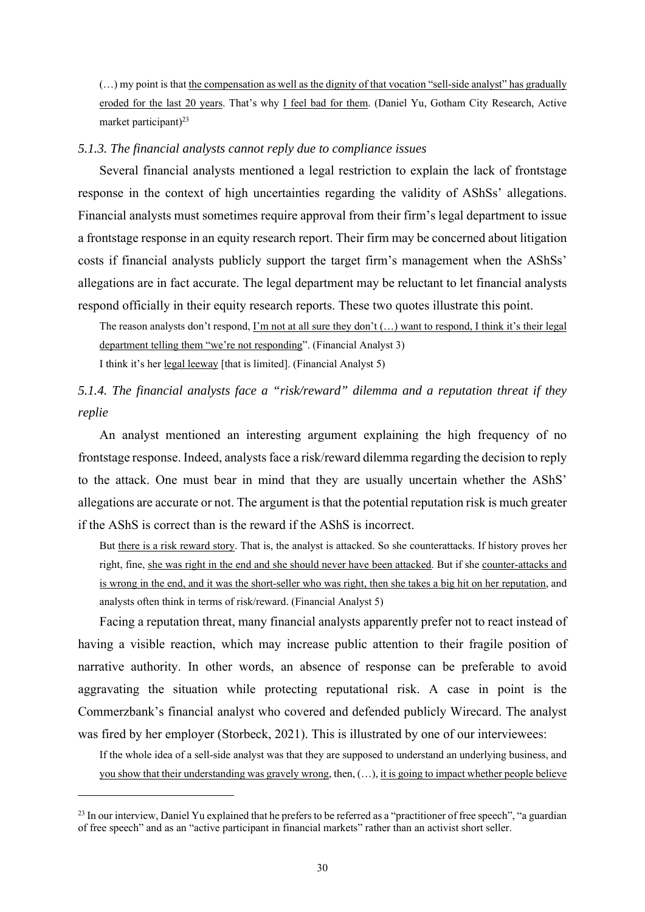(…) my point is that the compensation as well as the dignity of that vocation "sell-side analyst" has gradually eroded for the last 20 years. That's why I feel bad for them. (Daniel Yu, Gotham City Research, Active market participant)<sup>23</sup>

### *5.1.3. The financial analysts cannot reply due to compliance issues*

Several financial analysts mentioned a legal restriction to explain the lack of frontstage response in the context of high uncertainties regarding the validity of AShSs' allegations. Financial analysts must sometimes require approval from their firm's legal department to issue a frontstage response in an equity research report. Their firm may be concerned about litigation costs if financial analysts publicly support the target firm's management when the AShSs' allegations are in fact accurate. The legal department may be reluctant to let financial analysts respond officially in their equity research reports. These two quotes illustrate this point.

The reason analysts don't respond, I'm not at all sure they don't (…) want to respond, I think it's their legal department telling them "we're not responding". (Financial Analyst 3) I think it's her legal leeway [that is limited]. (Financial Analyst 5)

# *5.1.4. The financial analysts face a "risk/reward" dilemma and a reputation threat if they replie*

An analyst mentioned an interesting argument explaining the high frequency of no frontstage response. Indeed, analysts face a risk/reward dilemma regarding the decision to reply to the attack. One must bear in mind that they are usually uncertain whether the AShS' allegations are accurate or not. The argument is that the potential reputation risk is much greater if the AShS is correct than is the reward if the AShS is incorrect.

But there is a risk reward story. That is, the analyst is attacked. So she counterattacks. If history proves her right, fine, she was right in the end and she should never have been attacked. But if she counter-attacks and is wrong in the end, and it was the short-seller who was right, then she takes a big hit on her reputation, and analysts often think in terms of risk/reward. (Financial Analyst 5)

Facing a reputation threat, many financial analysts apparently prefer not to react instead of having a visible reaction, which may increase public attention to their fragile position of narrative authority. In other words, an absence of response can be preferable to avoid aggravating the situation while protecting reputational risk. A case in point is the Commerzbank's financial analyst who covered and defended publicly Wirecard. The analyst was fired by her employer (Storbeck, 2021). This is illustrated by one of our interviewees:

If the whole idea of a sell-side analyst was that they are supposed to understand an underlying business, and you show that their understanding was gravely wrong, then, (…), it is going to impact whether people believe

<sup>&</sup>lt;sup>23</sup> In our interview, Daniel Yu explained that he prefers to be referred as a "practitioner of free speech", "a guardian of free speech" and as an "active participant in financial markets" rather than an activist short seller.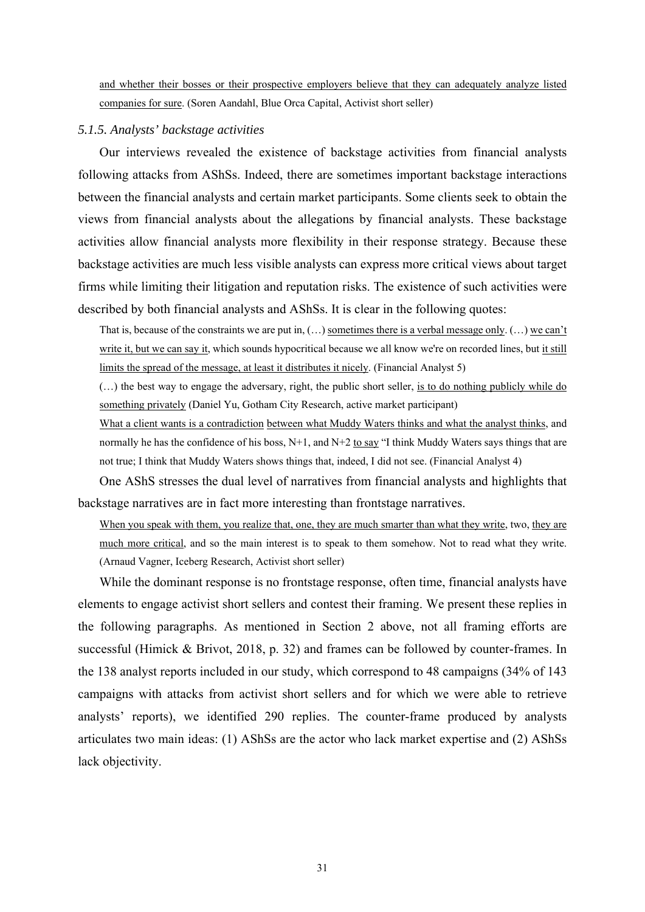and whether their bosses or their prospective employers believe that they can adequately analyze listed companies for sure. (Soren Aandahl, Blue Orca Capital, Activist short seller)

### *5.1.5. Analysts' backstage activities*

Our interviews revealed the existence of backstage activities from financial analysts following attacks from AShSs. Indeed, there are sometimes important backstage interactions between the financial analysts and certain market participants. Some clients seek to obtain the views from financial analysts about the allegations by financial analysts. These backstage activities allow financial analysts more flexibility in their response strategy. Because these backstage activities are much less visible analysts can express more critical views about target firms while limiting their litigation and reputation risks. The existence of such activities were described by both financial analysts and AShSs. It is clear in the following quotes:

That is, because of the constraints we are put in,  $(...)$  sometimes there is a verbal message only.  $(...)$  we can't write it, but we can say it, which sounds hypocritical because we all know we're on recorded lines, but it still limits the spread of the message, at least it distributes it nicely. (Financial Analyst 5)

(…) the best way to engage the adversary, right, the public short seller, is to do nothing publicly while do something privately (Daniel Yu, Gotham City Research, active market participant)

What a client wants is a contradiction between what Muddy Waters thinks and what the analyst thinks, and normally he has the confidence of his boss,  $N+1$ , and  $N+2$  to say "I think Muddy Waters says things that are not true; I think that Muddy Waters shows things that, indeed, I did not see. (Financial Analyst 4)

One AShS stresses the dual level of narratives from financial analysts and highlights that backstage narratives are in fact more interesting than frontstage narratives.

When you speak with them, you realize that, one, they are much smarter than what they write, two, they are much more critical, and so the main interest is to speak to them somehow. Not to read what they write. (Arnaud Vagner, Iceberg Research, Activist short seller)

While the dominant response is no frontstage response, often time, financial analysts have elements to engage activist short sellers and contest their framing. We present these replies in the following paragraphs. As mentioned in Section 2 above, not all framing efforts are successful (Himick & Brivot, 2018, p. 32) and frames can be followed by counter-frames. In the 138 analyst reports included in our study, which correspond to 48 campaigns (34% of 143 campaigns with attacks from activist short sellers and for which we were able to retrieve analysts' reports), we identified 290 replies. The counter-frame produced by analysts articulates two main ideas: (1) AShSs are the actor who lack market expertise and (2) AShSs lack objectivity.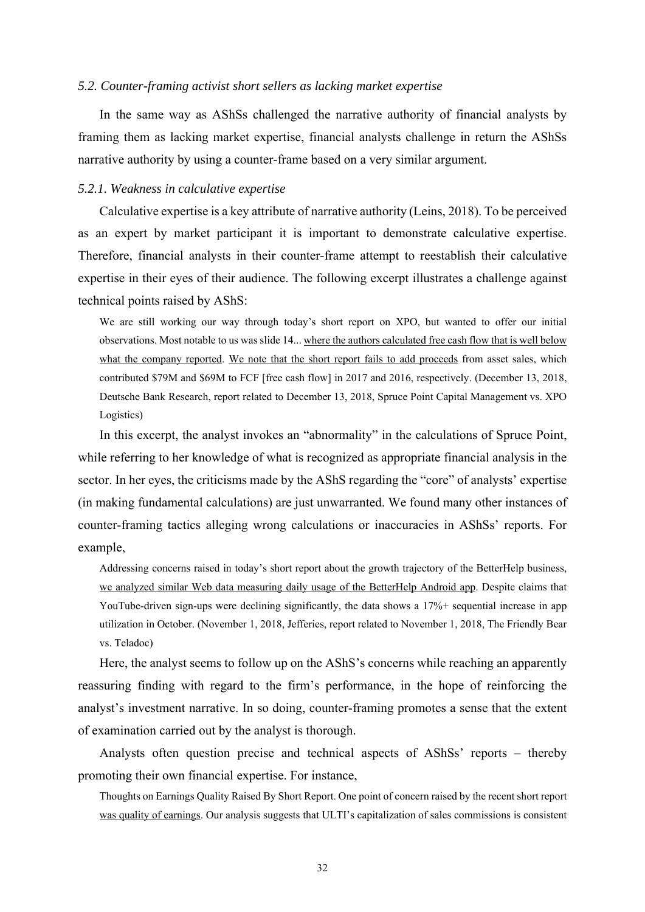#### *5.2. Counter-framing activist short sellers as lacking market expertise*

In the same way as AShSs challenged the narrative authority of financial analysts by framing them as lacking market expertise, financial analysts challenge in return the AShSs narrative authority by using a counter-frame based on a very similar argument.

#### *5.2.1. Weakness in calculative expertise*

Calculative expertise is a key attribute of narrative authority (Leins, 2018). To be perceived as an expert by market participant it is important to demonstrate calculative expertise. Therefore, financial analysts in their counter-frame attempt to reestablish their calculative expertise in their eyes of their audience. The following excerpt illustrates a challenge against technical points raised by AShS:

We are still working our way through today's short report on XPO, but wanted to offer our initial observations. Most notable to us was slide 14... where the authors calculated free cash flow that is well below what the company reported. We note that the short report fails to add proceeds from asset sales, which contributed \$79M and \$69M to FCF [free cash flow] in 2017 and 2016, respectively. (December 13, 2018, Deutsche Bank Research, report related to December 13, 2018, Spruce Point Capital Management vs. XPO Logistics)

In this excerpt, the analyst invokes an "abnormality" in the calculations of Spruce Point, while referring to her knowledge of what is recognized as appropriate financial analysis in the sector. In her eyes, the criticisms made by the AShS regarding the "core" of analysts' expertise (in making fundamental calculations) are just unwarranted. We found many other instances of counter-framing tactics alleging wrong calculations or inaccuracies in AShSs' reports. For example,

Addressing concerns raised in today's short report about the growth trajectory of the BetterHelp business, we analyzed similar Web data measuring daily usage of the BetterHelp Android app. Despite claims that YouTube-driven sign-ups were declining significantly, the data shows a 17%+ sequential increase in app utilization in October. (November 1, 2018, Jefferies, report related to November 1, 2018, The Friendly Bear vs. Teladoc)

Here, the analyst seems to follow up on the AShS's concerns while reaching an apparently reassuring finding with regard to the firm's performance, in the hope of reinforcing the analyst's investment narrative. In so doing, counter-framing promotes a sense that the extent of examination carried out by the analyst is thorough.

Analysts often question precise and technical aspects of AShSs' reports – thereby promoting their own financial expertise. For instance,

Thoughts on Earnings Quality Raised By Short Report. One point of concern raised by the recent short report was quality of earnings. Our analysis suggests that ULTI's capitalization of sales commissions is consistent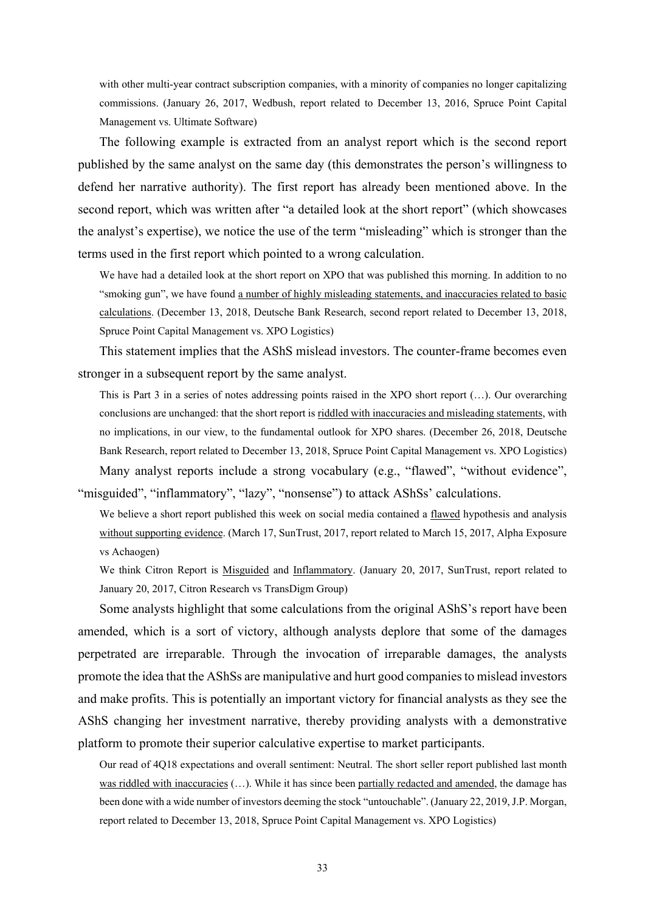with other multi-year contract subscription companies, with a minority of companies no longer capitalizing commissions. (January 26, 2017, Wedbush, report related to December 13, 2016, Spruce Point Capital Management vs. Ultimate Software)

The following example is extracted from an analyst report which is the second report published by the same analyst on the same day (this demonstrates the person's willingness to defend her narrative authority). The first report has already been mentioned above. In the second report, which was written after "a detailed look at the short report" (which showcases the analyst's expertise), we notice the use of the term "misleading" which is stronger than the terms used in the first report which pointed to a wrong calculation.

We have had a detailed look at the short report on XPO that was published this morning. In addition to no "smoking gun", we have found a number of highly misleading statements, and inaccuracies related to basic calculations. (December 13, 2018, Deutsche Bank Research, second report related to December 13, 2018, Spruce Point Capital Management vs. XPO Logistics)

This statement implies that the AShS mislead investors. The counter-frame becomes even stronger in a subsequent report by the same analyst.

This is Part 3 in a series of notes addressing points raised in the XPO short report (…). Our overarching conclusions are unchanged: that the short report is riddled with inaccuracies and misleading statements, with no implications, in our view, to the fundamental outlook for XPO shares. (December 26, 2018, Deutsche Bank Research, report related to December 13, 2018, Spruce Point Capital Management vs. XPO Logistics) Many analyst reports include a strong vocabulary (e.g., "flawed", "without evidence",

"misguided", "inflammatory", "lazy", "nonsense") to attack AShSs' calculations.

We believe a short report published this week on social media contained a flawed hypothesis and analysis without supporting evidence. (March 17, SunTrust, 2017, report related to March 15, 2017, Alpha Exposure vs Achaogen)

We think Citron Report is Misguided and Inflammatory. (January 20, 2017, SunTrust, report related to January 20, 2017, Citron Research vs TransDigm Group)

Some analysts highlight that some calculations from the original AShS's report have been amended, which is a sort of victory, although analysts deplore that some of the damages perpetrated are irreparable. Through the invocation of irreparable damages, the analysts promote the idea that the AShSs are manipulative and hurt good companies to mislead investors and make profits. This is potentially an important victory for financial analysts as they see the AShS changing her investment narrative, thereby providing analysts with a demonstrative platform to promote their superior calculative expertise to market participants.

Our read of 4Q18 expectations and overall sentiment: Neutral. The short seller report published last month was riddled with inaccuracies  $(...)$ . While it has since been partially redacted and amended, the damage has been done with a wide number of investors deeming the stock "untouchable". (January 22, 2019, J.P. Morgan, report related to December 13, 2018, Spruce Point Capital Management vs. XPO Logistics)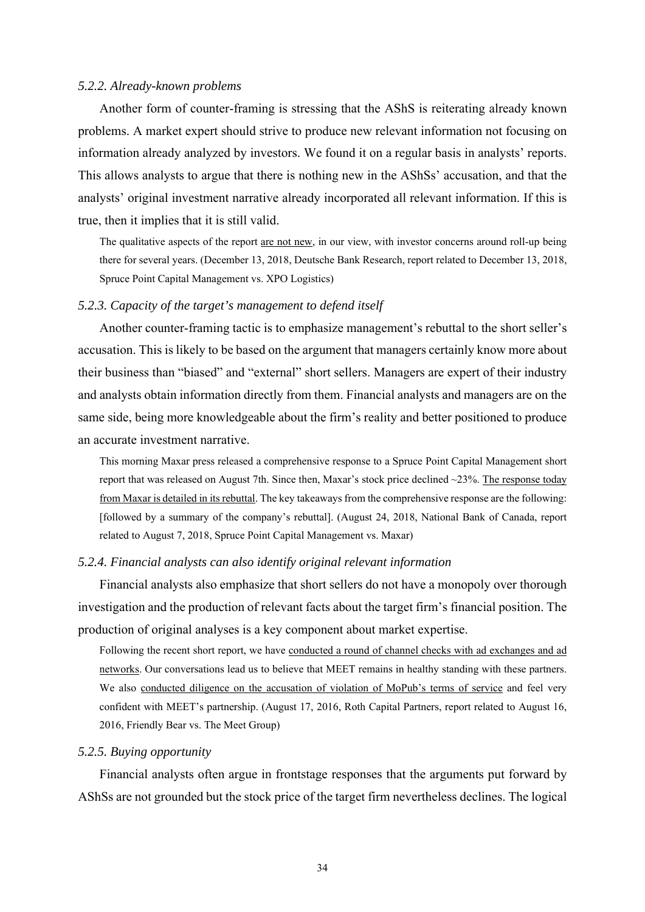#### *5.2.2. Already-known problems*

Another form of counter-framing is stressing that the AShS is reiterating already known problems. A market expert should strive to produce new relevant information not focusing on information already analyzed by investors. We found it on a regular basis in analysts' reports. This allows analysts to argue that there is nothing new in the AShSs' accusation, and that the analysts' original investment narrative already incorporated all relevant information. If this is true, then it implies that it is still valid.

The qualitative aspects of the report are not new, in our view, with investor concerns around roll-up being there for several years. (December 13, 2018, Deutsche Bank Research, report related to December 13, 2018, Spruce Point Capital Management vs. XPO Logistics)

### *5.2.3. Capacity of the target's management to defend itself*

Another counter-framing tactic is to emphasize management's rebuttal to the short seller's accusation. This is likely to be based on the argument that managers certainly know more about their business than "biased" and "external" short sellers. Managers are expert of their industry and analysts obtain information directly from them. Financial analysts and managers are on the same side, being more knowledgeable about the firm's reality and better positioned to produce an accurate investment narrative.

This morning Maxar press released a comprehensive response to a Spruce Point Capital Management short report that was released on August 7th. Since then, Maxar's stock price declined ~23%. The response today from Maxar is detailed in its rebuttal. The key takeaways from the comprehensive response are the following: [followed by a summary of the company's rebuttal]. (August 24, 2018, National Bank of Canada, report related to August 7, 2018, Spruce Point Capital Management vs. Maxar)

### *5.2.4. Financial analysts can also identify original relevant information*

Financial analysts also emphasize that short sellers do not have a monopoly over thorough investigation and the production of relevant facts about the target firm's financial position. The production of original analyses is a key component about market expertise.

Following the recent short report, we have conducted a round of channel checks with ad exchanges and ad networks. Our conversations lead us to believe that MEET remains in healthy standing with these partners. We also conducted diligence on the accusation of violation of MoPub's terms of service and feel very confident with MEET's partnership. (August 17, 2016, Roth Capital Partners, report related to August 16, 2016, Friendly Bear vs. The Meet Group)

### *5.2.5. Buying opportunity*

Financial analysts often argue in frontstage responses that the arguments put forward by AShSs are not grounded but the stock price of the target firm nevertheless declines. The logical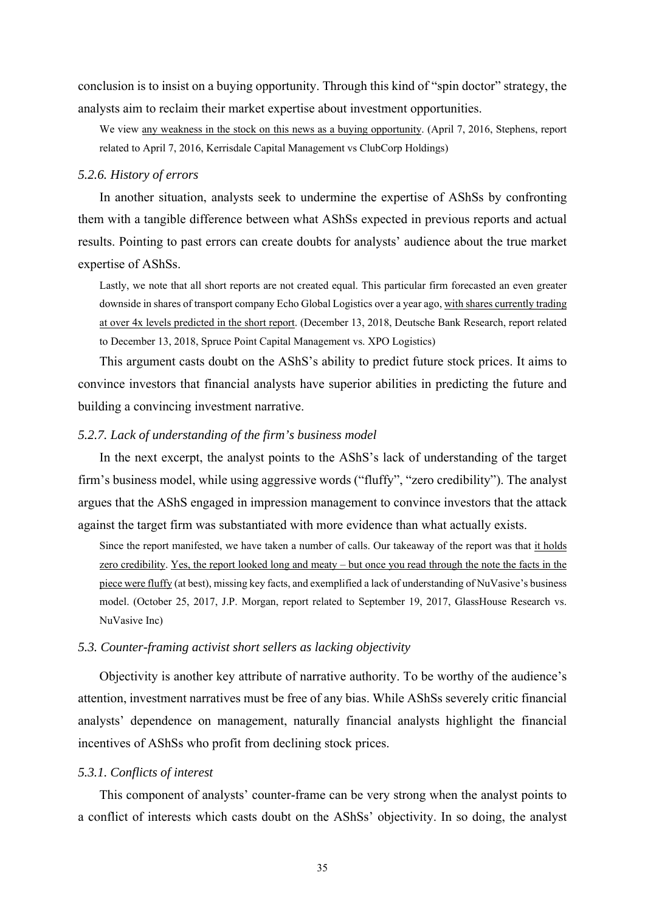conclusion is to insist on a buying opportunity. Through this kind of "spin doctor" strategy, the analysts aim to reclaim their market expertise about investment opportunities.

We view any weakness in the stock on this news as a buying opportunity. (April 7, 2016, Stephens, report related to April 7, 2016, Kerrisdale Capital Management vs ClubCorp Holdings)

### *5.2.6. History of errors*

In another situation, analysts seek to undermine the expertise of AShSs by confronting them with a tangible difference between what AShSs expected in previous reports and actual results. Pointing to past errors can create doubts for analysts' audience about the true market expertise of AShSs.

Lastly, we note that all short reports are not created equal. This particular firm forecasted an even greater downside in shares of transport company Echo Global Logistics over a year ago, with shares currently trading at over 4x levels predicted in the short report. (December 13, 2018, Deutsche Bank Research, report related to December 13, 2018, Spruce Point Capital Management vs. XPO Logistics)

This argument casts doubt on the AShS's ability to predict future stock prices. It aims to convince investors that financial analysts have superior abilities in predicting the future and building a convincing investment narrative.

### *5.2.7. Lack of understanding of the firm's business model*

In the next excerpt, the analyst points to the AShS's lack of understanding of the target firm's business model, while using aggressive words ("fluffy", "zero credibility"). The analyst argues that the AShS engaged in impression management to convince investors that the attack against the target firm was substantiated with more evidence than what actually exists.

Since the report manifested, we have taken a number of calls. Our takeaway of the report was that it holds zero credibility. Yes, the report looked long and meaty – but once you read through the note the facts in the piece were fluffy (at best), missing key facts, and exemplified a lack of understanding of NuVasive's business model. (October 25, 2017, J.P. Morgan, report related to September 19, 2017, GlassHouse Research vs. NuVasive Inc)

### *5.3. Counter-framing activist short sellers as lacking objectivity*

Objectivity is another key attribute of narrative authority. To be worthy of the audience's attention, investment narratives must be free of any bias. While AShSs severely critic financial analysts' dependence on management, naturally financial analysts highlight the financial incentives of AShSs who profit from declining stock prices.

### *5.3.1. Conflicts of interest*

This component of analysts' counter-frame can be very strong when the analyst points to a conflict of interests which casts doubt on the AShSs' objectivity. In so doing, the analyst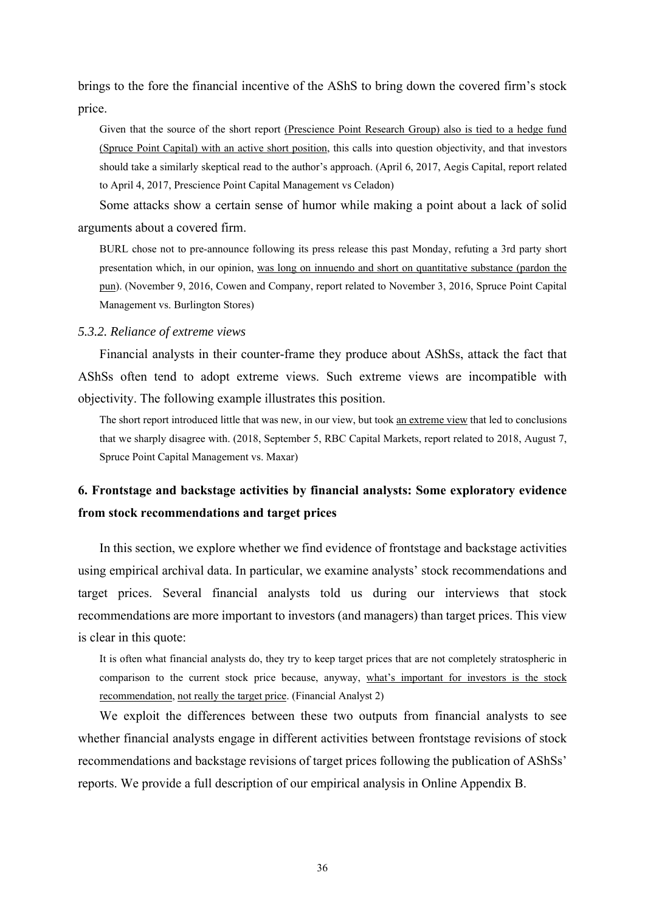brings to the fore the financial incentive of the AShS to bring down the covered firm's stock price.

Given that the source of the short report (Prescience Point Research Group) also is tied to a hedge fund (Spruce Point Capital) with an active short position, this calls into question objectivity, and that investors should take a similarly skeptical read to the author's approach. (April 6, 2017, Aegis Capital, report related to April 4, 2017, Prescience Point Capital Management vs Celadon)

Some attacks show a certain sense of humor while making a point about a lack of solid arguments about a covered firm.

BURL chose not to pre-announce following its press release this past Monday, refuting a 3rd party short presentation which, in our opinion, was long on innuendo and short on quantitative substance (pardon the pun). (November 9, 2016, Cowen and Company, report related to November 3, 2016, Spruce Point Capital Management vs. Burlington Stores)

#### *5.3.2. Reliance of extreme views*

Financial analysts in their counter-frame they produce about AShSs, attack the fact that AShSs often tend to adopt extreme views. Such extreme views are incompatible with objectivity. The following example illustrates this position.

The short report introduced little that was new, in our view, but took an extreme view that led to conclusions that we sharply disagree with. (2018, September 5, RBC Capital Markets, report related to 2018, August 7, Spruce Point Capital Management vs. Maxar)

# **6. Frontstage and backstage activities by financial analysts: Some exploratory evidence from stock recommendations and target prices**

In this section, we explore whether we find evidence of frontstage and backstage activities using empirical archival data. In particular, we examine analysts' stock recommendations and target prices. Several financial analysts told us during our interviews that stock recommendations are more important to investors (and managers) than target prices. This view is clear in this quote:

It is often what financial analysts do, they try to keep target prices that are not completely stratospheric in comparison to the current stock price because, anyway, what's important for investors is the stock recommendation, not really the target price. (Financial Analyst 2)

We exploit the differences between these two outputs from financial analysts to see whether financial analysts engage in different activities between frontstage revisions of stock recommendations and backstage revisions of target prices following the publication of AShSs' reports. We provide a full description of our empirical analysis in Online Appendix B.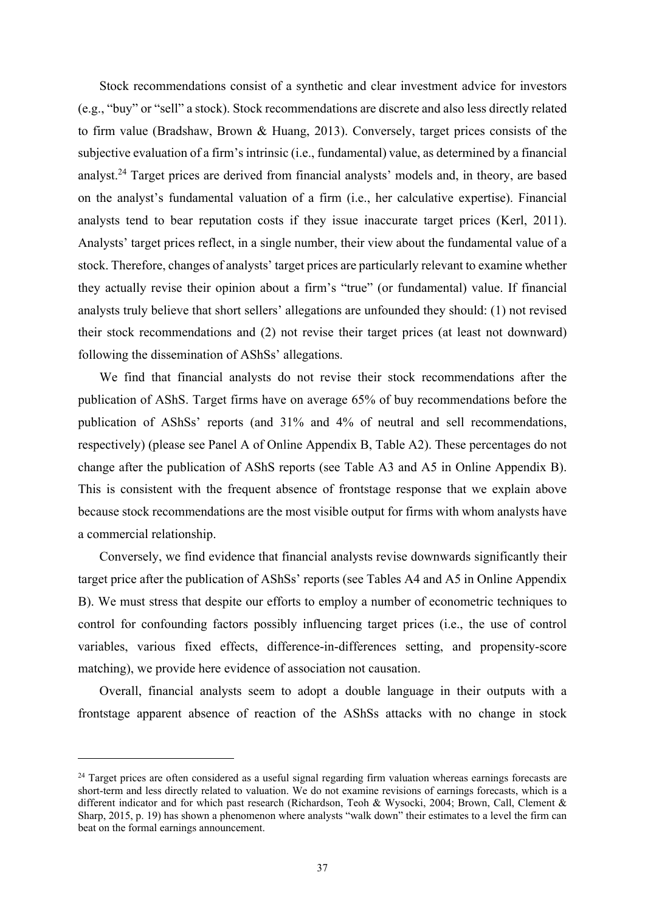Stock recommendations consist of a synthetic and clear investment advice for investors (e.g., "buy" or "sell" a stock). Stock recommendations are discrete and also less directly related to firm value (Bradshaw, Brown & Huang, 2013). Conversely, target prices consists of the subjective evaluation of a firm's intrinsic (i.e., fundamental) value, as determined by a financial analyst.24 Target prices are derived from financial analysts' models and, in theory, are based on the analyst's fundamental valuation of a firm (i.e., her calculative expertise). Financial analysts tend to bear reputation costs if they issue inaccurate target prices (Kerl, 2011). Analysts' target prices reflect, in a single number, their view about the fundamental value of a stock. Therefore, changes of analysts' target prices are particularly relevant to examine whether they actually revise their opinion about a firm's "true" (or fundamental) value. If financial analysts truly believe that short sellers' allegations are unfounded they should: (1) not revised their stock recommendations and (2) not revise their target prices (at least not downward) following the dissemination of AShSs' allegations.

We find that financial analysts do not revise their stock recommendations after the publication of AShS. Target firms have on average 65% of buy recommendations before the publication of AShSs' reports (and 31% and 4% of neutral and sell recommendations, respectively) (please see Panel A of Online Appendix B, Table A2). These percentages do not change after the publication of AShS reports (see Table A3 and A5 in Online Appendix B). This is consistent with the frequent absence of frontstage response that we explain above because stock recommendations are the most visible output for firms with whom analysts have a commercial relationship.

Conversely, we find evidence that financial analysts revise downwards significantly their target price after the publication of AShSs' reports (see Tables A4 and A5 in Online Appendix B). We must stress that despite our efforts to employ a number of econometric techniques to control for confounding factors possibly influencing target prices (i.e., the use of control variables, various fixed effects, difference-in-differences setting, and propensity-score matching), we provide here evidence of association not causation.

Overall, financial analysts seem to adopt a double language in their outputs with a frontstage apparent absence of reaction of the AShSs attacks with no change in stock

 $24$  Target prices are often considered as a useful signal regarding firm valuation whereas earnings forecasts are short-term and less directly related to valuation. We do not examine revisions of earnings forecasts, which is a different indicator and for which past research (Richardson, Teoh & Wysocki, 2004; Brown, Call, Clement & Sharp, 2015, p. 19) has shown a phenomenon where analysts "walk down" their estimates to a level the firm can beat on the formal earnings announcement.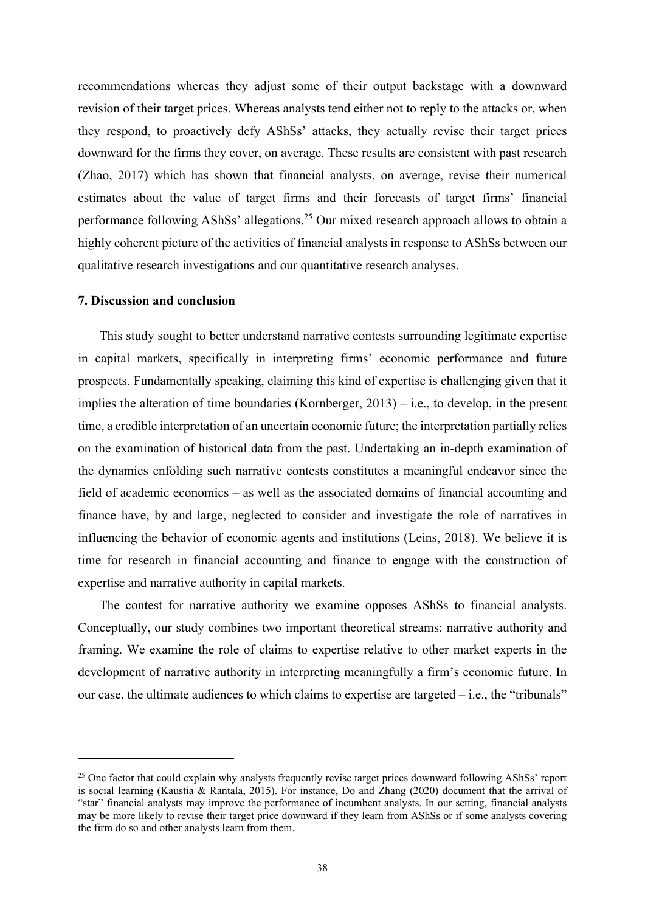recommendations whereas they adjust some of their output backstage with a downward revision of their target prices. Whereas analysts tend either not to reply to the attacks or, when they respond, to proactively defy AShSs' attacks, they actually revise their target prices downward for the firms they cover, on average. These results are consistent with past research (Zhao, 2017) which has shown that financial analysts, on average, revise their numerical estimates about the value of target firms and their forecasts of target firms' financial performance following AShSs' allegations.25 Our mixed research approach allows to obtain a highly coherent picture of the activities of financial analysts in response to AShSs between our qualitative research investigations and our quantitative research analyses.

### **7. Discussion and conclusion**

This study sought to better understand narrative contests surrounding legitimate expertise in capital markets, specifically in interpreting firms' economic performance and future prospects. Fundamentally speaking, claiming this kind of expertise is challenging given that it implies the alteration of time boundaries (Kornberger, 2013) – i.e., to develop, in the present time, a credible interpretation of an uncertain economic future; the interpretation partially relies on the examination of historical data from the past. Undertaking an in-depth examination of the dynamics enfolding such narrative contests constitutes a meaningful endeavor since the field of academic economics – as well as the associated domains of financial accounting and finance have, by and large, neglected to consider and investigate the role of narratives in influencing the behavior of economic agents and institutions (Leins, 2018). We believe it is time for research in financial accounting and finance to engage with the construction of expertise and narrative authority in capital markets.

The contest for narrative authority we examine opposes AShSs to financial analysts. Conceptually, our study combines two important theoretical streams: narrative authority and framing. We examine the role of claims to expertise relative to other market experts in the development of narrative authority in interpreting meaningfully a firm's economic future. In our case, the ultimate audiences to which claims to expertise are targeted – i.e., the "tribunals"

<sup>&</sup>lt;sup>25</sup> One factor that could explain why analysts frequently revise target prices downward following AShSs' report is social learning (Kaustia & Rantala, 2015). For instance, Do and Zhang (2020) document that the arrival of "star" financial analysts may improve the performance of incumbent analysts. In our setting, financial analysts may be more likely to revise their target price downward if they learn from AShSs or if some analysts covering the firm do so and other analysts learn from them.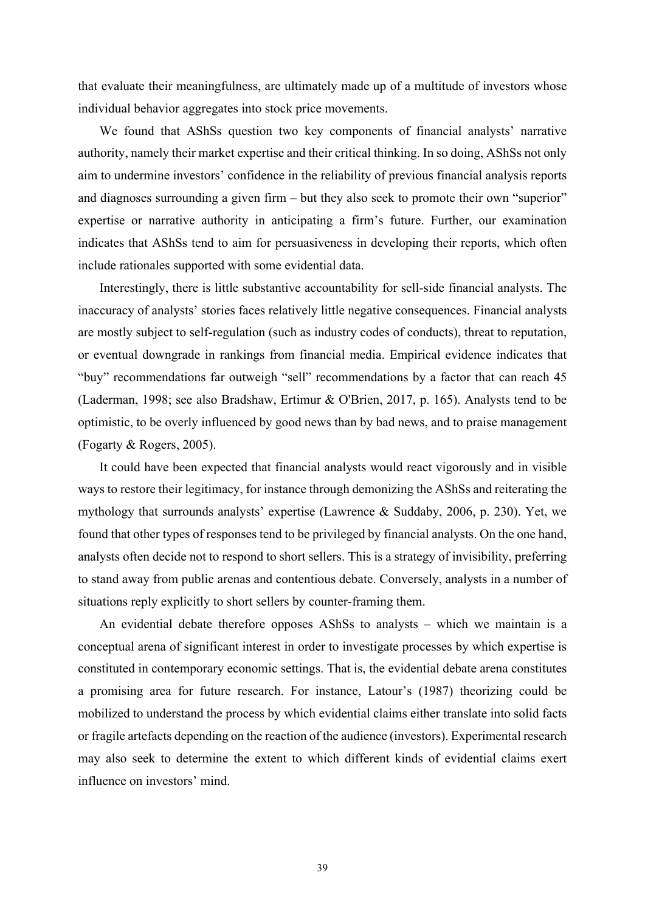that evaluate their meaningfulness, are ultimately made up of a multitude of investors whose individual behavior aggregates into stock price movements.

We found that AShSs question two key components of financial analysts' narrative authority, namely their market expertise and their critical thinking. In so doing, AShSs not only aim to undermine investors' confidence in the reliability of previous financial analysis reports and diagnoses surrounding a given firm – but they also seek to promote their own "superior" expertise or narrative authority in anticipating a firm's future. Further, our examination indicates that AShSs tend to aim for persuasiveness in developing their reports, which often include rationales supported with some evidential data.

Interestingly, there is little substantive accountability for sell-side financial analysts. The inaccuracy of analysts' stories faces relatively little negative consequences. Financial analysts are mostly subject to self-regulation (such as industry codes of conducts), threat to reputation, or eventual downgrade in rankings from financial media. Empirical evidence indicates that "buy" recommendations far outweigh "sell" recommendations by a factor that can reach 45 (Laderman, 1998; see also Bradshaw, Ertimur & O'Brien, 2017, p. 165). Analysts tend to be optimistic, to be overly influenced by good news than by bad news, and to praise management (Fogarty & Rogers, 2005).

It could have been expected that financial analysts would react vigorously and in visible ways to restore their legitimacy, for instance through demonizing the AShSs and reiterating the mythology that surrounds analysts' expertise (Lawrence & Suddaby, 2006, p. 230). Yet, we found that other types of responses tend to be privileged by financial analysts. On the one hand, analysts often decide not to respond to short sellers. This is a strategy of invisibility, preferring to stand away from public arenas and contentious debate. Conversely, analysts in a number of situations reply explicitly to short sellers by counter-framing them.

An evidential debate therefore opposes AShSs to analysts – which we maintain is a conceptual arena of significant interest in order to investigate processes by which expertise is constituted in contemporary economic settings. That is, the evidential debate arena constitutes a promising area for future research. For instance, Latour's (1987) theorizing could be mobilized to understand the process by which evidential claims either translate into solid facts or fragile artefacts depending on the reaction of the audience (investors). Experimental research may also seek to determine the extent to which different kinds of evidential claims exert influence on investors' mind.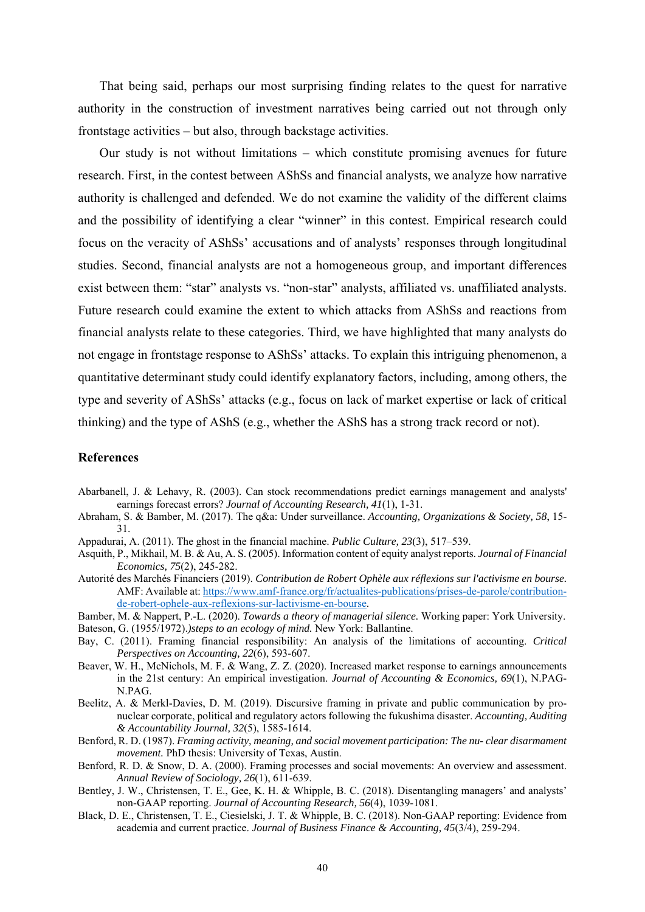That being said, perhaps our most surprising finding relates to the quest for narrative authority in the construction of investment narratives being carried out not through only frontstage activities – but also, through backstage activities.

Our study is not without limitations – which constitute promising avenues for future research. First, in the contest between AShSs and financial analysts, we analyze how narrative authority is challenged and defended. We do not examine the validity of the different claims and the possibility of identifying a clear "winner" in this contest. Empirical research could focus on the veracity of AShSs' accusations and of analysts' responses through longitudinal studies. Second, financial analysts are not a homogeneous group, and important differences exist between them: "star" analysts vs. "non-star" analysts, affiliated vs. unaffiliated analysts. Future research could examine the extent to which attacks from AShSs and reactions from financial analysts relate to these categories. Third, we have highlighted that many analysts do not engage in frontstage response to AShSs' attacks. To explain this intriguing phenomenon, a quantitative determinant study could identify explanatory factors, including, among others, the type and severity of AShSs' attacks (e.g., focus on lack of market expertise or lack of critical thinking) and the type of AShS (e.g., whether the AShS has a strong track record or not).

### **References**

- Abarbanell, J. & Lehavy, R. (2003). Can stock recommendations predict earnings management and analysts' earnings forecast errors? *Journal of Accounting Research, 41*(1), 1-31.
- Abraham, S. & Bamber, M. (2017). The q&a: Under surveillance. *Accounting, Organizations & Society, 58*, 15- 31.
- Appadurai, A. (2011). The ghost in the financial machine. *Public Culture, 23*(3), 517–539.
- Asquith, P., Mikhail, M. B. & Au, A. S. (2005). Information content of equity analyst reports. *Journal of Financial Economics, 75*(2), 245-282.
- Autorité des Marchés Financiers (2019). *Contribution de Robert Ophèle aux réflexions sur l'activisme en bourse.* AMF: Available at: https://www.amf-france.org/fr/actualites-publications/prises-de-parole/contributionde-robert-ophele-aux-reflexions-sur-lactivisme-en-bourse.
- Bamber, M. & Nappert, P.-L. (2020). *Towards a theory of managerial silence.* Working paper: York University.
- Bateson, G. (1955/1972).*)steps to an ecology of mind.* New York: Ballantine.
- Bay, C. (2011). Framing financial responsibility: An analysis of the limitations of accounting. *Critical Perspectives on Accounting, 22*(6), 593-607.
- Beaver, W. H., McNichols, M. F. & Wang, Z. Z. (2020). Increased market response to earnings announcements in the 21st century: An empirical investigation. *Journal of Accounting & Economics, 69*(1), N.PAG-N.PAG.
- Beelitz, A. & Merkl-Davies, D. M. (2019). Discursive framing in private and public communication by pronuclear corporate, political and regulatory actors following the fukushima disaster. *Accounting, Auditing & Accountability Journal, 32*(5), 1585-1614.
- Benford, R. D. (1987). *Framing activity, meaning, and social movement participation: The nu- clear disarmament movement.* PhD thesis: University of Texas, Austin.
- Benford, R. D. & Snow, D. A. (2000). Framing processes and social movements: An overview and assessment. *Annual Review of Sociology, 26*(1), 611-639.
- Bentley, J. W., Christensen, T. E., Gee, K. H. & Whipple, B. C. (2018). Disentangling managers' and analysts' non‐GAAP reporting. *Journal of Accounting Research, 56*(4), 1039-1081.
- Black, D. E., Christensen, T. E., Ciesielski, J. T. & Whipple, B. C. (2018). Non‐GAAP reporting: Evidence from academia and current practice. *Journal of Business Finance & Accounting, 45*(3/4), 259-294.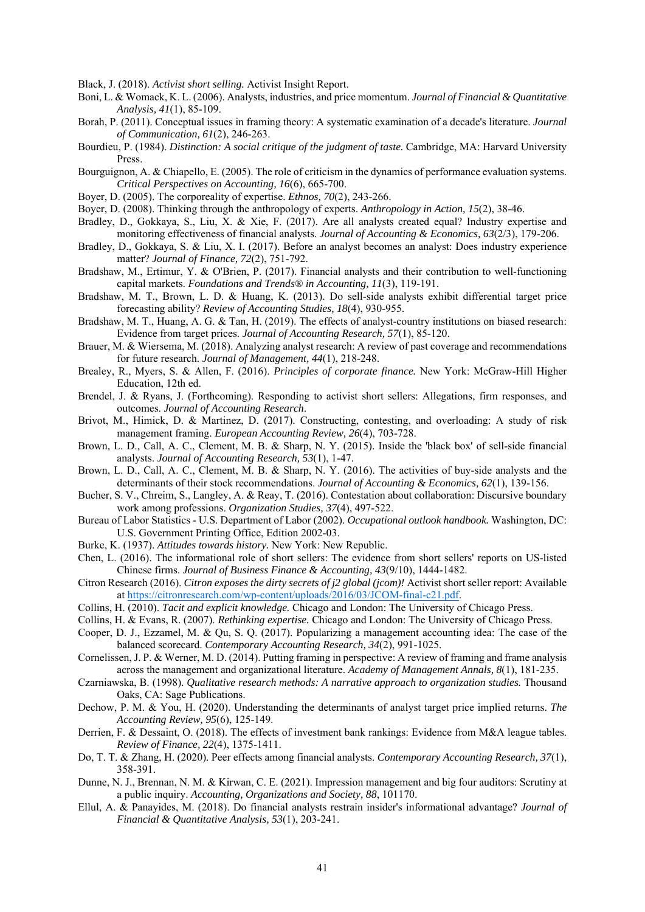Black, J. (2018). *Activist short selling.* Activist Insight Report.

- Boni, L. & Womack, K. L. (2006). Analysts, industries, and price momentum. *Journal of Financial & Quantitative Analysis, 41*(1), 85-109.
- Borah, P. (2011). Conceptual issues in framing theory: A systematic examination of a decade's literature. *Journal of Communication, 61*(2), 246-263.
- Bourdieu, P. (1984). *Distinction: A social critique of the judgment of taste.* Cambridge, MA: Harvard University Press.
- Bourguignon, A. & Chiapello, E. (2005). The role of criticism in the dynamics of performance evaluation systems. *Critical Perspectives on Accounting, 16*(6), 665-700.
- Boyer, D. (2005). The corporeality of expertise. *Ethnos, 70*(2), 243-266.
- Boyer, D. (2008). Thinking through the anthropology of experts. *Anthropology in Action, 15*(2), 38-46.
- Bradley, D., Gokkaya, S., Liu, X. & Xie, F. (2017). Are all analysts created equal? Industry expertise and monitoring effectiveness of financial analysts. *Journal of Accounting & Economics, 63*(2/3), 179-206.
- Bradley, D., Gokkaya, S. & Liu, X. I. (2017). Before an analyst becomes an analyst: Does industry experience matter? *Journal of Finance, 72*(2), 751-792.
- Bradshaw, M., Ertimur, Y. & O'Brien, P. (2017). Financial analysts and their contribution to well-functioning capital markets. *Foundations and Trends® in Accounting, 11*(3), 119-191.
- Bradshaw, M. T., Brown, L. D. & Huang, K. (2013). Do sell-side analysts exhibit differential target price forecasting ability? *Review of Accounting Studies, 18*(4), 930-955.
- Bradshaw, M. T., Huang, A. G. & Tan, H. (2019). The effects of analyst-country institutions on biased research: Evidence from target prices. *Journal of Accounting Research, 57*(1), 85-120.
- Brauer, M. & Wiersema, M. (2018). Analyzing analyst research: A review of past coverage and recommendations for future research. *Journal of Management, 44*(1), 218-248.
- Brealey, R., Myers, S. & Allen, F. (2016). *Principles of corporate finance.* New York: McGraw-Hill Higher Education, 12th ed.
- Brendel, J. & Ryans, J. (Forthcoming). Responding to activist short sellers: Allegations, firm responses, and outcomes. *Journal of Accounting Research*.
- Brivot, M., Himick, D. & Martinez, D. (2017). Constructing, contesting, and overloading: A study of risk management framing. *European Accounting Review, 26*(4), 703-728.
- Brown, L. D., Call, A. C., Clement, M. B. & Sharp, N. Y. (2015). Inside the 'black box' of sell-side financial analysts. *Journal of Accounting Research, 53*(1), 1-47.
- Brown, L. D., Call, A. C., Clement, M. B. & Sharp, N. Y. (2016). The activities of buy-side analysts and the determinants of their stock recommendations. *Journal of Accounting & Economics, 62*(1), 139-156.
- Bucher, S. V., Chreim, S., Langley, A. & Reay, T. (2016). Contestation about collaboration: Discursive boundary work among professions. *Organization Studies, 37*(4), 497-522.
- Bureau of Labor Statistics U.S. Department of Labor (2002). *Occupational outlook handbook.* Washington, DC: U.S. Government Printing Office, Edition 2002-03.
- Burke, K. (1937). *Attitudes towards history.* New York: New Republic.
- Chen, L. (2016). The informational role of short sellers: The evidence from short sellers' reports on US-listed Chinese firms. *Journal of Business Finance & Accounting, 43*(9/10), 1444-1482.
- Citron Research (2016). *Citron exposes the dirty secrets of j2 global (jcom)!* Activist short seller report: Available at https://citronresearch.com/wp-content/uploads/2016/03/JCOM-final-c21.pdf.
- Collins, H. (2010). *Tacit and explicit knowledge.* Chicago and London: The University of Chicago Press.
- Collins, H. & Evans, R. (2007). *Rethinking expertise.* Chicago and London: The University of Chicago Press.
- Cooper, D. J., Ezzamel, M. & Qu, S. Q. (2017). Popularizing a management accounting idea: The case of the balanced scorecard. *Contemporary Accounting Research, 34*(2), 991-1025.
- Cornelissen, J. P. & Werner, M. D. (2014). Putting framing in perspective: A review of framing and frame analysis across the management and organizational literature. *Academy of Management Annals, 8*(1), 181-235.
- Czarniawska, B. (1998). *Qualitative research methods: A narrative approach to organization studies.* Thousand Oaks, CA: Sage Publications.
- Dechow, P. M. & You, H. (2020). Understanding the determinants of analyst target price implied returns. *The Accounting Review, 95*(6), 125-149.
- Derrien, F. & Dessaint, O. (2018). The effects of investment bank rankings: Evidence from M&A league tables. *Review of Finance, 22*(4), 1375-1411.
- Do, T. T. & Zhang, H. (2020). Peer effects among financial analysts. *Contemporary Accounting Research, 37*(1), 358-391.
- Dunne, N. J., Brennan, N. M. & Kirwan, C. E. (2021). Impression management and big four auditors: Scrutiny at a public inquiry. *Accounting, Organizations and Society, 88*, 101170.
- Ellul, A. & Panayides, M. (2018). Do financial analysts restrain insider's informational advantage? *Journal of Financial & Quantitative Analysis, 53*(1), 203-241.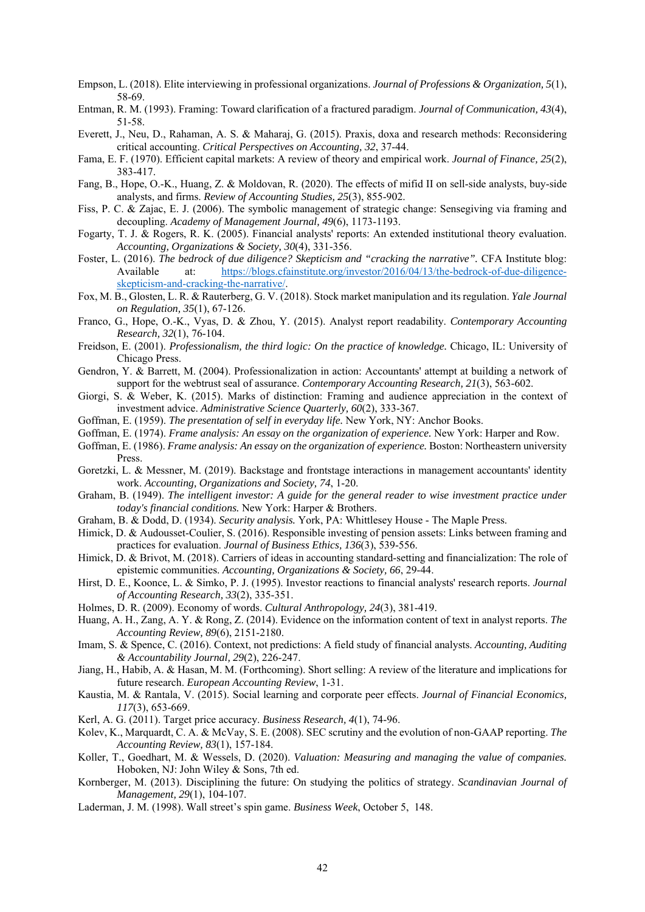- Empson, L. (2018). Elite interviewing in professional organizations. *Journal of Professions & Organization, 5*(1), 58-69.
- Entman, R. M. (1993). Framing: Toward clarification of a fractured paradigm. *Journal of Communication, 43*(4), 51-58.
- Everett, J., Neu, D., Rahaman, A. S. & Maharaj, G. (2015). Praxis, doxa and research methods: Reconsidering critical accounting. *Critical Perspectives on Accounting, 32*, 37-44.
- Fama, E. F. (1970). Efficient capital markets: A review of theory and empirical work. *Journal of Finance, 25*(2), 383-417.
- Fang, B., Hope, O.-K., Huang, Z. & Moldovan, R. (2020). The effects of mifid II on sell-side analysts, buy-side analysts, and firms. *Review of Accounting Studies, 25*(3), 855-902.
- Fiss, P. C. & Zajac, E. J. (2006). The symbolic management of strategic change: Sensegiving via framing and decoupling. *Academy of Management Journal, 49*(6), 1173-1193.
- Fogarty, T. J. & Rogers, R. K. (2005). Financial analysts' reports: An extended institutional theory evaluation. *Accounting, Organizations & Society, 30*(4), 331-356.
- Foster, L. (2016). *The bedrock of due diligence? Skepticism and "cracking the narrative".* CFA Institute blog: Available at: https://blogs.cfainstitute.org/investor/2016/04/13/the-bedrock-of-due-diligenceskepticism-and-cracking-the-narrative/.
- Fox, M. B., Glosten, L. R. & Rauterberg, G. V. (2018). Stock market manipulation and its regulation. *Yale Journal on Regulation, 35*(1), 67-126.
- Franco, G., Hope, O.-K., Vyas, D. & Zhou, Y. (2015). Analyst report readability. *Contemporary Accounting Research, 32*(1), 76-104.
- Freidson, E. (2001). *Professionalism, the third logic: On the practice of knowledge.* Chicago, IL: University of Chicago Press.
- Gendron, Y. & Barrett, M. (2004). Professionalization in action: Accountants' attempt at building a network of support for the webtrust seal of assurance. *Contemporary Accounting Research, 21*(3), 563-602.
- Giorgi, S. & Weber, K. (2015). Marks of distinction: Framing and audience appreciation in the context of investment advice. *Administrative Science Quarterly, 60*(2), 333-367.
- Goffman, E. (1959). *The presentation of self in everyday life.* New York, NY: Anchor Books.
- Goffman, E. (1974). *Frame analysis: An essay on the organization of experience.* New York: Harper and Row.
- Goffman, E. (1986). *Frame analysis: An essay on the organization of experience.* Boston: Northeastern university Press.
- Goretzki, L. & Messner, M. (2019). Backstage and frontstage interactions in management accountants' identity work. *Accounting, Organizations and Society, 74*, 1-20.
- Graham, B. (1949). *The intelligent investor: A guide for the general reader to wise investment practice under today's financial conditions.* New York: Harper & Brothers.
- Graham, B. & Dodd, D. (1934). *Security analysis.* York, PA: Whittlesey House The Maple Press.
- Himick, D. & Audousset-Coulier, S. (2016). Responsible investing of pension assets: Links between framing and practices for evaluation. *Journal of Business Ethics, 136*(3), 539-556.
- Himick, D. & Brivot, M. (2018). Carriers of ideas in accounting standard-setting and financialization: The role of epistemic communities. *Accounting, Organizations & Society, 66*, 29-44.
- Hirst, D. E., Koonce, L. & Simko, P. J. (1995). Investor reactions to financial analysts' research reports. *Journal of Accounting Research, 33*(2), 335-351.
- Holmes, D. R. (2009). Economy of words. *Cultural Anthropology, 24*(3), 381-419.
- Huang, A. H., Zang, A. Y. & Rong, Z. (2014). Evidence on the information content of text in analyst reports. *The Accounting Review, 89*(6), 2151-2180.
- Imam, S. & Spence, C. (2016). Context, not predictions: A field study of financial analysts. *Accounting, Auditing & Accountability Journal, 29*(2), 226-247.
- Jiang, H., Habib, A. & Hasan, M. M. (Forthcoming). Short selling: A review of the literature and implications for future research. *European Accounting Review*, 1-31.
- Kaustia, M. & Rantala, V. (2015). Social learning and corporate peer effects. *Journal of Financial Economics, 117*(3), 653-669.
- Kerl, A. G. (2011). Target price accuracy. *Business Research, 4*(1), 74-96.
- Kolev, K., Marquardt, C. A. & McVay, S. E. (2008). SEC scrutiny and the evolution of non-GAAP reporting. *The Accounting Review, 83*(1), 157-184.
- Koller, T., Goedhart, M. & Wessels, D. (2020). *Valuation: Measuring and managing the value of companies.* Hoboken, NJ: John Wiley & Sons, 7th ed.
- Kornberger, M. (2013). Disciplining the future: On studying the politics of strategy. *Scandinavian Journal of Management, 29*(1), 104-107.
- Laderman, J. M. (1998). Wall street's spin game. *Business Week*, October 5, 148.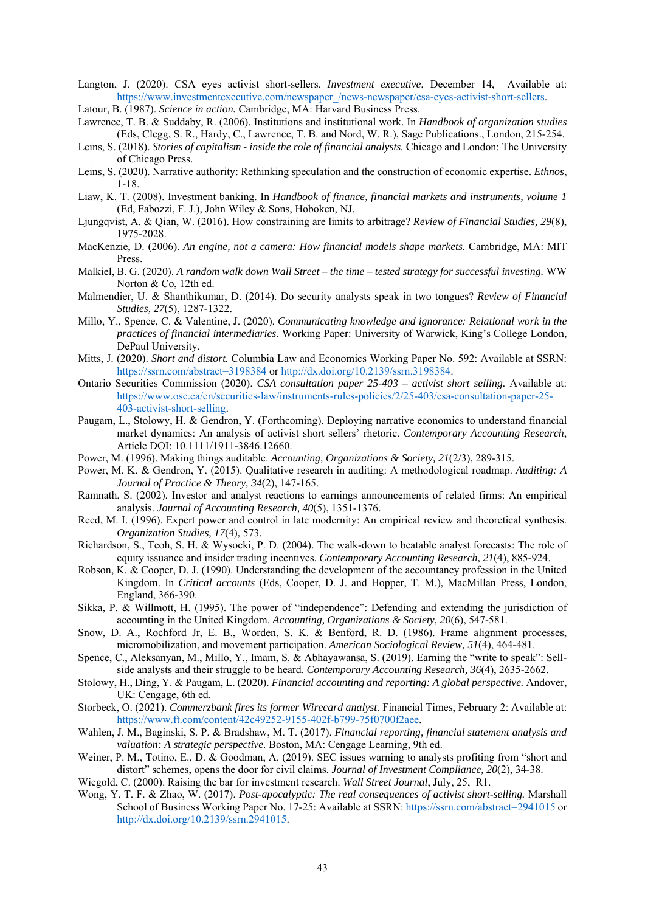- Langton, J. (2020). CSA eyes activist short-sellers. *Investment executive*, December 14, Available at: https://www.investmentexecutive.com/newspaper\_/news-newspaper/csa-eyes-activist-short-sellers.
- Latour, B. (1987). *Science in action.* Cambridge, MA: Harvard Business Press.
- Lawrence, T. B. & Suddaby, R. (2006). Institutions and institutional work. In *Handbook of organization studies* (Eds, Clegg, S. R., Hardy, C., Lawrence, T. B. and Nord, W. R.), Sage Publications., London, 215-254.
- Leins, S. (2018). *Stories of capitalism inside the role of financial analysts.* Chicago and London: The University of Chicago Press.
- Leins, S. (2020). Narrative authority: Rethinking speculation and the construction of economic expertise. *Ethnos*, 1-18.
- Liaw, K. T. (2008). Investment banking. In *Handbook of finance, financial markets and instruments, volume 1* (Ed, Fabozzi, F. J.), John Wiley & Sons, Hoboken, NJ.
- Ljungqvist, A. & Qian, W. (2016). How constraining are limits to arbitrage? *Review of Financial Studies, 29*(8), 1975-2028.
- MacKenzie, D. (2006). *An engine, not a camera: How financial models shape markets.* Cambridge, MA: MIT Press.
- Malkiel, B. G. (2020). *A random walk down Wall Street the time tested strategy for successful investing.* WW Norton & Co, 12th ed.
- Malmendier, U. & Shanthikumar, D. (2014). Do security analysts speak in two tongues? *Review of Financial Studies, 27*(5), 1287-1322.
- Millo, Y., Spence, C. & Valentine, J. (2020). *Communicating knowledge and ignorance: Relational work in the practices of financial intermediaries.* Working Paper: University of Warwick, King's College London, DePaul University.
- Mitts, J. (2020). *Short and distort.* Columbia Law and Economics Working Paper No. 592: Available at SSRN: https://ssrn.com/abstract=3198384 or http://dx.doi.org/10.2139/ssrn.3198384.
- Ontario Securities Commission (2020). *CSA consultation paper 25-403 activist short selling.* Available at: https://www.osc.ca/en/securities-law/instruments-rules-policies/2/25-403/csa-consultation-paper-25- 403-activist-short-selling.
- Paugam, L., Stolowy, H. & Gendron, Y. (Forthcoming). Deploying narrative economics to understand financial market dynamics: An analysis of activist short sellers' rhetoric. *Contemporary Accounting Research*, Article DOI: 10.1111/1911-3846.12660.
- Power, M. (1996). Making things auditable. *Accounting, Organizations & Society, 21*(2/3), 289-315.
- Power, M. K. & Gendron, Y. (2015). Qualitative research in auditing: A methodological roadmap. *Auditing: A Journal of Practice & Theory, 34*(2), 147-165.
- Ramnath, S. (2002). Investor and analyst reactions to earnings announcements of related firms: An empirical analysis. *Journal of Accounting Research, 40*(5), 1351-1376.
- Reed, M. I. (1996). Expert power and control in late modernity: An empirical review and theoretical synthesis. *Organization Studies, 17*(4), 573.
- Richardson, S., Teoh, S. H. & Wysocki, P. D. (2004). The walk-down to beatable analyst forecasts: The role of equity issuance and insider trading incentives. *Contemporary Accounting Research, 21*(4), 885-924.
- Robson, K. & Cooper, D. J. (1990). Understanding the development of the accountancy profession in the United Kingdom. In *Critical accounts* (Eds, Cooper, D. J. and Hopper, T. M.), MacMillan Press, London, England, 366-390.
- Sikka, P. & Willmott, H. (1995). The power of "independence": Defending and extending the jurisdiction of accounting in the United Kingdom. *Accounting, Organizations & Society, 20*(6), 547-581.
- Snow, D. A., Rochford Jr, E. B., Worden, S. K. & Benford, R. D. (1986). Frame alignment processes, micromobilization, and movement participation. *American Sociological Review, 51*(4), 464-481.
- Spence, C., Aleksanyan, M., Millo, Y., Imam, S. & Abhayawansa, S. (2019). Earning the "write to speak": Sellside analysts and their struggle to be heard. *Contemporary Accounting Research, 36*(4), 2635-2662.
- Stolowy, H., Ding, Y. & Paugam, L. (2020). *Financial accounting and reporting: A global perspective.* Andover, UK: Cengage, 6th ed.
- Storbeck, O. (2021). *Commerzbank fires its former Wirecard analyst.* Financial Times, February 2: Available at: https://www.ft.com/content/42c49252-9155-402f-b799-75f0700f2aee.
- Wahlen, J. M., Baginski, S. P. & Bradshaw, M. T. (2017). *Financial reporting, financial statement analysis and valuation: A strategic perspective.* Boston, MA: Cengage Learning, 9th ed.
- Weiner, P. M., Totino, E., D. & Goodman, A. (2019). SEC issues warning to analysts profiting from "short and distort" schemes, opens the door for civil claims. *Journal of Investment Compliance, 20*(2), 34-38.

Wiegold, C. (2000). Raising the bar for investment research. *Wall Street Journal*, July, 25, R1.

Wong, Y. T. F. & Zhao, W. (2017). *Post-apocalyptic: The real consequences of activist short-selling.* Marshall School of Business Working Paper No. 17-25: Available at SSRN: https://ssrn.com/abstract=2941015 or http://dx.doi.org/10.2139/ssrn.2941015.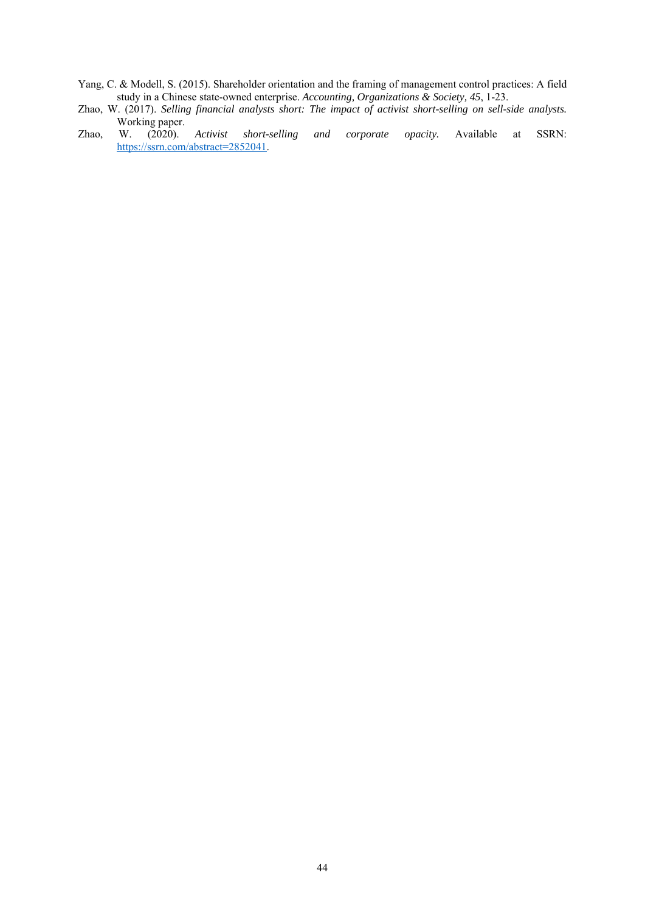- Yang, C. & Modell, S. (2015). Shareholder orientation and the framing of management control practices: A field study in a Chinese state-owned enterprise. *Accounting, Organizations & Society, 45*, 1-23.
- Zhao, W. (2017). *Selling financial analysts short: The impact of activist short-selling on sell-side analysts.*
- Working paper.<br>W. (2020). Zhao, W. (2020). *Activist short-selling and corporate opacity.* Available at SSRN: https://ssrn.com/abstract=2852041.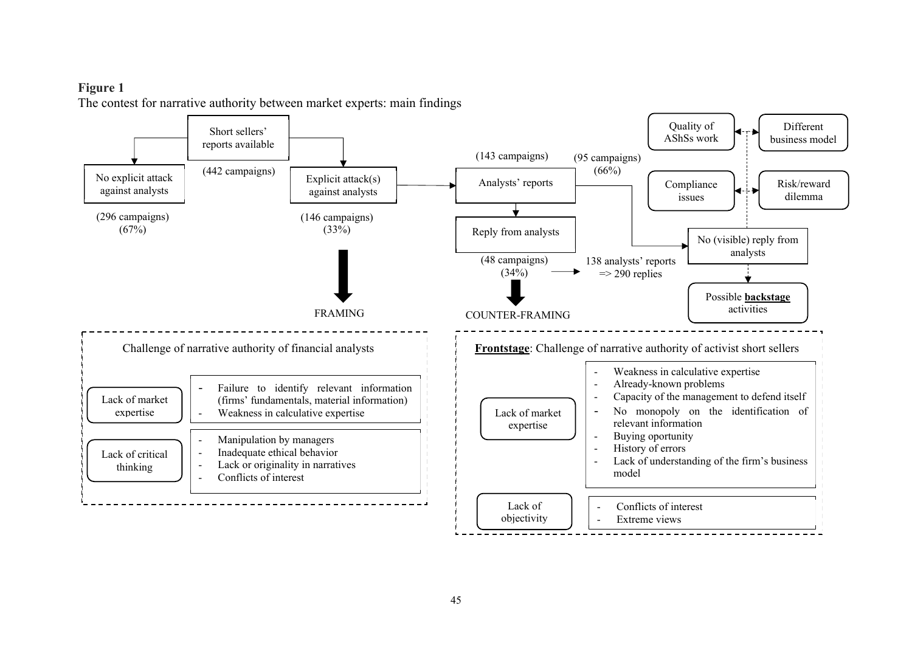# **Figure 1**  The contest for narrative authority between market experts: main findings

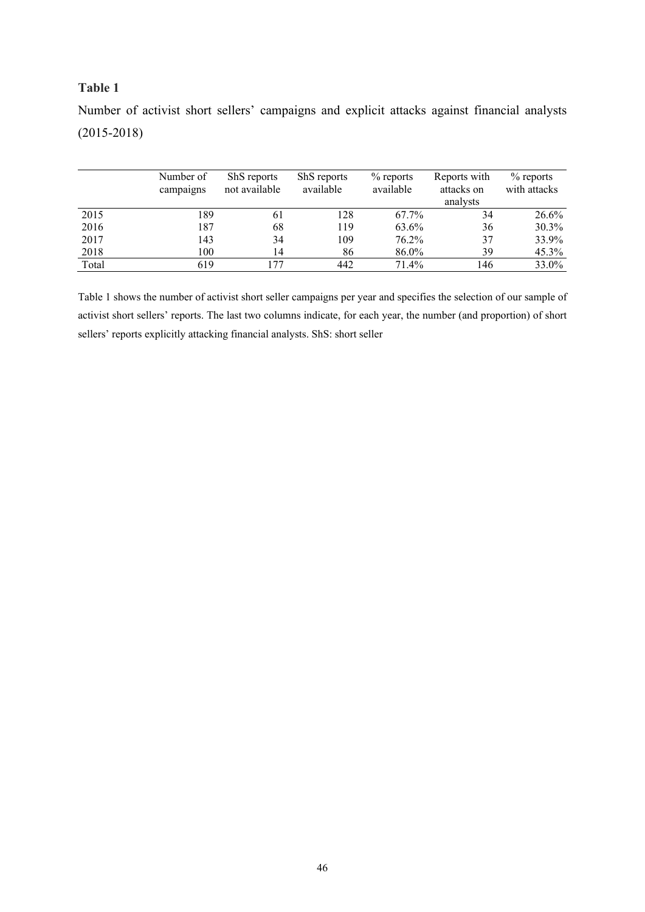## **Table 1**

|       | Number of<br>campaigns | ShS reports<br>not available | ShS reports<br>available | $%$ reports<br>available | Reports with<br>attacks on | $%$ reports<br>with attacks |
|-------|------------------------|------------------------------|--------------------------|--------------------------|----------------------------|-----------------------------|
|       |                        |                              |                          |                          | analysts                   |                             |
| 2015  | 189                    | 61                           | 128                      | 67.7%                    | 34                         | 26.6%                       |
| 2016  | 187                    | 68                           | 119                      | 63.6%                    | 36                         | 30.3%                       |
| 2017  | 143                    | 34                           | 109                      | 76.2%                    | 37                         | 33.9%                       |
| 2018  | 100                    | 14                           | 86                       | 86.0%                    | 39                         | 45.3%                       |
| Total | 619                    | 177                          | 442                      | 71.4%                    | 146                        | 33.0%                       |

Number of activist short sellers' campaigns and explicit attacks against financial analysts (2015-2018)

Table 1 shows the number of activist short seller campaigns per year and specifies the selection of our sample of activist short sellers' reports. The last two columns indicate, for each year, the number (and proportion) of short sellers' reports explicitly attacking financial analysts. ShS: short seller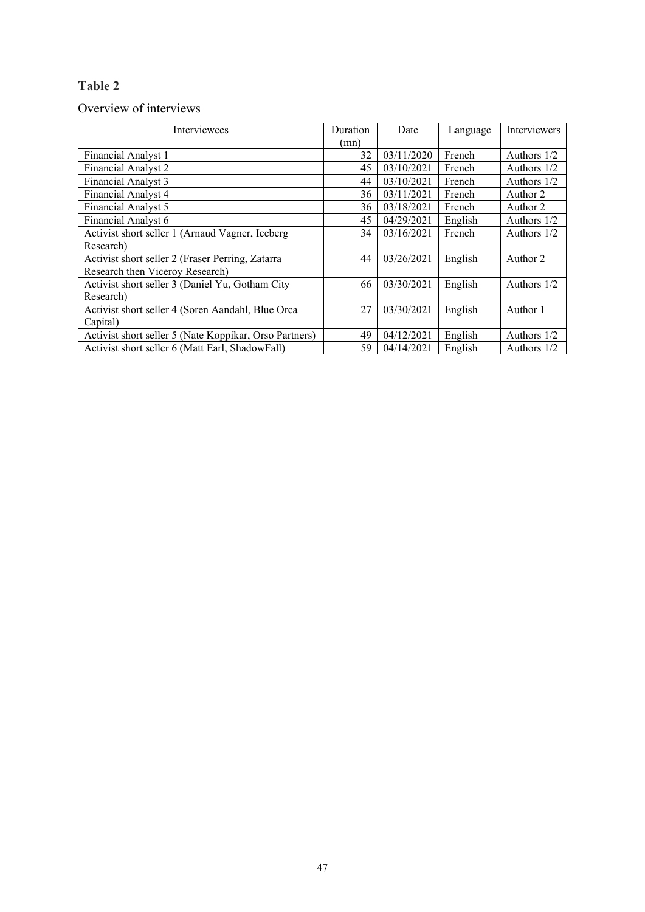# **Table 2**

# Overview of interviews

| Interviewees                                           | Duration | Date       | Language | Interviewers  |
|--------------------------------------------------------|----------|------------|----------|---------------|
|                                                        | (mn)     |            |          |               |
| Financial Analyst 1                                    | 32       | 03/11/2020 | French   | Authors $1/2$ |
| <b>Financial Analyst 2</b>                             | 45       | 03/10/2021 | French   | Authors $1/2$ |
| Financial Analyst 3                                    | 44       | 03/10/2021 | French   | Authors $1/2$ |
| <b>Financial Analyst 4</b>                             | 36       | 03/11/2021 | French   | Author 2      |
| Financial Analyst 5                                    | 36       | 03/18/2021 | French   | Author 2      |
| Financial Analyst 6                                    | 45       | 04/29/2021 | English  | Authors $1/2$ |
| Activist short seller 1 (Arnaud Vagner, Iceberg        | 34       | 03/16/2021 | French   | Authors $1/2$ |
| Research)                                              |          |            |          |               |
| Activist short seller 2 (Fraser Perring, Zatarra       | 44       | 03/26/2021 | English  | Author 2      |
| Research then Viceroy Research)                        |          |            |          |               |
| Activist short seller 3 (Daniel Yu, Gotham City        | 66       | 03/30/2021 | English  | Authors 1/2   |
| Research)                                              |          |            |          |               |
| Activist short seller 4 (Soren Aandahl, Blue Orca      | 27       | 03/30/2021 | English  | Author 1      |
| Capital)                                               |          |            |          |               |
| Activist short seller 5 (Nate Koppikar, Orso Partners) | 49       | 04/12/2021 | English  | Authors $1/2$ |
| Activist short seller 6 (Matt Earl, ShadowFall)        | 59       | 04/14/2021 | English  | Authors $1/2$ |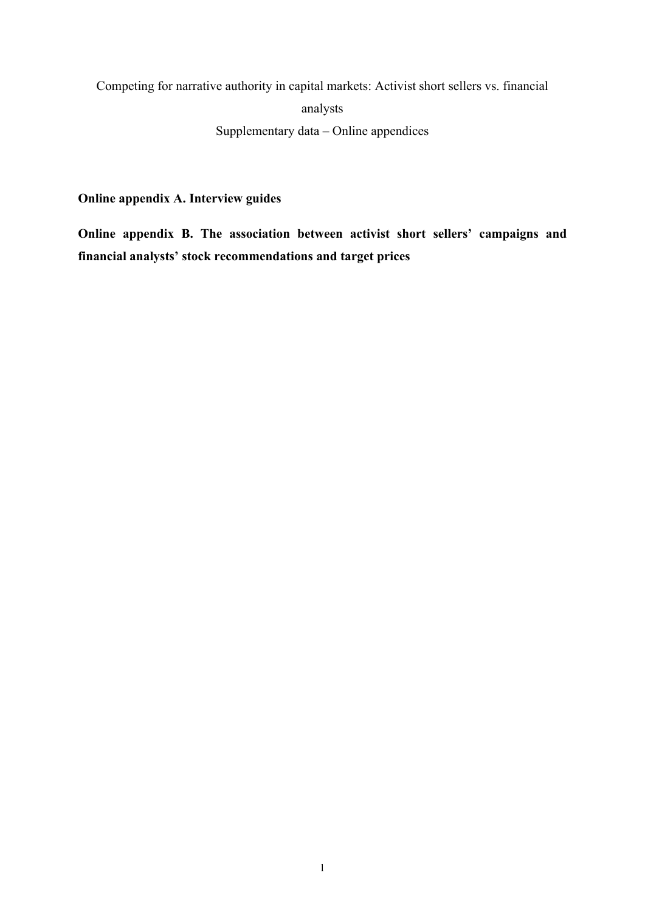Competing for narrative authority in capital markets: Activist short sellers vs. financial analysts Supplementary data – Online appendices

**Online appendix A. Interview guides** 

**Online appendix B. The association between activist short sellers' campaigns and financial analysts' stock recommendations and target prices**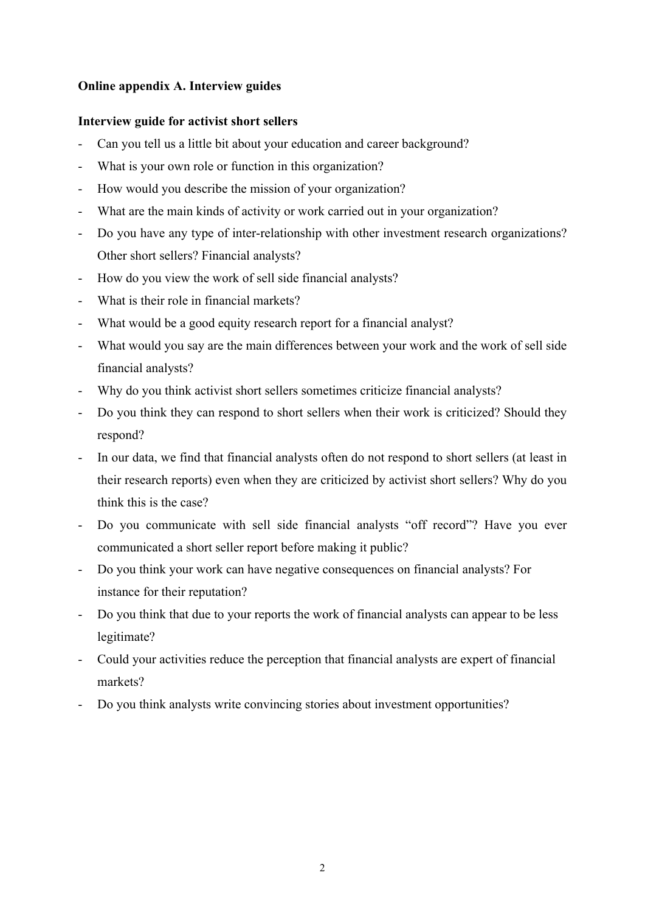# **Online appendix A. Interview guides**

# **Interview guide for activist short sellers**

- Can you tell us a little bit about your education and career background?
- What is your own role or function in this organization?
- How would you describe the mission of your organization?
- What are the main kinds of activity or work carried out in your organization?
- Do you have any type of inter-relationship with other investment research organizations? Other short sellers? Financial analysts?
- How do you view the work of sell side financial analysts?
- What is their role in financial markets?
- What would be a good equity research report for a financial analyst?
- What would you say are the main differences between your work and the work of sell side financial analysts?
- Why do you think activist short sellers sometimes criticize financial analysts?
- Do you think they can respond to short sellers when their work is criticized? Should they respond?
- In our data, we find that financial analysts often do not respond to short sellers (at least in their research reports) even when they are criticized by activist short sellers? Why do you think this is the case?
- Do you communicate with sell side financial analysts "off record"? Have you ever communicated a short seller report before making it public?
- Do you think your work can have negative consequences on financial analysts? For instance for their reputation?
- Do you think that due to your reports the work of financial analysts can appear to be less legitimate?
- Could your activities reduce the perception that financial analysts are expert of financial markets?
- Do you think analysts write convincing stories about investment opportunities?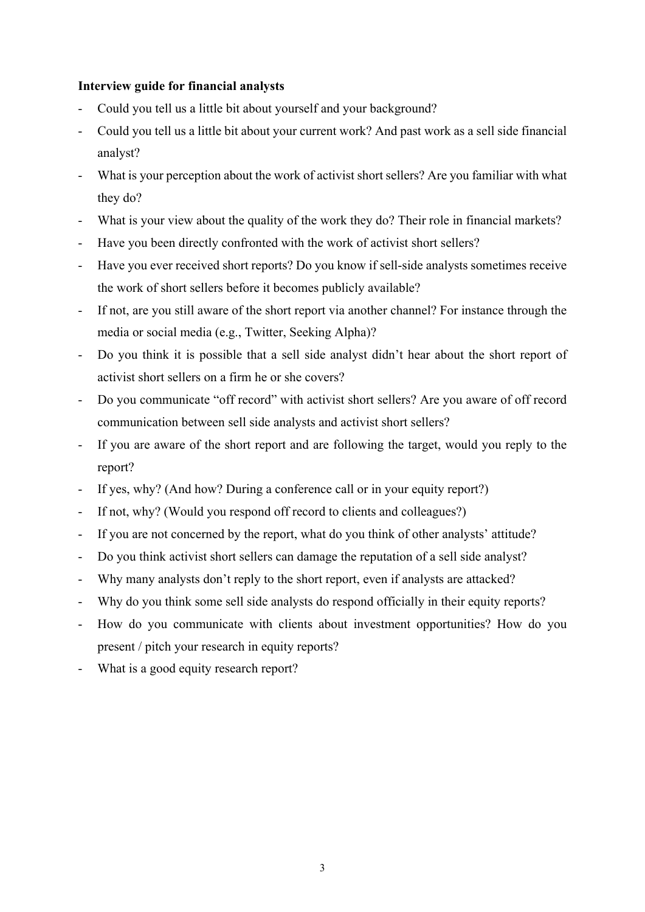# **Interview guide for financial analysts**

- Could you tell us a little bit about yourself and your background?
- Could you tell us a little bit about your current work? And past work as a sell side financial analyst?
- What is your perception about the work of activist short sellers? Are you familiar with what they do?
- What is your view about the quality of the work they do? Their role in financial markets?
- Have you been directly confronted with the work of activist short sellers?
- Have you ever received short reports? Do you know if sell-side analysts sometimes receive the work of short sellers before it becomes publicly available?
- If not, are you still aware of the short report via another channel? For instance through the media or social media (e.g., Twitter, Seeking Alpha)?
- Do you think it is possible that a sell side analyst didn't hear about the short report of activist short sellers on a firm he or she covers?
- Do you communicate "off record" with activist short sellers? Are you aware of off record communication between sell side analysts and activist short sellers?
- If you are aware of the short report and are following the target, would you reply to the report?
- If yes, why? (And how? During a conference call or in your equity report?)
- If not, why? (Would you respond off record to clients and colleagues?)
- If you are not concerned by the report, what do you think of other analysts' attitude?
- Do you think activist short sellers can damage the reputation of a sell side analyst?
- Why many analysts don't reply to the short report, even if analysts are attacked?
- Why do you think some sell side analysts do respond officially in their equity reports?
- How do you communicate with clients about investment opportunities? How do you present / pitch your research in equity reports?
- What is a good equity research report?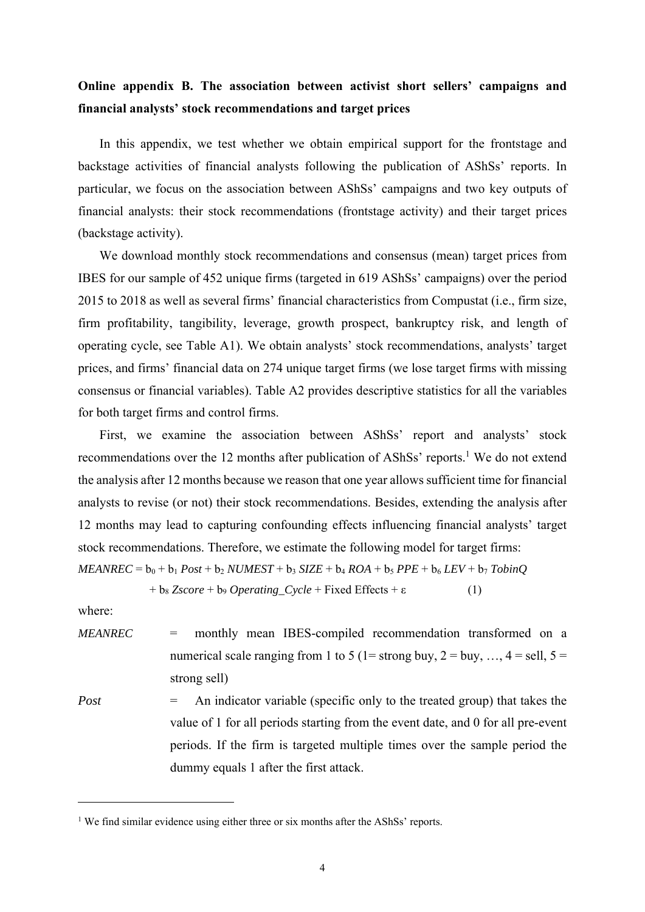# **Online appendix B. The association between activist short sellers' campaigns and financial analysts' stock recommendations and target prices**

In this appendix, we test whether we obtain empirical support for the frontstage and backstage activities of financial analysts following the publication of AShSs' reports. In particular, we focus on the association between AShSs' campaigns and two key outputs of financial analysts: their stock recommendations (frontstage activity) and their target prices (backstage activity).

We download monthly stock recommendations and consensus (mean) target prices from IBES for our sample of 452 unique firms (targeted in 619 AShSs' campaigns) over the period 2015 to 2018 as well as several firms' financial characteristics from Compustat (i.e., firm size, firm profitability, tangibility, leverage, growth prospect, bankruptcy risk, and length of operating cycle, see Table A1). We obtain analysts' stock recommendations, analysts' target prices, and firms' financial data on 274 unique target firms (we lose target firms with missing consensus or financial variables). Table A2 provides descriptive statistics for all the variables for both target firms and control firms.

First, we examine the association between AShSs' report and analysts' stock recommendations over the 12 months after publication of AShSs' reports.<sup>1</sup> We do not extend the analysis after 12 months because we reason that one year allows sufficient time for financial analysts to revise (or not) their stock recommendations. Besides, extending the analysis after 12 months may lead to capturing confounding effects influencing financial analysts' target stock recommendations. Therefore, we estimate the following model for target firms:

 $MEANREC = b_0 + b_1 Post + b_2 NUMEST + b_3 SIZE + b_4 ROA + b_5 PPE + b_6 LEV + b_7 TobinO$ 

 $+ b_8 Zscore + b_9 \tOperating_Cycle + Fixed Effects + \varepsilon$  (1)

where:

- *MEANREC* = monthly mean IBES-compiled recommendation transformed on a numerical scale ranging from 1 to 5 (1= strong buy, 2 = buy, ..., 4 = sell, 5 = strong sell)
- *Post* = An indicator variable (specific only to the treated group) that takes the value of 1 for all periods starting from the event date, and 0 for all pre-event periods. If the firm is targeted multiple times over the sample period the dummy equals 1 after the first attack.

<sup>&</sup>lt;sup>1</sup> We find similar evidence using either three or six months after the AShSs' reports.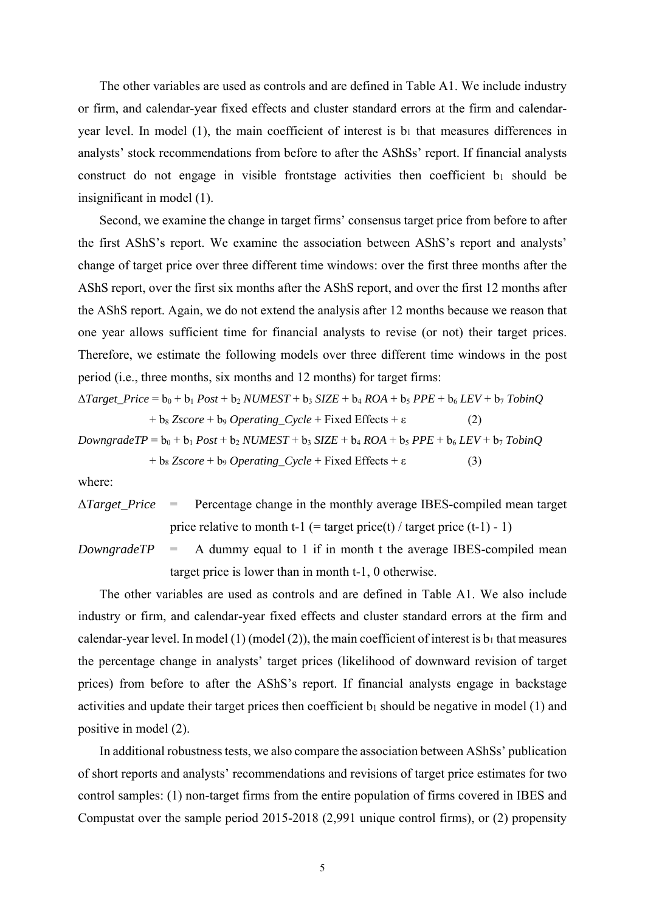The other variables are used as controls and are defined in Table A1. We include industry or firm, and calendar-year fixed effects and cluster standard errors at the firm and calendaryear level. In model (1), the main coefficient of interest is  $b_1$  that measures differences in analysts' stock recommendations from before to after the AShSs' report. If financial analysts construct do not engage in visible frontstage activities then coefficient  $b_1$  should be insignificant in model (1).

Second, we examine the change in target firms' consensus target price from before to after the first AShS's report. We examine the association between AShS's report and analysts' change of target price over three different time windows: over the first three months after the AShS report, over the first six months after the AShS report, and over the first 12 months after the AShS report. Again, we do not extend the analysis after 12 months because we reason that one year allows sufficient time for financial analysts to revise (or not) their target prices. Therefore, we estimate the following models over three different time windows in the post period (i.e., three months, six months and 12 months) for target firms:

$$
\Delta Target\_Price = b_0 + b_1 Post + b_2 NUMEST + b_3 SIZE + b_4 ROA + b_5 PPE + b_6 LEV + b_7 TobinQ
$$
  
+ b\_8 Zscore + b\_9 Operating\_Cycle + Fixed Effects + \epsilon (2)  
Downgrade TP = b\_0 + b\_1 Post + b\_2 NUMEST + b\_3 SIZE + b\_4 ROA + b\_5 PPE + b\_6 LEV + b\_7 TobinQ

$$
+ b_8 \, Z \, \text{score} + b_9 \, \text{Operating\_Cycle} + \text{Fixed Effects} + \varepsilon \tag{3}
$$

where:

- Δ*Target\_Price* = Percentage change in the monthly average IBES-compiled mean target price relative to month t-1 (= target price(t) / target price (t-1) - 1)
- *DowngradeTP* = A dummy equal to 1 if in month t the average IBES-compiled mean target price is lower than in month t-1, 0 otherwise.

The other variables are used as controls and are defined in Table A1. We also include industry or firm, and calendar-year fixed effects and cluster standard errors at the firm and calendar-year level. In model (1) (model (2)), the main coefficient of interest is  $b_1$  that measures the percentage change in analysts' target prices (likelihood of downward revision of target prices) from before to after the AShS's report. If financial analysts engage in backstage activities and update their target prices then coefficient  $b_1$  should be negative in model (1) and positive in model (2).

In additional robustness tests, we also compare the association between AShSs' publication of short reports and analysts' recommendations and revisions of target price estimates for two control samples: (1) non-target firms from the entire population of firms covered in IBES and Compustat over the sample period 2015-2018 (2,991 unique control firms), or (2) propensity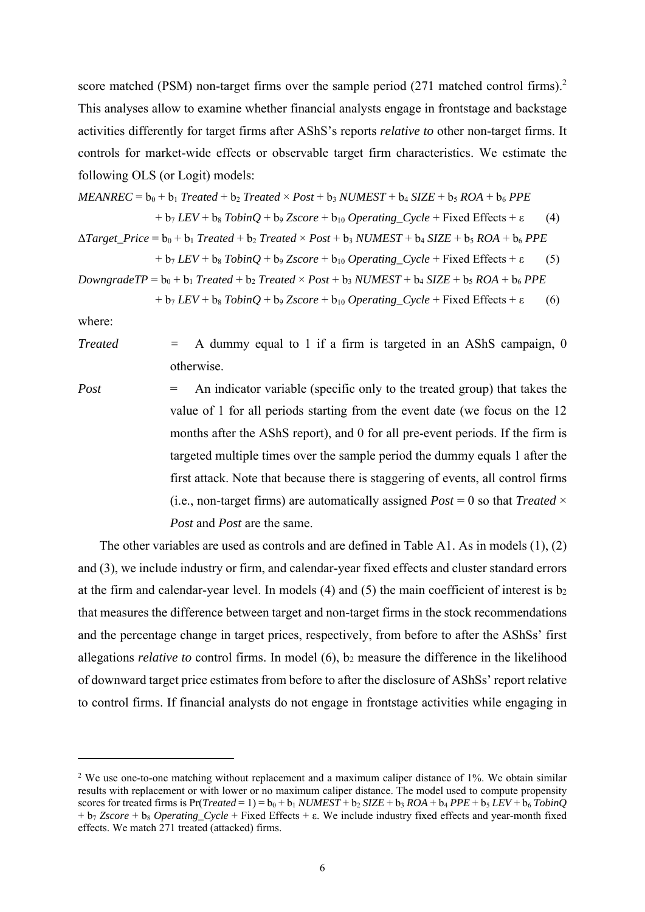score matched (PSM) non-target firms over the sample period (271 matched control firms).<sup>2</sup> This analyses allow to examine whether financial analysts engage in frontstage and backstage activities differently for target firms after AShS's reports *relative to* other non-target firms. It controls for market-wide effects or observable target firm characteristics. We estimate the following OLS (or Logit) models:

 $MEANREC = b_0 + b_1$  *Treated* + b<sub>2</sub> *Treated* ×  $Post + b_3$  *NUMEST* + b<sub>4</sub> *SIZE* + b<sub>5</sub> *ROA* + b<sub>6</sub> *PPE*  $+ b_7$  *LEV* +  $b_8$  *TobinQ* +  $b_9$  *Zscore* +  $b_{10}$  *Operating\_Cycle* + Fixed Effects +  $\varepsilon$  (4)  $\Delta Target\ Price = b_0 + b_1\ Treated + b_2\ Treated \times Post + b_3\ NUMBERST + b_4\ SIZE + b_5\ ROA + b_6\ PPE$  $+ b_7$  *LEV* +  $b_8$  *TobinQ* +  $b_9$  *Zscore* +  $b_{10}$  *Operating\_Cycle* + Fixed Effects +  $\varepsilon$  (5)

*DowngradeTP* =  $b_0 + b_1$  *Treated* +  $b_2$  *Treated* × *Post* +  $b_3$  *NUMEST* +  $b_4$  *SIZE* +  $b_5$  *ROA* +  $b_6$  *PPE* 

 $+ b_7$  *LEV* +  $b_8$  *TobinQ* +  $b_9$  *Zscore* +  $b_{10}$  *Operating\_Cycle* + Fixed Effects +  $\varepsilon$  (6)

where:

*Treated*  $=$  A dummy equal to 1 if a firm is targeted in an AShS campaign, 0 otherwise.

*Post* = An indicator variable (specific only to the treated group) that takes the value of 1 for all periods starting from the event date (we focus on the 12 months after the AShS report), and 0 for all pre-event periods. If the firm is targeted multiple times over the sample period the dummy equals 1 after the first attack. Note that because there is staggering of events, all control firms (i.e., non-target firms) are automatically assigned  $Post = 0$  so that *Treated*  $\times$ *Post* and *Post* are the same.

The other variables are used as controls and are defined in Table A1. As in models (1), (2) and (3), we include industry or firm, and calendar-year fixed effects and cluster standard errors at the firm and calendar-year level. In models (4) and (5) the main coefficient of interest is  $b_2$ that measures the difference between target and non-target firms in the stock recommendations and the percentage change in target prices, respectively, from before to after the AShSs' first allegations *relative to* control firms. In model (6), b2 measure the difference in the likelihood of downward target price estimates from before to after the disclosure of AShSs' report relative to control firms. If financial analysts do not engage in frontstage activities while engaging in

<sup>&</sup>lt;sup>2</sup> We use one-to-one matching without replacement and a maximum caliper distance of 1%. We obtain similar results with replacement or with lower or no maximum caliper distance. The model used to compute propensity scores for treated firms is  $Pr(Treated = 1) = b_0 + b_1 NUMEST + b_2 SIZE + b_3 ROA + b_4 PPE + b_5 LEV + b_6 TobinQ$ + b7 *Zscore* + b8 *Operating\_Cycle* + Fixed Effects + ε. We include industry fixed effects and year-month fixed effects. We match 271 treated (attacked) firms.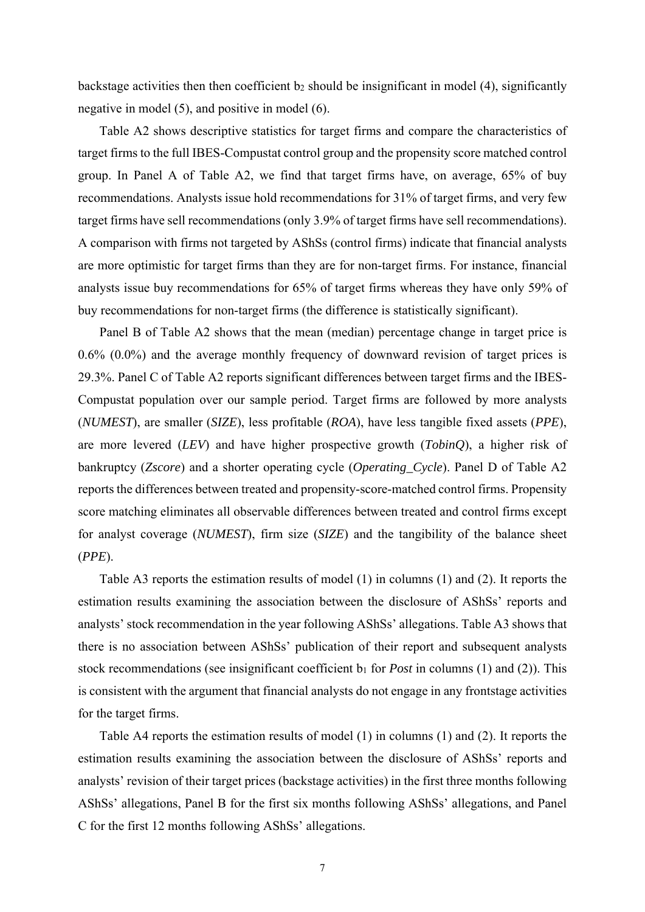backstage activities then then coefficient b2 should be insignificant in model (4), significantly negative in model (5), and positive in model (6).

Table A2 shows descriptive statistics for target firms and compare the characteristics of target firms to the full IBES-Compustat control group and the propensity score matched control group. In Panel A of Table A2, we find that target firms have, on average, 65% of buy recommendations. Analysts issue hold recommendations for 31% of target firms, and very few target firms have sell recommendations (only 3.9% of target firms have sell recommendations). A comparison with firms not targeted by AShSs (control firms) indicate that financial analysts are more optimistic for target firms than they are for non-target firms. For instance, financial analysts issue buy recommendations for 65% of target firms whereas they have only 59% of buy recommendations for non-target firms (the difference is statistically significant).

Panel B of Table A2 shows that the mean (median) percentage change in target price is 0.6% (0.0%) and the average monthly frequency of downward revision of target prices is 29.3%. Panel C of Table A2 reports significant differences between target firms and the IBES-Compustat population over our sample period. Target firms are followed by more analysts (*NUMEST*), are smaller (*SIZE*), less profitable (*ROA*), have less tangible fixed assets (*PPE*), are more levered (*LEV*) and have higher prospective growth (*TobinQ*), a higher risk of bankruptcy (*Zscore*) and a shorter operating cycle (*Operating\_Cycle*). Panel D of Table A2 reports the differences between treated and propensity-score-matched control firms. Propensity score matching eliminates all observable differences between treated and control firms except for analyst coverage (*NUMEST*), firm size (*SIZE*) and the tangibility of the balance sheet (*PPE*).

Table A3 reports the estimation results of model (1) in columns (1) and (2). It reports the estimation results examining the association between the disclosure of AShSs' reports and analysts' stock recommendation in the year following AShSs' allegations. Table A3 shows that there is no association between AShSs' publication of their report and subsequent analysts stock recommendations (see insignificant coefficient b<sub>1</sub> for *Post* in columns (1) and (2)). This is consistent with the argument that financial analysts do not engage in any frontstage activities for the target firms.

Table A4 reports the estimation results of model (1) in columns (1) and (2). It reports the estimation results examining the association between the disclosure of AShSs' reports and analysts' revision of their target prices (backstage activities) in the first three months following AShSs' allegations, Panel B for the first six months following AShSs' allegations, and Panel C for the first 12 months following AShSs' allegations.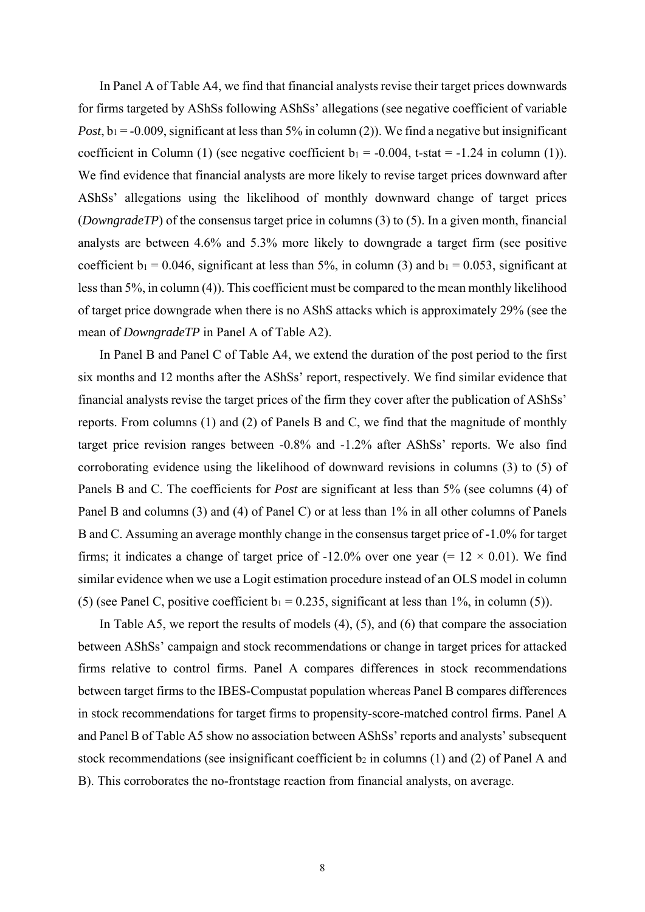In Panel A of Table A4, we find that financial analysts revise their target prices downwards for firms targeted by AShSs following AShSs' allegations (see negative coefficient of variable *Post*,  $b_1 = -0.009$ , significant at less than 5% in column (2)). We find a negative but insignificant coefficient in Column (1) (see negative coefficient  $b_1 = -0.004$ , t-stat = -1.24 in column (1)). We find evidence that financial analysts are more likely to revise target prices downward after AShSs' allegations using the likelihood of monthly downward change of target prices (*DowngradeTP*) of the consensus target price in columns (3) to (5). In a given month, financial analysts are between 4.6% and 5.3% more likely to downgrade a target firm (see positive coefficient  $b_1 = 0.046$ , significant at less than 5%, in column (3) and  $b_1 = 0.053$ , significant at less than 5%, in column (4)). This coefficient must be compared to the mean monthly likelihood of target price downgrade when there is no AShS attacks which is approximately 29% (see the mean of *DowngradeTP* in Panel A of Table A2).

In Panel B and Panel C of Table A4, we extend the duration of the post period to the first six months and 12 months after the AShSs' report, respectively. We find similar evidence that financial analysts revise the target prices of the firm they cover after the publication of AShSs' reports. From columns (1) and (2) of Panels B and C, we find that the magnitude of monthly target price revision ranges between -0.8% and -1.2% after AShSs' reports. We also find corroborating evidence using the likelihood of downward revisions in columns (3) to (5) of Panels B and C. The coefficients for *Post* are significant at less than 5% (see columns (4) of Panel B and columns (3) and (4) of Panel C) or at less than 1% in all other columns of Panels B and C. Assuming an average monthly change in the consensus target price of -1.0% for target firms; it indicates a change of target price of -12.0% over one year (=  $12 \times 0.01$ ). We find similar evidence when we use a Logit estimation procedure instead of an OLS model in column (5) (see Panel C, positive coefficient  $b_1 = 0.235$ , significant at less than 1%, in column (5)).

In Table A5, we report the results of models (4), (5), and (6) that compare the association between AShSs' campaign and stock recommendations or change in target prices for attacked firms relative to control firms. Panel A compares differences in stock recommendations between target firms to the IBES-Compustat population whereas Panel B compares differences in stock recommendations for target firms to propensity-score-matched control firms. Panel A and Panel B of Table A5 show no association between AShSs' reports and analysts' subsequent stock recommendations (see insignificant coefficient  $b_2$  in columns (1) and (2) of Panel A and B). This corroborates the no-frontstage reaction from financial analysts, on average.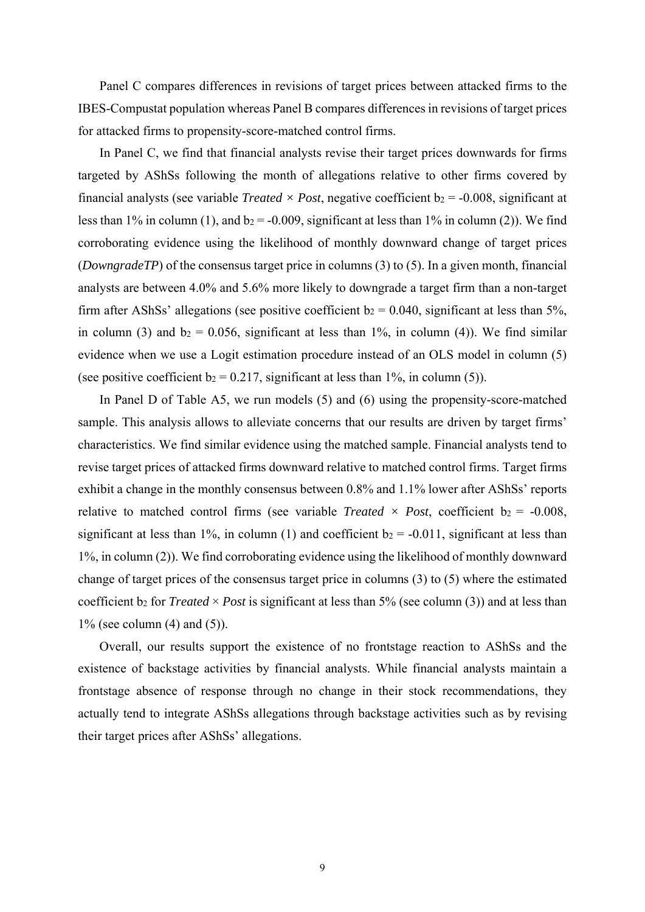Panel C compares differences in revisions of target prices between attacked firms to the IBES-Compustat population whereas Panel B compares differences in revisions of target prices for attacked firms to propensity-score-matched control firms.

In Panel C, we find that financial analysts revise their target prices downwards for firms targeted by AShSs following the month of allegations relative to other firms covered by financial analysts (see variable *Treated*  $\times$  *Post*, negative coefficient b<sub>2</sub> = -0.008, significant at less than 1% in column (1), and  $b_2 = -0.009$ , significant at less than 1% in column (2)). We find corroborating evidence using the likelihood of monthly downward change of target prices (*DowngradeTP*) of the consensus target price in columns (3) to (5). In a given month, financial analysts are between 4.0% and 5.6% more likely to downgrade a target firm than a non-target firm after AShSs' allegations (see positive coefficient  $b_2 = 0.040$ , significant at less than 5%, in column (3) and  $b_2 = 0.056$ , significant at less than 1%, in column (4)). We find similar evidence when we use a Logit estimation procedure instead of an OLS model in column (5) (see positive coefficient  $b_2 = 0.217$ , significant at less than 1%, in column (5)).

In Panel D of Table A5, we run models (5) and (6) using the propensity-score-matched sample. This analysis allows to alleviate concerns that our results are driven by target firms' characteristics. We find similar evidence using the matched sample. Financial analysts tend to revise target prices of attacked firms downward relative to matched control firms. Target firms exhibit a change in the monthly consensus between 0.8% and 1.1% lower after AShSs' reports relative to matched control firms (see variable *Treated*  $\times$  *Post*, coefficient  $b_2 = -0.008$ , significant at less than 1%, in column (1) and coefficient  $b_2 = -0.011$ , significant at less than 1%, in column (2)). We find corroborating evidence using the likelihood of monthly downward change of target prices of the consensus target price in columns (3) to (5) where the estimated coefficient b<sub>2</sub> for *Treated*  $\times$  *Post* is significant at less than 5% (see column (3)) and at less than  $1\%$  (see column (4) and (5)).

Overall, our results support the existence of no frontstage reaction to AShSs and the existence of backstage activities by financial analysts. While financial analysts maintain a frontstage absence of response through no change in their stock recommendations, they actually tend to integrate AShSs allegations through backstage activities such as by revising their target prices after AShSs' allegations.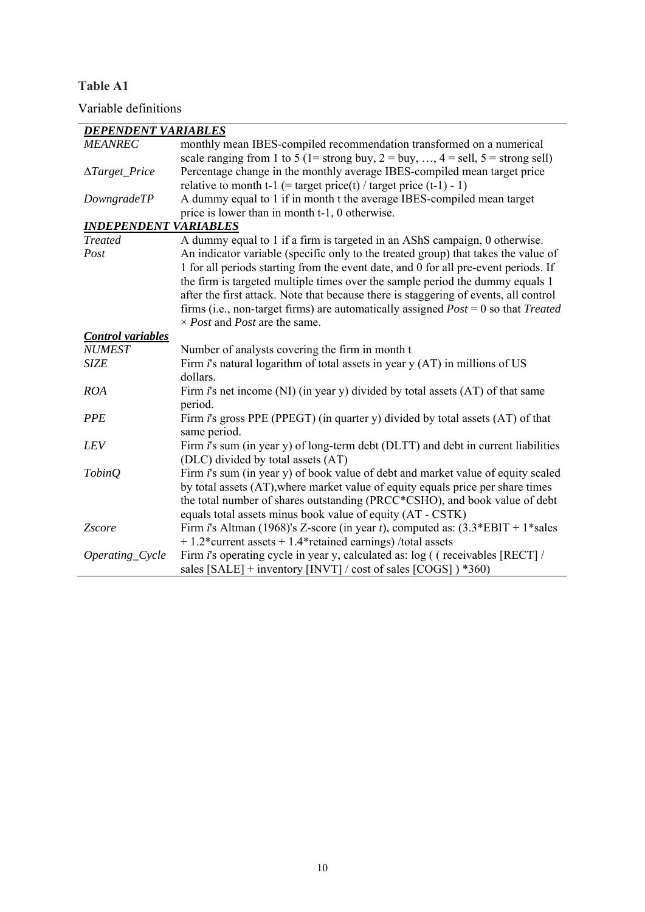**Table A1** 

Variable definitions

| <b>DEPENDENT VARIABLES</b>      |                                                                                                   |
|---------------------------------|---------------------------------------------------------------------------------------------------|
| <b>MEANREC</b>                  | monthly mean IBES-compiled recommendation transformed on a numerical                              |
|                                 | scale ranging from 1 to 5 (1= strong buy, 2 = buy, , $4 =$ sell, $5 =$ strong sell)               |
| $\triangle Target$ <i>Price</i> | Percentage change in the monthly average IBES-compiled mean target price                          |
|                                 | relative to month t-1 (= target price(t) / target price (t-1) - 1)                                |
| DowngradeTP                     | A dummy equal to 1 if in month t the average IBES-compiled mean target                            |
|                                 | price is lower than in month t-1, 0 otherwise.                                                    |
| <b>INDEPENDENT VARIABLES</b>    |                                                                                                   |
| <b>Treated</b>                  | A dummy equal to 1 if a firm is targeted in an AShS campaign, 0 otherwise.                        |
| Post                            | An indicator variable (specific only to the treated group) that takes the value of                |
|                                 | 1 for all periods starting from the event date, and 0 for all pre-event periods. If               |
|                                 | the firm is targeted multiple times over the sample period the dummy equals 1                     |
|                                 | after the first attack. Note that because there is staggering of events, all control              |
|                                 | firms (i.e., non-target firms) are automatically assigned $Post = 0$ so that Treated              |
|                                 | $\times$ <i>Post</i> and <i>Post</i> are the same.                                                |
| <b>Control</b> variables        |                                                                                                   |
| <b>NUMEST</b>                   | Number of analysts covering the firm in month t                                                   |
| <b>SIZE</b>                     | Firm $i$ 's natural logarithm of total assets in year y (AT) in millions of US                    |
|                                 | dollars.                                                                                          |
| <b>ROA</b>                      | Firm $i$ 's net income (NI) (in year y) divided by total assets (AT) of that same                 |
|                                 | period.                                                                                           |
| <b>PPE</b>                      | Firm <i>i</i> 's gross PPE (PPEGT) (in quarter y) divided by total assets (AT) of that            |
|                                 | same period.                                                                                      |
| LEV                             | Firm <i>i</i> 's sum (in year y) of long-term debt (DLTT) and debt in current liabilities         |
|                                 | (DLC) divided by total assets (AT)                                                                |
| <b>TobinQ</b>                   | Firm i's sum (in year y) of book value of debt and market value of equity scaled                  |
|                                 | by total assets (AT), where market value of equity equals price per share times                   |
|                                 | the total number of shares outstanding (PRCC*CSHO), and book value of debt                        |
|                                 | equals total assets minus book value of equity (AT - CSTK)                                        |
| Zscore                          | Firm <i>i</i> 's Altman (1968)'s Z-score (in year <i>t</i> ), computed as: $(3.3*EBIT + 1*sales)$ |
|                                 | $+1.2*$ current assets $+1.4*$ retained earnings) /total assets                                   |
| Operating_Cycle                 | Firm <i>i</i> 's operating cycle in year y, calculated as: log ((receivables [RECT]/              |
|                                 | sales $[SALE]$ + inventory $[INVT] / cost$ of sales $[COGS]$ $*360$                               |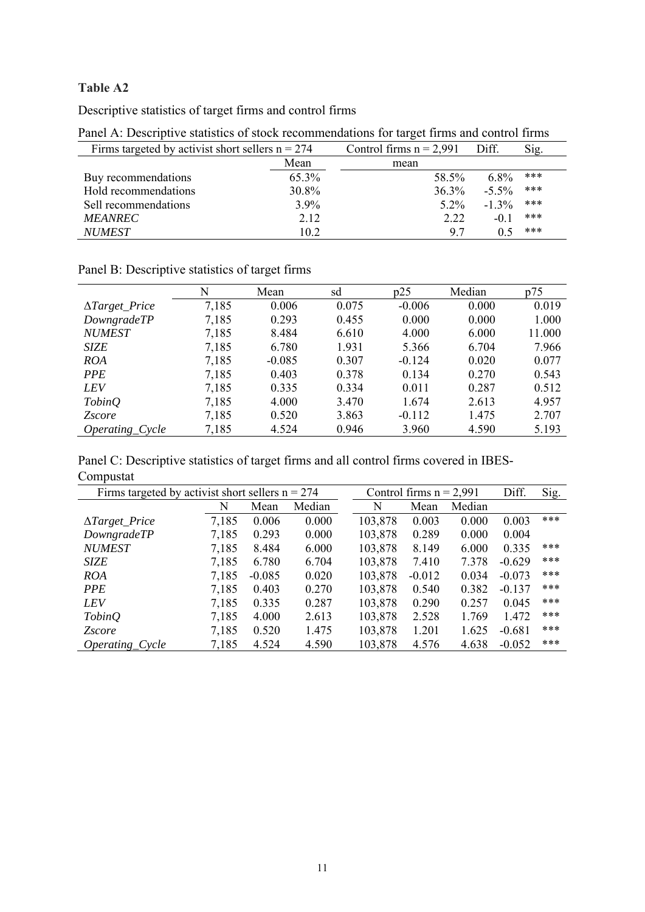# **Table A2**

Descriptive statistics of target firms and control firms

| Firms targeted by activist short sellers $n = 274$ |       | Control firms $n = 2,991$ | Diff.    | Sig. |
|----------------------------------------------------|-------|---------------------------|----------|------|
|                                                    | Mean  | mean                      |          |      |
| Buy recommendations                                | 65.3% | 58.5%                     | $6.8\%$  | ***  |
| Hold recommendations                               | 30.8% | 36.3%                     | $-5.5\%$ | ***  |
| Sell recommendations                               | 3.9%  | $5.2\%$                   | $-1.3\%$ | ***  |
| <b>MEANREC</b>                                     | 2.12  | 2.22                      | $-0.1$   | ***  |
| <b>NUMEST</b>                                      | 10.2  | 9.7                       |          | ***  |

Panel A: Descriptive statistics of stock recommendations for target firms and control firms

|                       | N     | Mean     | sd    | p25      | Median | p75    |
|-----------------------|-------|----------|-------|----------|--------|--------|
| $\Delta Target$ Price | 7,185 | 0.006    | 0.075 | $-0.006$ | 0.000  | 0.019  |
| DowngradeTP           | 7,185 | 0.293    | 0.455 | 0.000    | 0.000  | 1.000  |
| <b>NUMEST</b>         | 7,185 | 8.484    | 6.610 | 4.000    | 6.000  | 11.000 |
| <b>SIZE</b>           | 7,185 | 6.780    | 1.931 | 5.366    | 6.704  | 7.966  |
| <b>ROA</b>            | 7,185 | $-0.085$ | 0.307 | $-0.124$ | 0.020  | 0.077  |
| <b>PPE</b>            | 7,185 | 0.403    | 0.378 | 0.134    | 0.270  | 0.543  |
| <b>LEV</b>            | 7,185 | 0.335    | 0.334 | 0.011    | 0.287  | 0.512  |
| <i>TobinQ</i>         | 7,185 | 4.000    | 3.470 | 1.674    | 2.613  | 4.957  |
| <i><u>Zscore</u></i>  | 7,185 | 0.520    | 3.863 | $-0.112$ | 1.475  | 2.707  |
| Operating_Cycle       | 7,185 | 4.524    | 0.946 | 3.960    | 4.590  | 5.193  |

Panel B: Descriptive statistics of target firms

| Panel C: Descriptive statistics of target firms and all control firms covered in IBES- |  |  |  |  |
|----------------------------------------------------------------------------------------|--|--|--|--|
| Compustat                                                                              |  |  |  |  |

| Firms targeted by activist short sellers $n = 274$ |       |          |        |  |         | Control firms $n = 2,991$ |        | Diff.    | Sig. |
|----------------------------------------------------|-------|----------|--------|--|---------|---------------------------|--------|----------|------|
|                                                    | N     | Mean     | Median |  | N       | Mean                      | Median |          |      |
| $\Delta Target$ Price                              | 7,185 | 0.006    | 0.000  |  | 103,878 | 0.003                     | 0.000  | 0.003    | ***  |
| DowngradeTP                                        | 7,185 | 0.293    | 0.000  |  | 103,878 | 0.289                     | 0.000  | 0.004    |      |
| <b>NUMEST</b>                                      | 7,185 | 8.484    | 6.000  |  | 103,878 | 8.149                     | 6.000  | 0.335    | ***  |
| <b>SIZE</b>                                        | 7,185 | 6.780    | 6.704  |  | 103,878 | 7.410                     | 7.378  | $-0.629$ | ***  |
| <b>ROA</b>                                         | 7,185 | $-0.085$ | 0.020  |  | 103,878 | $-0.012$                  | 0.034  | $-0.073$ | ***  |
| <b>PPE</b>                                         | 7,185 | 0.403    | 0.270  |  | 103,878 | 0.540                     | 0.382  | $-0.137$ | ***  |
| <i>LEV</i>                                         | 7,185 | 0.335    | 0.287  |  | 103,878 | 0.290                     | 0.257  | 0.045    | ***  |
| <i>TobinQ</i>                                      | 7,185 | 4.000    | 2.613  |  | 103,878 | 2.528                     | 1.769  | 1.472    | ***  |
| <i><u>Zscore</u></i>                               | 7,185 | 0.520    | 1.475  |  | 103,878 | 1.201                     | 1.625  | $-0.681$ | ***  |
| <i>Operating_Cycle</i>                             | 7,185 | 4.524    | 4.590  |  | 103,878 | 4.576                     | 4.638  | $-0.052$ | ***  |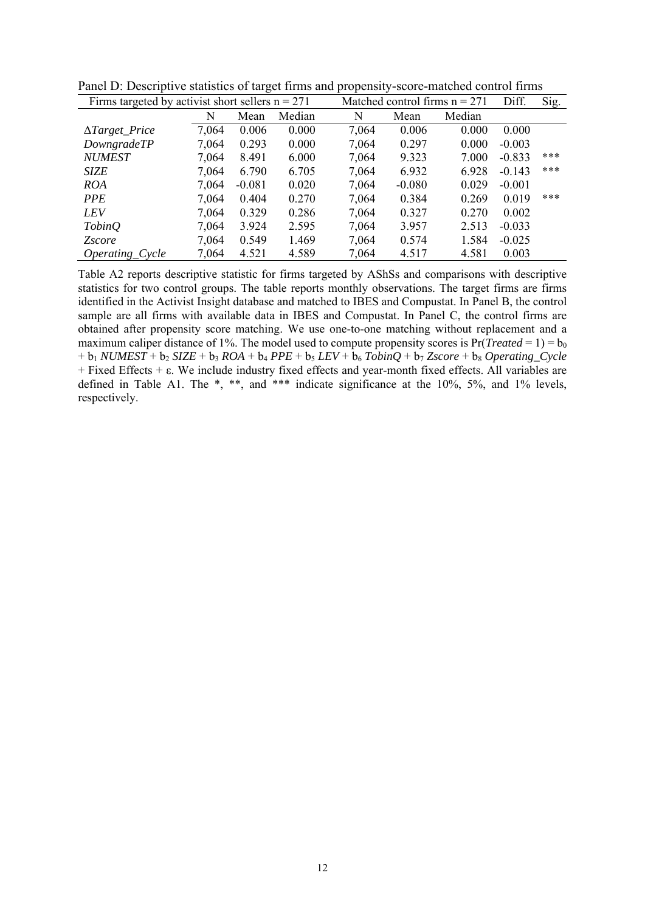| Firms targeted by activist short sellers $n = 271$ | Matched control firms $n = 271$ |          |        | Diff. | Sig.     |        |          |     |
|----------------------------------------------------|---------------------------------|----------|--------|-------|----------|--------|----------|-----|
|                                                    | N                               | Mean     | Median | N     | Mean     | Median |          |     |
| $\Delta Target$ Price                              | 7,064                           | 0.006    | 0.000  | 7,064 | 0.006    | 0.000  | 0.000    |     |
| DowngradeTP                                        | 7,064                           | 0.293    | 0.000  | 7,064 | 0.297    | 0.000  | $-0.003$ |     |
| <b>NUMEST</b>                                      | 7,064                           | 8.491    | 6.000  | 7,064 | 9.323    | 7.000  | $-0.833$ | *** |
| SIZE                                               | 7,064                           | 6.790    | 6.705  | 7,064 | 6.932    | 6.928  | $-0.143$ | *** |
| <b>ROA</b>                                         | 7,064                           | $-0.081$ | 0.020  | 7,064 | $-0.080$ | 0.029  | $-0.001$ |     |
| <i>PPE</i>                                         | 7,064                           | 0.404    | 0.270  | 7,064 | 0.384    | 0.269  | 0.019    | *** |
| <b>LEV</b>                                         | 7,064                           | 0.329    | 0.286  | 7,064 | 0.327    | 0.270  | 0.002    |     |
| <i>TobinQ</i>                                      | 7,064                           | 3.924    | 2.595  | 7,064 | 3.957    | 2.513  | $-0.033$ |     |
| <i><u><b>Zscore</b></u></i>                        | 7,064                           | 0.549    | 1.469  | 7,064 | 0.574    | 1.584  | $-0.025$ |     |
| <i>Operating_Cycle</i>                             | 7,064                           | 4.521    | 4.589  | 7,064 | 4.517    | 4.581  | 0.003    |     |

Panel D: Descriptive statistics of target firms and propensity-score-matched control firms

Table A2 reports descriptive statistic for firms targeted by AShSs and comparisons with descriptive statistics for two control groups. The table reports monthly observations. The target firms are firms identified in the Activist Insight database and matched to IBES and Compustat. In Panel B, the control sample are all firms with available data in IBES and Compustat. In Panel C, the control firms are obtained after propensity score matching. We use one-to-one matching without replacement and a maximum caliper distance of 1%. The model used to compute propensity scores is  $Pr(Treated = 1) = b_0$  $+ b_1 NUMEST + b_2 SIZE + b_3 ROA + b_4 PPE + b_5 LEV + b_6 TobinQ + b_7 Zscore + b_8 Operating_Cycle$ + Fixed Effects + ε. We include industry fixed effects and year-month fixed effects. All variables are defined in Table A1. The \*, \*\*, and \*\*\* indicate significance at the 10%, 5%, and 1% levels, respectively.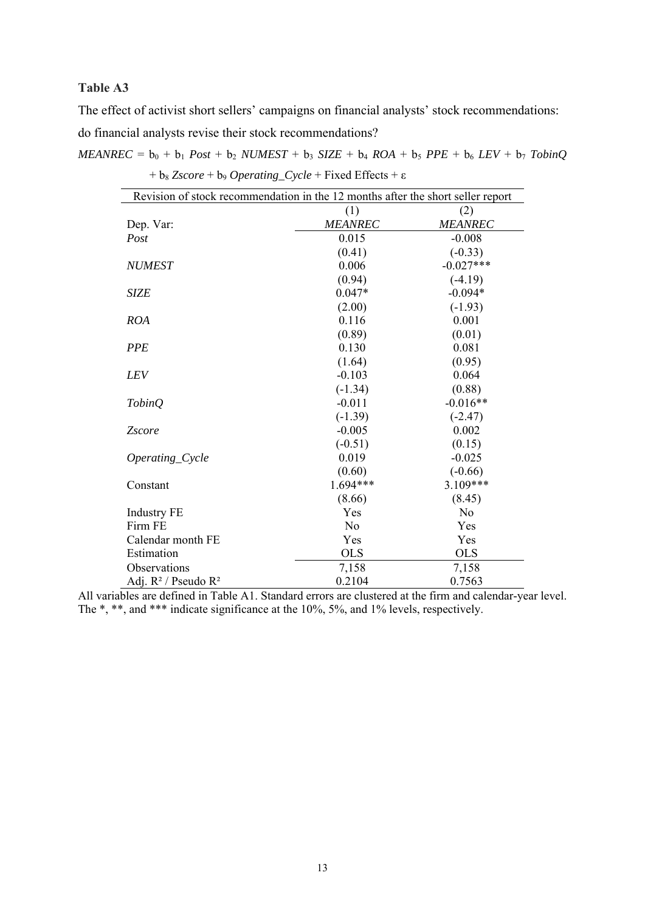# **Table A3**

The effect of activist short sellers' campaigns on financial analysts' stock recommendations: do financial analysts revise their stock recommendations?

| $\sigma_8$ <i>Escore</i> $\sigma_9$ <i>Operating</i> $\sigma_8$ <i>Cycle</i> $\sigma_1$ <b>Excel</b> <i>Chicots</i> $\sigma_1$<br>Revision of stock recommendation in the 12 months after the short seller report |                |                |  |  |  |  |
|-------------------------------------------------------------------------------------------------------------------------------------------------------------------------------------------------------------------|----------------|----------------|--|--|--|--|
|                                                                                                                                                                                                                   |                |                |  |  |  |  |
|                                                                                                                                                                                                                   | (1)            | (2)            |  |  |  |  |
| Dep. Var:                                                                                                                                                                                                         | <b>MEANREC</b> | <b>MEANREC</b> |  |  |  |  |
| Post                                                                                                                                                                                                              | 0.015          | $-0.008$       |  |  |  |  |
|                                                                                                                                                                                                                   | (0.41)         | $(-0.33)$      |  |  |  |  |
| <b>NUMEST</b>                                                                                                                                                                                                     | 0.006          | $-0.027***$    |  |  |  |  |
|                                                                                                                                                                                                                   | (0.94)         | $(-4.19)$      |  |  |  |  |
| <b>SIZE</b>                                                                                                                                                                                                       | $0.047*$       | $-0.094*$      |  |  |  |  |
|                                                                                                                                                                                                                   | (2.00)         | $(-1.93)$      |  |  |  |  |
| <b>ROA</b>                                                                                                                                                                                                        | 0.116          | 0.001          |  |  |  |  |
|                                                                                                                                                                                                                   | (0.89)         | (0.01)         |  |  |  |  |
| <b>PPE</b>                                                                                                                                                                                                        | 0.130          | 0.081          |  |  |  |  |
|                                                                                                                                                                                                                   | (1.64)         | (0.95)         |  |  |  |  |
| LEV                                                                                                                                                                                                               | $-0.103$       | 0.064          |  |  |  |  |
|                                                                                                                                                                                                                   | $(-1.34)$      | (0.88)         |  |  |  |  |
| <b>TobinQ</b>                                                                                                                                                                                                     | $-0.011$       | $-0.016**$     |  |  |  |  |
|                                                                                                                                                                                                                   | $(-1.39)$      | $(-2.47)$      |  |  |  |  |
| <b>Zscore</b>                                                                                                                                                                                                     | $-0.005$       | 0.002          |  |  |  |  |
|                                                                                                                                                                                                                   | $(-0.51)$      | (0.15)         |  |  |  |  |
| Operating_Cycle                                                                                                                                                                                                   | 0.019          | $-0.025$       |  |  |  |  |
|                                                                                                                                                                                                                   | (0.60)         | $(-0.66)$      |  |  |  |  |
| Constant                                                                                                                                                                                                          | $1.694***$     | 3.109***       |  |  |  |  |
|                                                                                                                                                                                                                   | (8.66)         | (8.45)         |  |  |  |  |
| <b>Industry FE</b>                                                                                                                                                                                                | Yes            | N <sub>o</sub> |  |  |  |  |
| Firm FE                                                                                                                                                                                                           | No             | Yes            |  |  |  |  |
| Calendar month FE                                                                                                                                                                                                 | Yes            | Yes            |  |  |  |  |
| Estimation                                                                                                                                                                                                        | <b>OLS</b>     | <b>OLS</b>     |  |  |  |  |
| Observations                                                                                                                                                                                                      | 7,158          | 7,158          |  |  |  |  |
| Adj. $R^2$ / Pseudo $R^2$                                                                                                                                                                                         | 0.2104         | 0.7563         |  |  |  |  |

| $MEANREC = b_0 + b_1 Post + b_2 NUMEST + b_3 SIZE + b_4 ROA + b_5 PPE + b_6 LEV + b_7 Tobino$ |  |  |  |
|-----------------------------------------------------------------------------------------------|--|--|--|
| + $b_8$ Zscore + $b_9$ Operating_Cycle + Fixed Effects + $\varepsilon$                        |  |  |  |

All variables are defined in Table A1. Standard errors are clustered at the firm and calendar-year level. The \*, \*\*, and \*\*\* indicate significance at the 10%, 5%, and 1% levels, respectively.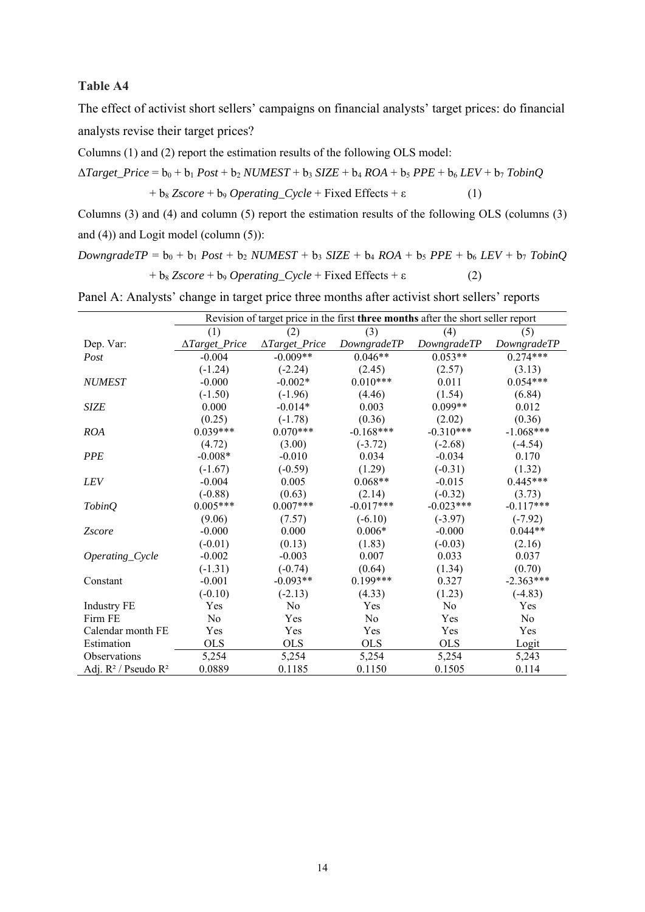## **Table A4**

The effect of activist short sellers' campaigns on financial analysts' target prices: do financial analysts revise their target prices?

Columns (1) and (2) report the estimation results of the following OLS model:

 $\Delta Target\_Price = b_0 + b_1 Post + b_2 NUMBER + b_3 SIZE + b_4 ROA + b_5 PPE + b_6 LEV + b_7 TobinQ$  $+ b_8 Z \text{score} + b_9 \text{ Operating\_Cycle} + \text{Fixed Effects} + \varepsilon$  (1)

Columns (3) and (4) and column (5) report the estimation results of the following OLS (columns (3) and (4)) and Logit model (column (5)):

 $DowngradeTP = b_0 + b_1 Post + b_2 NUMEST + b_3 SIZE + b_4 ROA + b_5 PPE + b_6 LEV + b_7 TobinQ$  $+ b_8 Z \text{score} + b_9 \text{ Operating\_Cycle} + \text{Fixed Effects} + \varepsilon$  (2)

|                           | Revision of target price in the first three months after the short seller report |                        |             |             |             |  |  |
|---------------------------|----------------------------------------------------------------------------------|------------------------|-------------|-------------|-------------|--|--|
|                           | (1)                                                                              | (2)                    | (3)         | (4)         | (5)         |  |  |
| Dep. Var:                 | ∆Target_Price                                                                    | $\Delta Target\_Price$ | DowngradeTP | DowngradeTP | DowngradeTP |  |  |
| Post                      | $-0.004$                                                                         | $-0.009**$             | $0.046**$   | $0.053**$   | $0.274***$  |  |  |
|                           | $(-1.24)$                                                                        | $(-2.24)$              | (2.45)      | (2.57)      | (3.13)      |  |  |
| <b>NUMEST</b>             | $-0.000$                                                                         | $-0.002*$              | $0.010***$  | 0.011       | $0.054***$  |  |  |
|                           | $(-1.50)$                                                                        | $(-1.96)$              | (4.46)      | (1.54)      | (6.84)      |  |  |
| <b>SIZE</b>               | 0.000                                                                            | $-0.014*$              | 0.003       | $0.099**$   | 0.012       |  |  |
|                           | (0.25)                                                                           | $(-1.78)$              | (0.36)      | (2.02)      | (0.36)      |  |  |
| <b>ROA</b>                | $0.039***$                                                                       | $0.070***$             | $-0.168***$ | $-0.310***$ | $-1.068***$ |  |  |
|                           | (4.72)                                                                           | (3.00)                 | $(-3.72)$   | $(-2.68)$   | $(-4.54)$   |  |  |
| <b>PPE</b>                | $-0.008*$                                                                        | $-0.010$               | 0.034       | $-0.034$    | 0.170       |  |  |
|                           | $(-1.67)$                                                                        | $(-0.59)$              | (1.29)      | $(-0.31)$   | (1.32)      |  |  |
| <b>LEV</b>                | $-0.004$                                                                         | 0.005                  | $0.068**$   | $-0.015$    | $0.445***$  |  |  |
|                           | $(-0.88)$                                                                        | (0.63)                 | (2.14)      | $(-0.32)$   | (3.73)      |  |  |
| <i>TobinQ</i>             | $0.005***$                                                                       | $0.007***$             | $-0.017***$ | $-0.023***$ | $-0.117***$ |  |  |
|                           | (9.06)                                                                           | (7.57)                 | $(-6.10)$   | $(-3.97)$   | $(-7.92)$   |  |  |
| <b>Zscore</b>             | $-0.000$                                                                         | 0.000                  | $0.006*$    | $-0.000$    | $0.044**$   |  |  |
|                           | $(-0.01)$                                                                        | (0.13)                 | (1.83)      | $(-0.03)$   | (2.16)      |  |  |
| Operating_Cycle           | $-0.002$                                                                         | $-0.003$               | 0.007       | 0.033       | 0.037       |  |  |
|                           | $(-1.31)$                                                                        | $(-0.74)$              | (0.64)      | (1.34)      | (0.70)      |  |  |
| Constant                  | $-0.001$                                                                         | $-0.093**$             | $0.199***$  | 0.327       | $-2.363***$ |  |  |
|                           | $(-0.10)$                                                                        | $(-2.13)$              | (4.33)      | (1.23)      | $(-4.83)$   |  |  |
| <b>Industry FE</b>        | Yes                                                                              | No                     | Yes         | No          | Yes         |  |  |
| Firm FE                   | No                                                                               | Yes                    | No          | Yes         | No          |  |  |
| Calendar month FE         | Yes                                                                              | Yes                    | Yes         | Yes         | Yes         |  |  |
| Estimation                | <b>OLS</b>                                                                       | <b>OLS</b>             | <b>OLS</b>  | <b>OLS</b>  | Logit       |  |  |
| Observations              | 5,254                                                                            | 5,254                  | 5,254       | 5,254       | 5,243       |  |  |
| Adj. $R^2$ / Pseudo $R^2$ | 0.0889                                                                           | 0.1185                 | 0.1150      | 0.1505      | 0.114       |  |  |

Panel A: Analysts' change in target price three months after activist short sellers' reports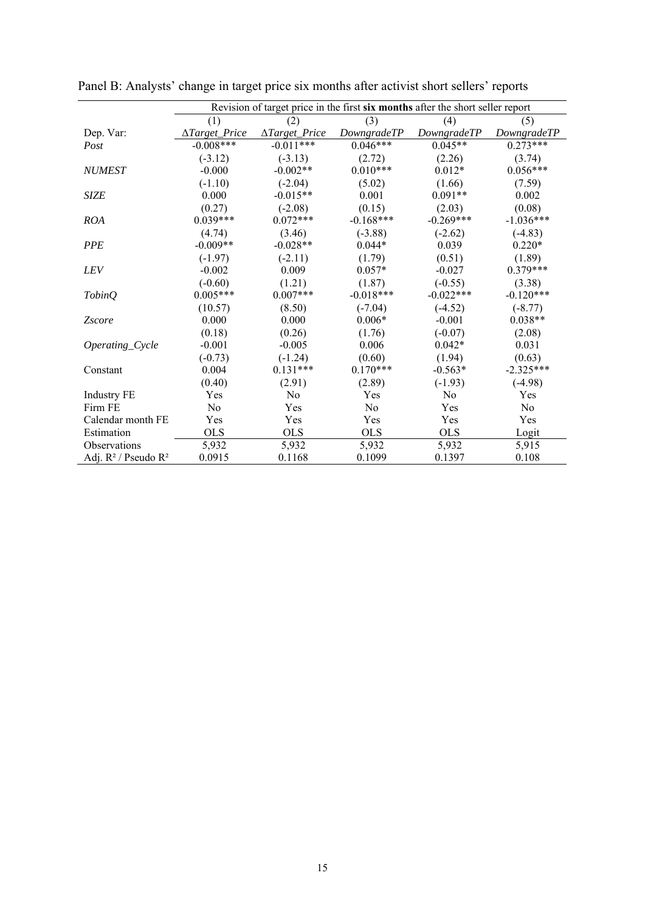|                           | Revision of target price in the first six months after the short seller report |                        |             |             |             |  |  |  |
|---------------------------|--------------------------------------------------------------------------------|------------------------|-------------|-------------|-------------|--|--|--|
|                           | (1)                                                                            | (2)                    | (3)         | (4)         | (5)         |  |  |  |
| Dep. Var:                 | ∆Target_Price                                                                  | $\Delta Target\_Price$ | DowngradeTP | DowngradeTP | DowngradeTP |  |  |  |
| Post                      | $-0.008***$                                                                    | $-0.011***$            | $0.046***$  | $0.045**$   | $0.273***$  |  |  |  |
|                           | $(-3.12)$                                                                      | $(-3.13)$              | (2.72)      | (2.26)      | (3.74)      |  |  |  |
| <b>NUMEST</b>             | $-0.000$                                                                       | $-0.002**$             | $0.010***$  | $0.012*$    | $0.056***$  |  |  |  |
|                           | $(-1.10)$                                                                      | $(-2.04)$              | (5.02)      | (1.66)      | (7.59)      |  |  |  |
| <b>SIZE</b>               | 0.000                                                                          | $-0.015**$             | 0.001       | $0.091**$   | 0.002       |  |  |  |
|                           | (0.27)                                                                         | $(-2.08)$              | (0.15)      | (2.03)      | (0.08)      |  |  |  |
| <b>ROA</b>                | $0.039***$                                                                     | $0.072***$             | $-0.168***$ | $-0.269***$ | $-1.036***$ |  |  |  |
|                           | (4.74)                                                                         | (3.46)                 | $(-3.88)$   | $(-2.62)$   | $(-4.83)$   |  |  |  |
| <b>PPE</b>                | $-0.009**$                                                                     | $-0.028**$             | $0.044*$    | 0.039       | $0.220*$    |  |  |  |
|                           | $(-1.97)$                                                                      | $(-2.11)$              | (1.79)      | (0.51)      | (1.89)      |  |  |  |
| <b>LEV</b>                | $-0.002$                                                                       | 0.009                  | $0.057*$    | $-0.027$    | $0.379***$  |  |  |  |
|                           | $(-0.60)$                                                                      | (1.21)                 | (1.87)      | $(-0.55)$   | (3.38)      |  |  |  |
| <b>TobinQ</b>             | $0.005***$                                                                     | $0.007***$             | $-0.018***$ | $-0.022***$ | $-0.120***$ |  |  |  |
|                           | (10.57)                                                                        | (8.50)                 | $(-7.04)$   | $(-4.52)$   | $(-8.77)$   |  |  |  |
| <b>Zscore</b>             | 0.000                                                                          | 0.000                  | $0.006*$    | $-0.001$    | $0.038**$   |  |  |  |
|                           | (0.18)                                                                         | (0.26)                 | (1.76)      | $(-0.07)$   | (2.08)      |  |  |  |
| Operating_Cycle           | $-0.001$                                                                       | $-0.005$               | 0.006       | $0.042*$    | 0.031       |  |  |  |
|                           | $(-0.73)$                                                                      | $(-1.24)$              | (0.60)      | (1.94)      | (0.63)      |  |  |  |
| Constant                  | 0.004                                                                          | $0.131***$             | $0.170***$  | $-0.563*$   | $-2.325***$ |  |  |  |
|                           | (0.40)                                                                         | (2.91)                 | (2.89)      | $(-1.93)$   | $(-4.98)$   |  |  |  |
| <b>Industry FE</b>        | Yes                                                                            | No                     | Yes         | No          | Yes         |  |  |  |
| Firm FE                   | No                                                                             | Yes                    | No          | Yes         | No          |  |  |  |
| Calendar month FE         | Yes                                                                            | Yes                    | Yes         | Yes         | Yes         |  |  |  |
| Estimation                | <b>OLS</b>                                                                     | <b>OLS</b>             | <b>OLS</b>  | <b>OLS</b>  | Logit       |  |  |  |
| <b>Observations</b>       | 5,932                                                                          | 5,932                  | 5,932       | 5,932       | 5,915       |  |  |  |
| Adj. $R^2$ / Pseudo $R^2$ | 0.0915                                                                         | 0.1168                 | 0.1099      | 0.1397      | 0.108       |  |  |  |

Panel B: Analysts' change in target price six months after activist short sellers' reports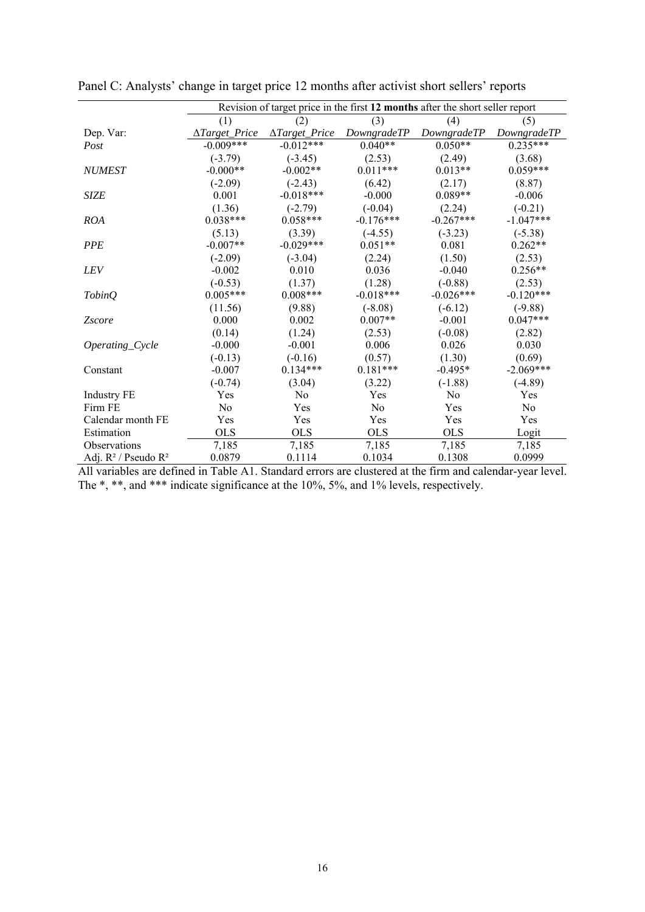|                           | Revision of target price in the first 12 months after the short seller report |                        |             |             |             |
|---------------------------|-------------------------------------------------------------------------------|------------------------|-------------|-------------|-------------|
|                           | (1)                                                                           | (2)                    | (3)         | (4)         | (5)         |
| Dep. Var:                 | $\Delta Target$ Price                                                         | $\Delta Target\_Price$ | DowngradeTP | DowngradeTP | DowngradeTP |
| Post                      | $-0.009***$                                                                   | $-0.012***$            | $0.040**$   | $0.050**$   | $0.235***$  |
|                           | $(-3.79)$                                                                     | $(-3.45)$              | (2.53)      | (2.49)      | (3.68)      |
| <b>NUMEST</b>             | $-0.000**$                                                                    | $-0.002**$             | $0.011***$  | $0.013**$   | $0.059***$  |
|                           | $(-2.09)$                                                                     | $(-2.43)$              | (6.42)      | (2.17)      | (8.87)      |
| <b>SIZE</b>               | 0.001                                                                         | $-0.018***$            | $-0.000$    | $0.089**$   | $-0.006$    |
|                           | (1.36)                                                                        | $(-2.79)$              | $(-0.04)$   | (2.24)      | $(-0.21)$   |
| <b>ROA</b>                | $0.038***$                                                                    | $0.058***$             | $-0.176***$ | $-0.267***$ | $-1.047***$ |
|                           | (5.13)                                                                        | (3.39)                 | $(-4.55)$   | $(-3.23)$   | $(-5.38)$   |
| <b>PPE</b>                | $-0.007**$                                                                    | $-0.029***$            | $0.051**$   | 0.081       | $0.262**$   |
|                           | $(-2.09)$                                                                     | $(-3.04)$              | (2.24)      | (1.50)      | (2.53)      |
| <b>LEV</b>                | $-0.002$                                                                      | 0.010                  | 0.036       | $-0.040$    | $0.256**$   |
|                           | $(-0.53)$                                                                     | (1.37)                 | (1.28)      | $(-0.88)$   | (2.53)      |
| <b>TobinQ</b>             | $0.005***$                                                                    | $0.008***$             | $-0.018***$ | $-0.026***$ | $-0.120***$ |
|                           | (11.56)                                                                       | (9.88)                 | $(-8.08)$   | $(-6.12)$   | $(-9.88)$   |
| <b>Zscore</b>             | 0.000                                                                         | 0.002                  | $0.007**$   | $-0.001$    | $0.047***$  |
|                           | (0.14)                                                                        | (1.24)                 | (2.53)      | $(-0.08)$   | (2.82)      |
| Operating_Cycle           | $-0.000$                                                                      | $-0.001$               | 0.006       | 0.026       | 0.030       |
|                           | $(-0.13)$                                                                     | $(-0.16)$              | (0.57)      | (1.30)      | (0.69)      |
| Constant                  | $-0.007$                                                                      | $0.134***$             | $0.181***$  | $-0.495*$   | $-2.069***$ |
|                           | $(-0.74)$                                                                     | (3.04)                 | (3.22)      | $(-1.88)$   | $(-4.89)$   |
| <b>Industry FE</b>        | Yes                                                                           | No                     | Yes         | No          | Yes         |
| Firm FE                   | N <sub>o</sub>                                                                | Yes                    | No          | Yes         | No          |
| Calendar month FE         | Yes                                                                           | Yes                    | Yes         | Yes         | Yes         |
| Estimation                | <b>OLS</b>                                                                    | <b>OLS</b>             | <b>OLS</b>  | <b>OLS</b>  | Logit       |
| <b>Observations</b>       | 7,185                                                                         | 7,185                  | 7,185       | 7,185       | 7,185       |
| Adj. $R^2$ / Pseudo $R^2$ | 0.0879                                                                        | 0.1114                 | 0.1034      | 0.1308      | 0.0999      |

Panel C: Analysts' change in target price 12 months after activist short sellers' reports

All variables are defined in Table A1. Standard errors are clustered at the firm and calendar-year level. The \*, \*\*, and \*\*\* indicate significance at the 10%, 5%, and 1% levels, respectively.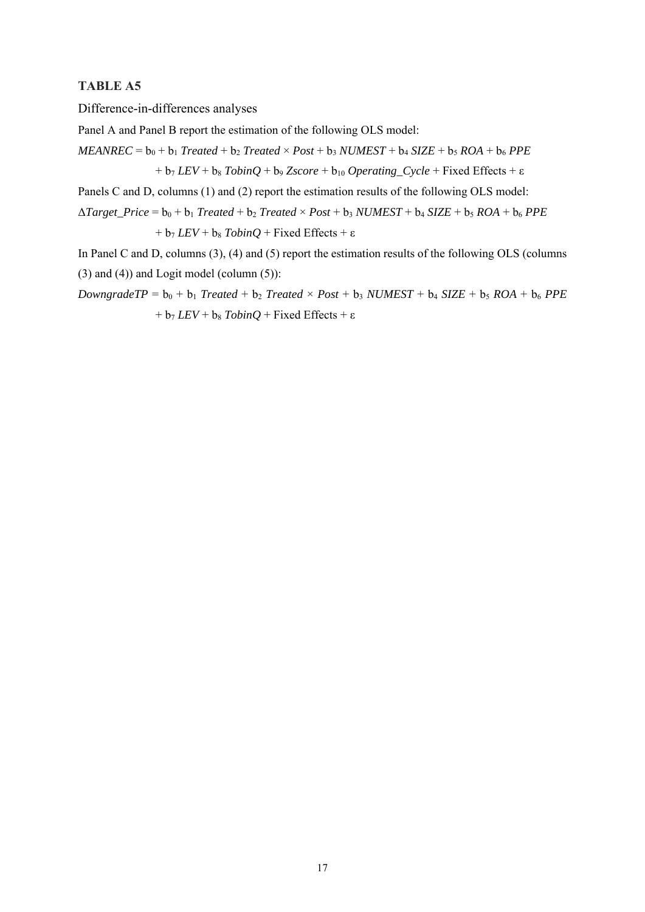### **TABLE A5**

Difference-in-differences analyses

Panel A and Panel B report the estimation of the following OLS model:

 $MEANREC = b_0 + b_1$  *Treated* +  $b_2$  *Treated* ×  $Post + b_3$  *NUMEST* +  $b_4$  *SIZE* +  $b_5$  *ROA* +  $b_6$  *PPE*  $+ b_7$  *LEV* +  $b_8$  *TobinQ* +  $b_9$  *Zscore* +  $b_{10}$  *Operating\_Cycle* + Fixed Effects +  $\varepsilon$ 

Panels C and D, columns (1) and (2) report the estimation results of the following OLS model:

 $\triangle Target\_Price = b_0 + b_1$  *Treated* +  $b_2$  *Treated* × *Post* +  $b_3$  *NUMEST* +  $b_4$  *SIZE* +  $b_5$  *ROA* +  $b_6$  *PPE*  $+ b_7$  *LEV* +  $b_8$  *TobinQ* + Fixed Effects +  $\varepsilon$ 

In Panel C and D, columns (3), (4) and (5) report the estimation results of the following OLS (columns  $(3)$  and  $(4)$ ) and Logit model (column  $(5)$ ):

*DowngradeTP* =  $b_0 + b_1$  *Treated* +  $b_2$  *Treated* × *Post* +  $b_3$  *NUMEST* +  $b_4$  *SIZE* +  $b_5$  *ROA* +  $b_6$  *PPE*  $+ b_7$  *LEV* +  $b_8$  *TobinQ* + Fixed Effects +  $\varepsilon$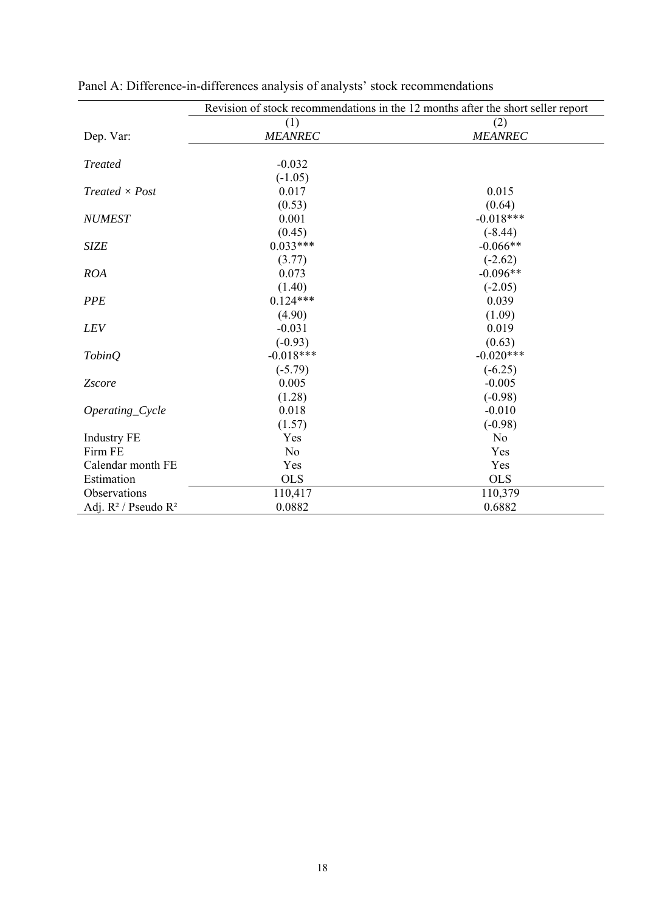|                           | Revision of stock recommendations in the 12 months after the short seller report |                |  |  |
|---------------------------|----------------------------------------------------------------------------------|----------------|--|--|
|                           | (1)                                                                              | (2)            |  |  |
| Dep. Var:                 | <b>MEANREC</b>                                                                   | <b>MEANREC</b> |  |  |
|                           |                                                                                  |                |  |  |
| <b>Treated</b>            | $-0.032$                                                                         |                |  |  |
|                           | $(-1.05)$                                                                        |                |  |  |
| $Treated \times Post$     | 0.017                                                                            | 0.015          |  |  |
|                           | (0.53)                                                                           | (0.64)         |  |  |
| <b>NUMEST</b>             | 0.001                                                                            | $-0.018***$    |  |  |
|                           | (0.45)                                                                           | $(-8.44)$      |  |  |
| <b>SIZE</b>               | $0.033***$                                                                       | $-0.066**$     |  |  |
|                           | (3.77)                                                                           | $(-2.62)$      |  |  |
| <b>ROA</b>                | 0.073                                                                            | $-0.096**$     |  |  |
|                           | (1.40)                                                                           | $(-2.05)$      |  |  |
| <b>PPE</b>                | $0.124***$                                                                       | 0.039          |  |  |
|                           | (4.90)                                                                           | (1.09)         |  |  |
| LEV                       | $-0.031$                                                                         | 0.019          |  |  |
|                           | $(-0.93)$                                                                        | (0.63)         |  |  |
| <b>TobinQ</b>             | $-0.018***$                                                                      | $-0.020***$    |  |  |
|                           | $(-5.79)$                                                                        | $(-6.25)$      |  |  |
| Zscore                    | 0.005                                                                            | $-0.005$       |  |  |
|                           | (1.28)                                                                           | $(-0.98)$      |  |  |
| Operating_Cycle           | 0.018                                                                            | $-0.010$       |  |  |
|                           | (1.57)                                                                           | $(-0.98)$      |  |  |
| <b>Industry FE</b>        | Yes                                                                              | No             |  |  |
| Firm FE                   | N <sub>o</sub>                                                                   | Yes            |  |  |
| Calendar month FE         | Yes                                                                              | Yes            |  |  |
| Estimation                | <b>OLS</b>                                                                       | <b>OLS</b>     |  |  |
| Observations              | 110,417                                                                          | 110,379        |  |  |
| Adj. $R^2$ / Pseudo $R^2$ | 0.0882                                                                           | 0.6882         |  |  |

Panel A: Difference-in-differences analysis of analysts' stock recommendations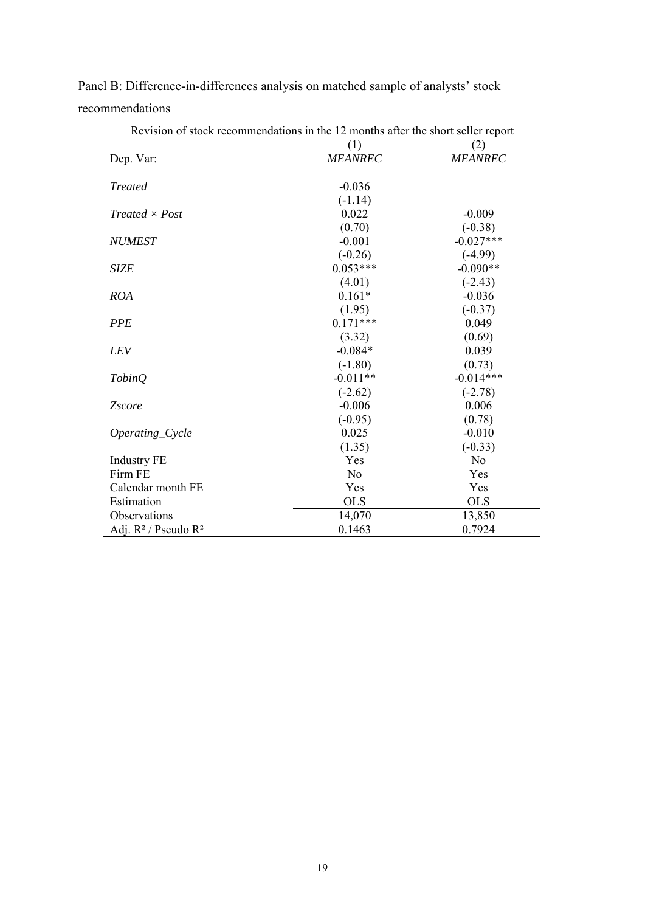| Revision of stock recommendations in the 12 months after the short seller report |                |                |  |  |
|----------------------------------------------------------------------------------|----------------|----------------|--|--|
|                                                                                  | (1)            | (2)            |  |  |
| Dep. Var:                                                                        | <b>MEANREC</b> | <b>MEANREC</b> |  |  |
|                                                                                  |                |                |  |  |
| <b>Treated</b>                                                                   | $-0.036$       |                |  |  |
|                                                                                  | $(-1.14)$      |                |  |  |
| $Treated \times Post$                                                            | 0.022          | $-0.009$       |  |  |
|                                                                                  | (0.70)         | $(-0.38)$      |  |  |
| <b>NUMEST</b>                                                                    | $-0.001$       | $-0.027***$    |  |  |
|                                                                                  | $(-0.26)$      | $(-4.99)$      |  |  |
| <b>SIZE</b>                                                                      | $0.053***$     | $-0.090**$     |  |  |
|                                                                                  | (4.01)         | $(-2.43)$      |  |  |
| <b>ROA</b>                                                                       | $0.161*$       | $-0.036$       |  |  |
|                                                                                  | (1.95)         | $(-0.37)$      |  |  |
| <b>PPE</b>                                                                       | $0.171***$     | 0.049          |  |  |
|                                                                                  | (3.32)         | (0.69)         |  |  |
| <b>LEV</b>                                                                       | $-0.084*$      | 0.039          |  |  |
|                                                                                  | $(-1.80)$      | (0.73)         |  |  |
| TobinQ                                                                           | $-0.011**$     | $-0.014***$    |  |  |
|                                                                                  | $(-2.62)$      | $(-2.78)$      |  |  |
| <b>Zscore</b>                                                                    | $-0.006$       | 0.006          |  |  |
|                                                                                  | $(-0.95)$      | (0.78)         |  |  |
| Operating_Cycle                                                                  | 0.025          | $-0.010$       |  |  |
|                                                                                  | (1.35)         | $(-0.33)$      |  |  |
| <b>Industry FE</b>                                                               | Yes            | N <sub>o</sub> |  |  |
| Firm FE                                                                          | N <sub>o</sub> | Yes            |  |  |
| Calendar month FE                                                                | Yes            | Yes            |  |  |
| Estimation                                                                       | <b>OLS</b>     | <b>OLS</b>     |  |  |
| Observations                                                                     | 14,070         | 13,850         |  |  |
| Adj. $R^2$ / Pseudo $R^2$                                                        | 0.1463         | 0.7924         |  |  |

Panel B: Difference-in-differences analysis on matched sample of analysts' stock recommendations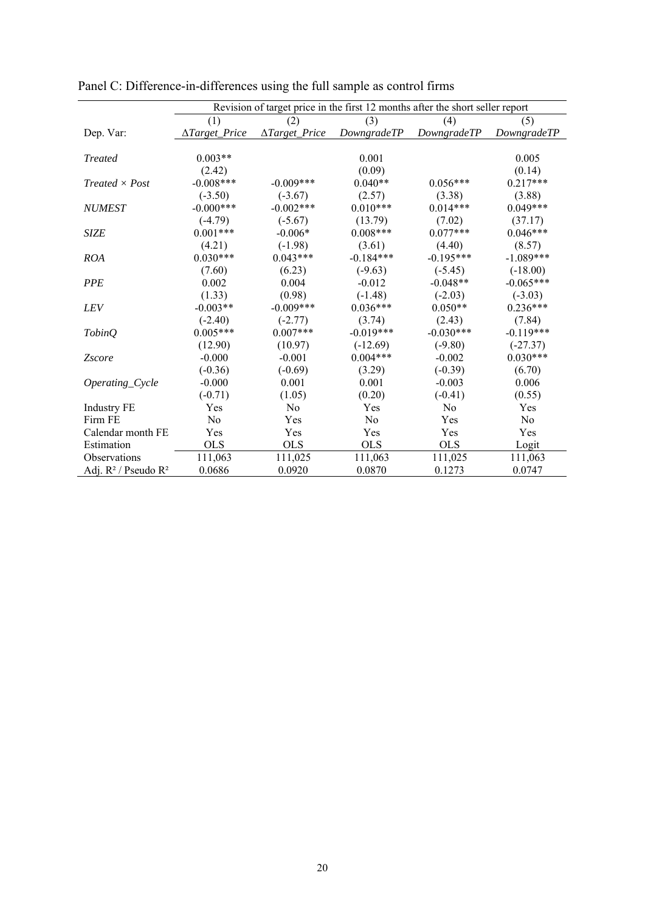|                             | Revision of target price in the first 12 months after the short seller report |                       |             |             |                |
|-----------------------------|-------------------------------------------------------------------------------|-----------------------|-------------|-------------|----------------|
|                             | (1)                                                                           | (2)                   | (3)         | (4)         | (5)            |
| Dep. Var:                   | ∆Target_Price                                                                 | $\Delta Target$ Price | DowngradeTP | DowngradeTP | DowngradeTP    |
|                             |                                                                               |                       |             |             |                |
| <b>Treated</b>              | $0.003**$                                                                     |                       | 0.001       |             | 0.005          |
|                             | (2.42)                                                                        |                       | (0.09)      |             | (0.14)         |
| $Treated \times Post$       | $-0.008***$                                                                   | $-0.009***$           | $0.040**$   | $0.056***$  | $0.217***$     |
|                             | $(-3.50)$                                                                     | $(-3.67)$             | (2.57)      | (3.38)      | (3.88)         |
| <b>NUMEST</b>               | $-0.000***$                                                                   | $-0.002***$           | $0.010***$  | $0.014***$  | $0.049***$     |
|                             | $(-4.79)$                                                                     | $(-5.67)$             | (13.79)     | (7.02)      | (37.17)        |
| <b>SIZE</b>                 | $0.001***$                                                                    | $-0.006*$             | $0.008***$  | $0.077***$  | $0.046***$     |
|                             | (4.21)                                                                        | $(-1.98)$             | (3.61)      | (4.40)      | (8.57)         |
| <b>ROA</b>                  | $0.030***$                                                                    | $0.043***$            | $-0.184***$ | $-0.195***$ | $-1.089***$    |
|                             | (7.60)                                                                        | (6.23)                | $(-9.63)$   | $(-5.45)$   | $(-18.00)$     |
| <b>PPE</b>                  | 0.002                                                                         | 0.004                 | $-0.012$    | $-0.048**$  | $-0.065***$    |
|                             | (1.33)                                                                        | (0.98)                | $(-1.48)$   | $(-2.03)$   | $(-3.03)$      |
| <b>LEV</b>                  | $-0.003**$                                                                    | $-0.009***$           | $0.036***$  | $0.050**$   | $0.236***$     |
|                             | $(-2.40)$                                                                     | $(-2.77)$             | (3.74)      | (2.43)      | (7.84)         |
| <i>TobinQ</i>               | $0.005***$                                                                    | $0.007***$            | $-0.019***$ | $-0.030***$ | $-0.119***$    |
|                             | (12.90)                                                                       | (10.97)               | $(-12.69)$  | $(-9.80)$   | $(-27.37)$     |
| <i><u><b>Zscore</b></u></i> | $-0.000$                                                                      | $-0.001$              | $0.004***$  | $-0.002$    | $0.030***$     |
|                             | $(-0.36)$                                                                     | $(-0.69)$             | (3.29)      | $(-0.39)$   | (6.70)         |
| Operating_Cycle             | $-0.000$                                                                      | 0.001                 | 0.001       | $-0.003$    | 0.006          |
|                             | $(-0.71)$                                                                     | (1.05)                | (0.20)      | $(-0.41)$   | (0.55)         |
| <b>Industry FE</b>          | Yes                                                                           | N <sub>0</sub>        | Yes         | No          | Yes            |
| Firm FE                     | No                                                                            | Yes                   | No          | Yes         | N <sub>o</sub> |
| Calendar month FE           | Yes                                                                           | Yes                   | Yes         | Yes         | Yes            |
| Estimation                  | <b>OLS</b>                                                                    | <b>OLS</b>            | <b>OLS</b>  | <b>OLS</b>  | Logit          |
| Observations                | 111,063                                                                       | 111,025               | 111,063     | 111,025     | 111,063        |
| Adj. $R^2$ / Pseudo $R^2$   | 0.0686                                                                        | 0.0920                | 0.0870      | 0.1273      | 0.0747         |

Panel C: Difference-in-differences using the full sample as control firms